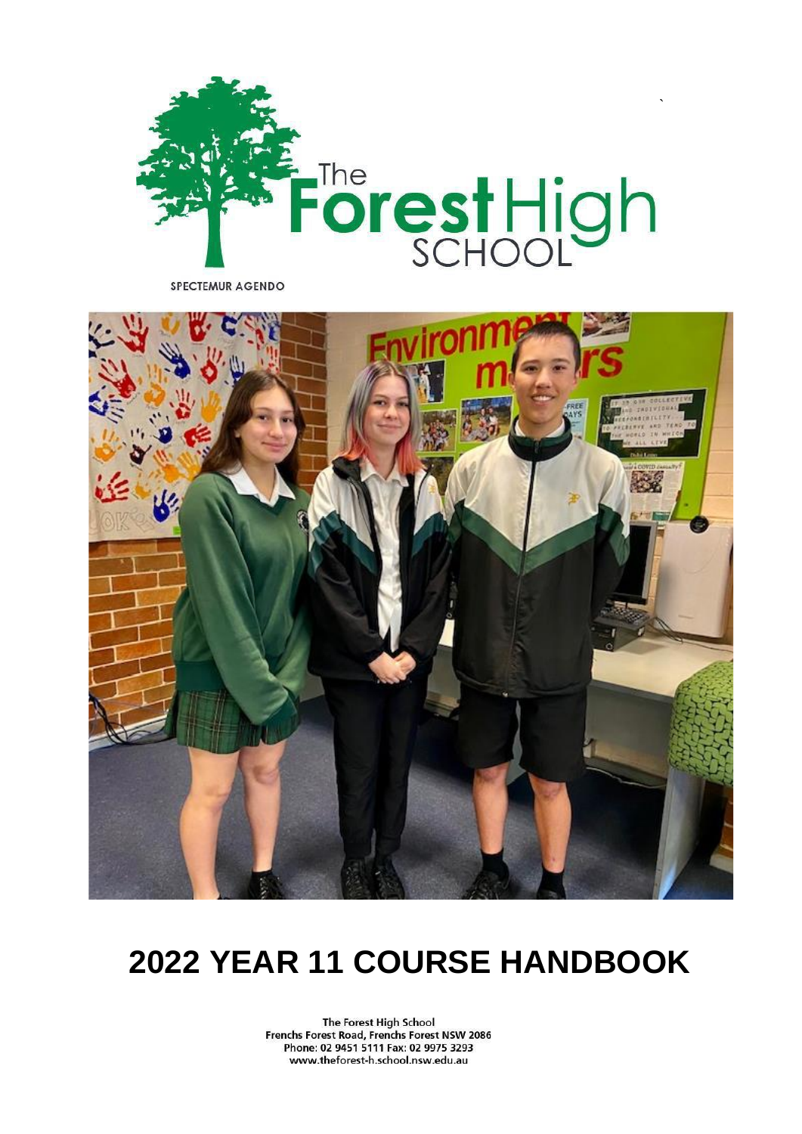

SPECTEMUR AGENDO



# **2022 YEAR 11 COURSE HANDBOOK**

The Forest High School Frenchs Forest Road, Frenchs Forest NSW 2086 Phone: 02 9451 5111 Fax: 02 9975 3293 www.theforest-h.school.nsw.edu.au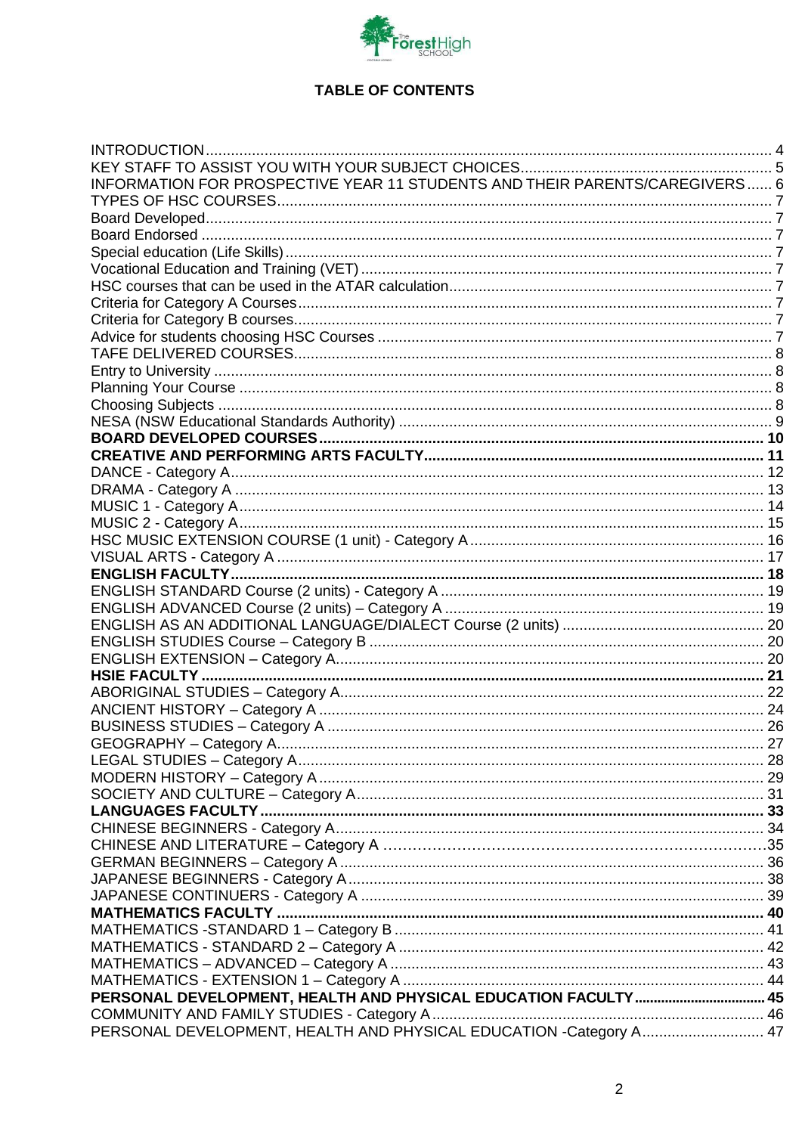

# **TABLE OF CONTENTS**

| INFORMATION FOR PROSPECTIVE YEAR 11 STUDENTS AND THEIR PARENTS/CAREGIVERS 6 |  |
|-----------------------------------------------------------------------------|--|
|                                                                             |  |
|                                                                             |  |
|                                                                             |  |
|                                                                             |  |
|                                                                             |  |
|                                                                             |  |
|                                                                             |  |
|                                                                             |  |
|                                                                             |  |
|                                                                             |  |
|                                                                             |  |
|                                                                             |  |
|                                                                             |  |
|                                                                             |  |
|                                                                             |  |
|                                                                             |  |
|                                                                             |  |
|                                                                             |  |
|                                                                             |  |
|                                                                             |  |
|                                                                             |  |
|                                                                             |  |
|                                                                             |  |
|                                                                             |  |
|                                                                             |  |
|                                                                             |  |
|                                                                             |  |
|                                                                             |  |
|                                                                             |  |
|                                                                             |  |
|                                                                             |  |
|                                                                             |  |
|                                                                             |  |
|                                                                             |  |
|                                                                             |  |
|                                                                             |  |
|                                                                             |  |
|                                                                             |  |
|                                                                             |  |
|                                                                             |  |
|                                                                             |  |
|                                                                             |  |
|                                                                             |  |
|                                                                             |  |
|                                                                             |  |
|                                                                             |  |
|                                                                             |  |
|                                                                             |  |
|                                                                             |  |
|                                                                             |  |
| PERSONAL DEVELOPMENT, HEALTH AND PHYSICAL EDUCATION -Category A 47          |  |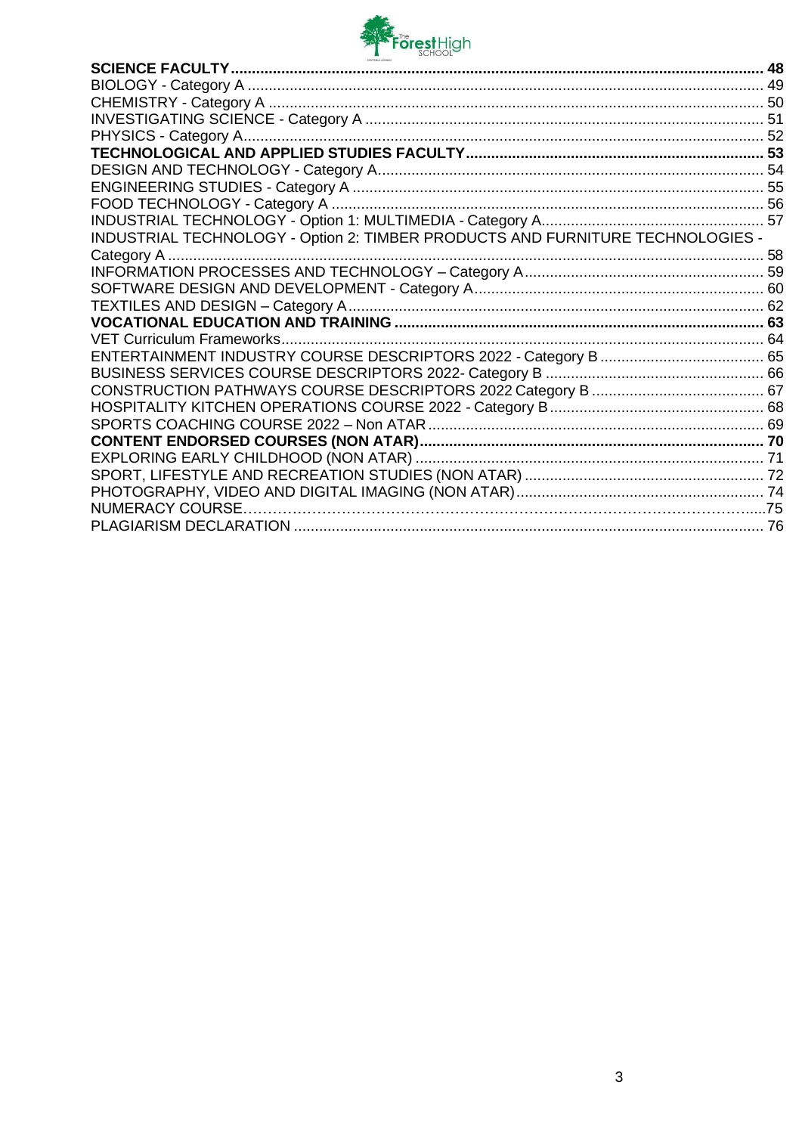

| INDUSTRIAL TECHNOLOGY - Option 2: TIMBER PRODUCTS AND FURNITURE TECHNOLOGIES - |  |
|--------------------------------------------------------------------------------|--|
| Category A                                                                     |  |
|                                                                                |  |
|                                                                                |  |
|                                                                                |  |
|                                                                                |  |
|                                                                                |  |
|                                                                                |  |
|                                                                                |  |
|                                                                                |  |
|                                                                                |  |
|                                                                                |  |
|                                                                                |  |
|                                                                                |  |
|                                                                                |  |
|                                                                                |  |
|                                                                                |  |
|                                                                                |  |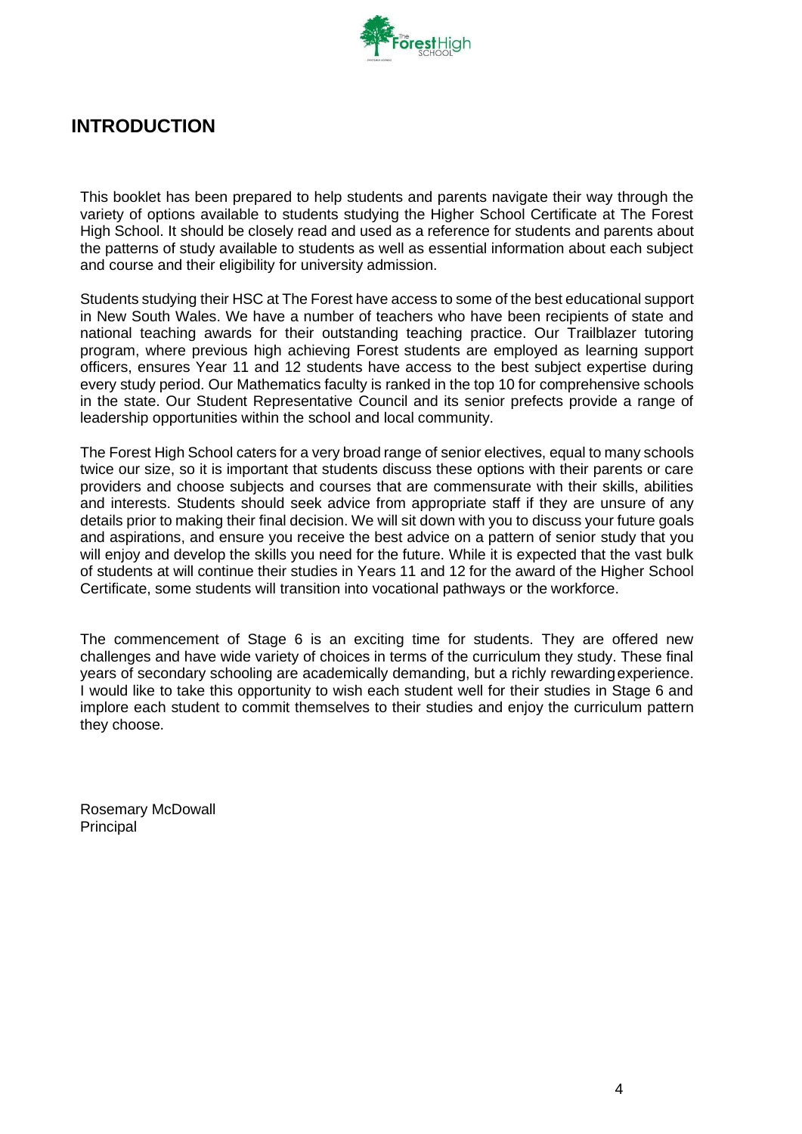

# <span id="page-3-0"></span>**INTRODUCTION**

This booklet has been prepared to help students and parents navigate their way through the variety of options available to students studying the Higher School Certificate at The Forest High School. It should be closely read and used as a reference for students and parents about the patterns of study available to students as well as essential information about each subject and course and their eligibility for university admission.

Students studying their HSC at The Forest have access to some of the best educational support in New South Wales. We have a number of teachers who have been recipients of state and national teaching awards for their outstanding teaching practice. Our Trailblazer tutoring program, where previous high achieving Forest students are employed as learning support officers, ensures Year 11 and 12 students have access to the best subject expertise during every study period. Our Mathematics faculty is ranked in the top 10 for comprehensive schools in the state. Our Student Representative Council and its senior prefects provide a range of leadership opportunities within the school and local community.

The Forest High School caters for a very broad range of senior electives, equal to many schools twice our size, so it is important that students discuss these options with their parents or care providers and choose subjects and courses that are commensurate with their skills, abilities and interests. Students should seek advice from appropriate staff if they are unsure of any details prior to making their final decision. We will sit down with you to discuss your future goals and aspirations, and ensure you receive the best advice on a pattern of senior study that you will enjoy and develop the skills you need for the future. While it is expected that the vast bulk of students at will continue their studies in Years 11 and 12 for the award of the Higher School Certificate, some students will transition into vocational pathways or the workforce.

The commencement of Stage 6 is an exciting time for students. They are offered new challenges and have wide variety of choices in terms of the curriculum they study. These final years of secondary schooling are academically demanding, but a richly rewardingexperience. I would like to take this opportunity to wish each student well for their studies in Stage 6 and implore each student to commit themselves to their studies and enjoy the curriculum pattern they choose.

Rosemary McDowall Principal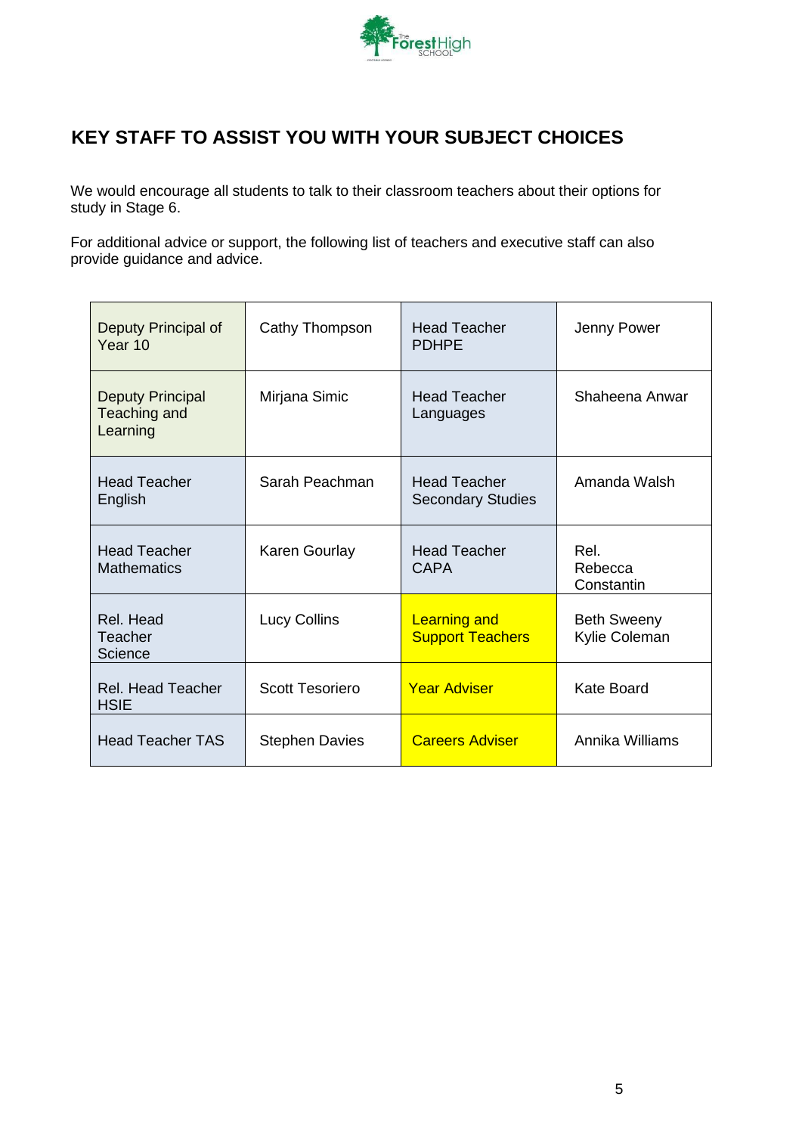

# <span id="page-4-0"></span>**KEY STAFF TO ASSIST YOU WITH YOUR SUBJECT CHOICES**

We would encourage all students to talk to their classroom teachers about their options for study in Stage 6.

For additional advice or support, the following list of teachers and executive staff can also provide guidance and advice.

| Deputy Principal of<br>Year 10                      | Cathy Thompson         | <b>Head Teacher</b><br><b>PDHPE</b>             | Jenny Power                         |
|-----------------------------------------------------|------------------------|-------------------------------------------------|-------------------------------------|
| <b>Deputy Principal</b><br>Teaching and<br>Learning | Mirjana Simic          | <b>Head Teacher</b><br>Languages                | Shaheena Anwar                      |
| <b>Head Teacher</b><br>English                      | Sarah Peachman         | <b>Head Teacher</b><br><b>Secondary Studies</b> | Amanda Walsh                        |
| <b>Head Teacher</b><br><b>Mathematics</b>           | Karen Gourlay          | <b>Head Teacher</b><br>CAPA                     | Rel.<br>Rebecca<br>Constantin       |
| Rel. Head<br>Teacher<br>Science                     | <b>Lucy Collins</b>    | <b>Learning and</b><br><b>Support Teachers</b>  | <b>Beth Sweeny</b><br>Kylie Coleman |
| <b>Rel. Head Teacher</b><br><b>HSIE</b>             | <b>Scott Tesoriero</b> | <b>Year Adviser</b>                             | <b>Kate Board</b>                   |
| <b>Head Teacher TAS</b>                             | <b>Stephen Davies</b>  | <b>Careers Adviser</b>                          | Annika Williams                     |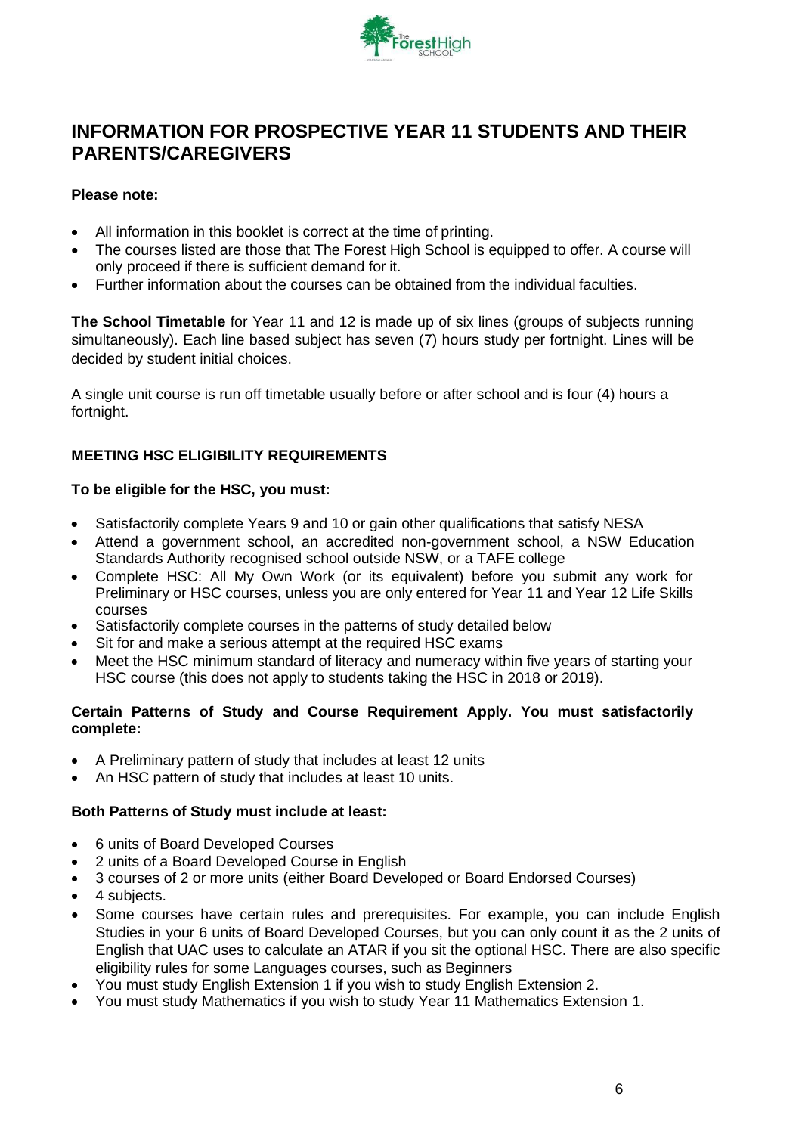

# <span id="page-5-0"></span>**INFORMATION FOR PROSPECTIVE YEAR 11 STUDENTS AND THEIR PARENTS/CAREGIVERS**

### **Please note:**

- All information in this booklet is correct at the time of printing.
- The courses listed are those that The Forest High School is equipped to offer. A course will only proceed if there is sufficient demand for it.
- Further information about the courses can be obtained from the individual faculties.

**The School Timetable** for Year 11 and 12 is made up of six lines (groups of subjects running simultaneously). Each line based subject has seven (7) hours study per fortnight. Lines will be decided by student initial choices.

A single unit course is run off timetable usually before or after school and is four (4) hours a fortnight.

## **MEETING HSC ELIGIBILITY REQUIREMENTS**

#### **To be eligible for the HSC, you must:**

- Satisfactorily complete Years 9 and 10 or gain other qualifications that satisfy NESA
- Attend a government school, an accredited non-government school, a NSW Education Standards Authority recognised school outside NSW, or a TAFE college
- Complete HSC: All My Own Work (or its equivalent) before you submit any work for Preliminary or HSC courses, unless you are only entered for Year 11 and Year 12 Life Skills courses
- Satisfactorily complete courses in the patterns of study detailed below
- Sit for and make a serious attempt at the required HSC exams
- Meet the HSC minimum standard of literacy and numeracy within five years of starting your HSC course (this does not apply to students taking the HSC in 2018 or 2019).

#### **Certain Patterns of Study and Course Requirement Apply. You must satisfactorily complete:**

- A Preliminary pattern of study that includes at least 12 units
- An HSC pattern of study that includes at least 10 units.

#### **Both Patterns of Study must include at least:**

- 6 units of Board Developed Courses
- 2 units of a Board Developed Course in English
- 3 courses of 2 or more units (either Board Developed or Board Endorsed Courses)
- 4 subjects.
- Some courses have certain rules and prerequisites. For example, you can include English Studies in your 6 units of Board Developed Courses, but you can only count it as the 2 units of English that UAC uses to calculate an ATAR if you sit the optional HSC. There are also specific eligibility rules for some Languages courses, such as Beginners
- You must study English Extension 1 if you wish to study English Extension 2.
- You must study Mathematics if you wish to study Year 11 Mathematics Extension 1.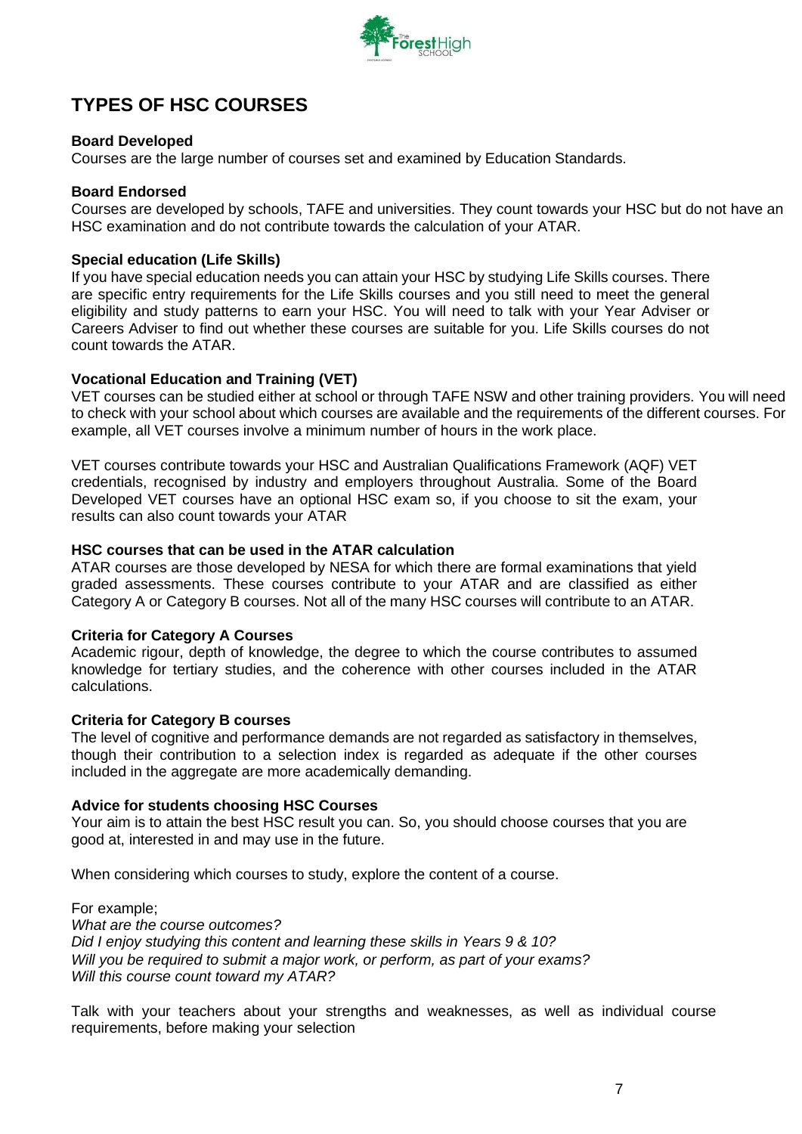

# <span id="page-6-0"></span>**TYPES OF HSC COURSES**

### <span id="page-6-1"></span>**Board Developed**

Courses are the large number of courses set and examined by Education Standards.

#### <span id="page-6-2"></span>**Board Endorsed**

Courses are developed by schools, TAFE and universities. They count towards your HSC but do not have an HSC examination and do not contribute towards the calculation of your ATAR.

#### <span id="page-6-3"></span>**Special education (Life Skills)**

If you have special education needs you can attain your HSC by studying Life Skills courses. There are specific entry requirements for the Life Skills courses and you still need to meet the general eligibility and study patterns to earn your HSC. You will need to talk with your Year Adviser or Careers Adviser to find out whether these courses are suitable for you. Life Skills courses do not count towards the ATAR.

#### <span id="page-6-4"></span>**Vocational Education and Training (VET)**

VET courses can be studied either at school or through TAFE NSW and other training providers. You will need to check with your school about which courses are available and the requirements of the different courses. For example, all VET courses involve a minimum number of hours in the work place.

VET courses contribute towards your HSC and Australian Qualifications Framework (AQF) VET credentials, recognised by industry and employers throughout Australia. Some of the Board Developed VET courses have an optional HSC exam so, if you choose to sit the exam, your results can also count towards your ATAR

#### <span id="page-6-5"></span>**HSC courses that can be used in the ATAR calculation**

ATAR courses are those developed by NESA for which there are formal examinations that yield graded assessments. These courses contribute to your ATAR and are classified as either Category A or Category B courses. Not all of the many HSC courses will contribute to an ATAR.

#### <span id="page-6-6"></span>**Criteria for Category A Courses**

Academic rigour, depth of knowledge, the degree to which the course contributes to assumed knowledge for tertiary studies, and the coherence with other courses included in the ATAR calculations.

#### <span id="page-6-7"></span>**Criteria for Category B courses**

The level of cognitive and performance demands are not regarded as satisfactory in themselves, though their contribution to a selection index is regarded as adequate if the other courses included in the aggregate are more academically demanding.

#### <span id="page-6-8"></span>**Advice for students choosing HSC Courses**

Your aim is to attain the best HSC result you can. So, you should choose courses that you are good at, interested in and may use in the future.

When considering which courses to study, explore the content of a course.

For example; *What are the course outcomes? Did I enjoy studying this content and learning these skills in Years 9 & 10? Will you be required to submit a major work, or perform, as part of your exams? Will this course count toward my ATAR?*

Talk with your teachers about your strengths and weaknesses, as well as individual course requirements, before making your selection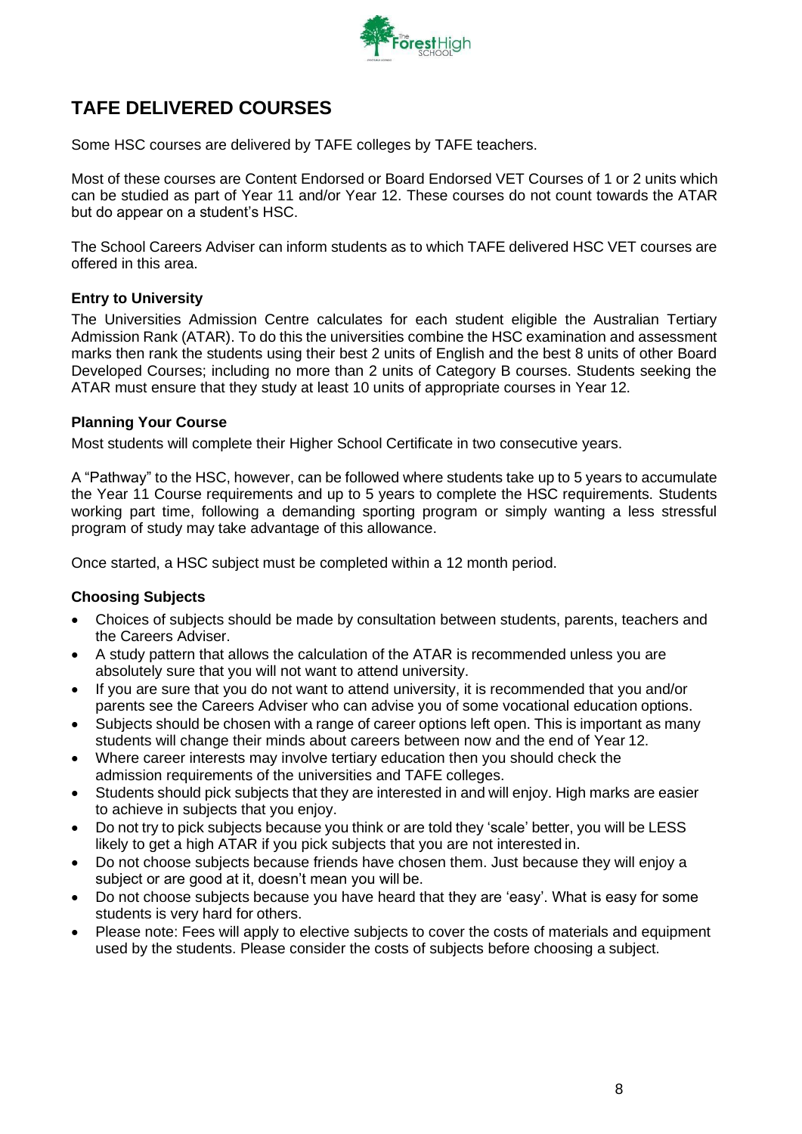

# <span id="page-7-0"></span>**TAFE DELIVERED COURSES**

Some HSC courses are delivered by TAFE colleges by TAFE teachers.

Most of these courses are Content Endorsed or Board Endorsed VET Courses of 1 or 2 units which can be studied as part of Year 11 and/or Year 12. These courses do not count towards the ATAR but do appear on a student's HSC.

The School Careers Adviser can inform students as to which TAFE delivered HSC VET courses are offered in this area.

## <span id="page-7-1"></span>**Entry to University**

The Universities Admission Centre calculates for each student eligible the Australian Tertiary Admission Rank (ATAR). To do this the universities combine the HSC examination and assessment marks then rank the students using their best 2 units of English and the best 8 units of other Board Developed Courses; including no more than 2 units of Category B courses. Students seeking the ATAR must ensure that they study at least 10 units of appropriate courses in Year 12.

#### <span id="page-7-2"></span>**Planning Your Course**

Most students will complete their Higher School Certificate in two consecutive years.

A "Pathway" to the HSC, however, can be followed where students take up to 5 years to accumulate the Year 11 Course requirements and up to 5 years to complete the HSC requirements. Students working part time, following a demanding sporting program or simply wanting a less stressful program of study may take advantage of this allowance.

Once started, a HSC subject must be completed within a 12 month period.

#### <span id="page-7-3"></span>**Choosing Subjects**

- Choices of subjects should be made by consultation between students, parents, teachers and the Careers Adviser.
- A study pattern that allows the calculation of the ATAR is recommended unless you are absolutely sure that you will not want to attend university.
- If you are sure that you do not want to attend university, it is recommended that you and/or parents see the Careers Adviser who can advise you of some vocational education options.
- Subjects should be chosen with a range of career options left open. This is important as many students will change their minds about careers between now and the end of Year 12.
- Where career interests may involve tertiary education then you should check the admission requirements of the universities and TAFE colleges.
- Students should pick subjects that they are interested in and will enjoy. High marks are easier to achieve in subjects that you enjoy.
- Do not try to pick subjects because you think or are told they 'scale' better, you will be LESS likely to get a high ATAR if you pick subjects that you are not interested in.
- Do not choose subjects because friends have chosen them. Just because they will enjoy a subject or are good at it, doesn't mean you will be.
- Do not choose subjects because you have heard that they are 'easy'. What is easy for some students is very hard for others.
- Please note: Fees will apply to elective subjects to cover the costs of materials and equipment used by the students. Please consider the costs of subjects before choosing a subject.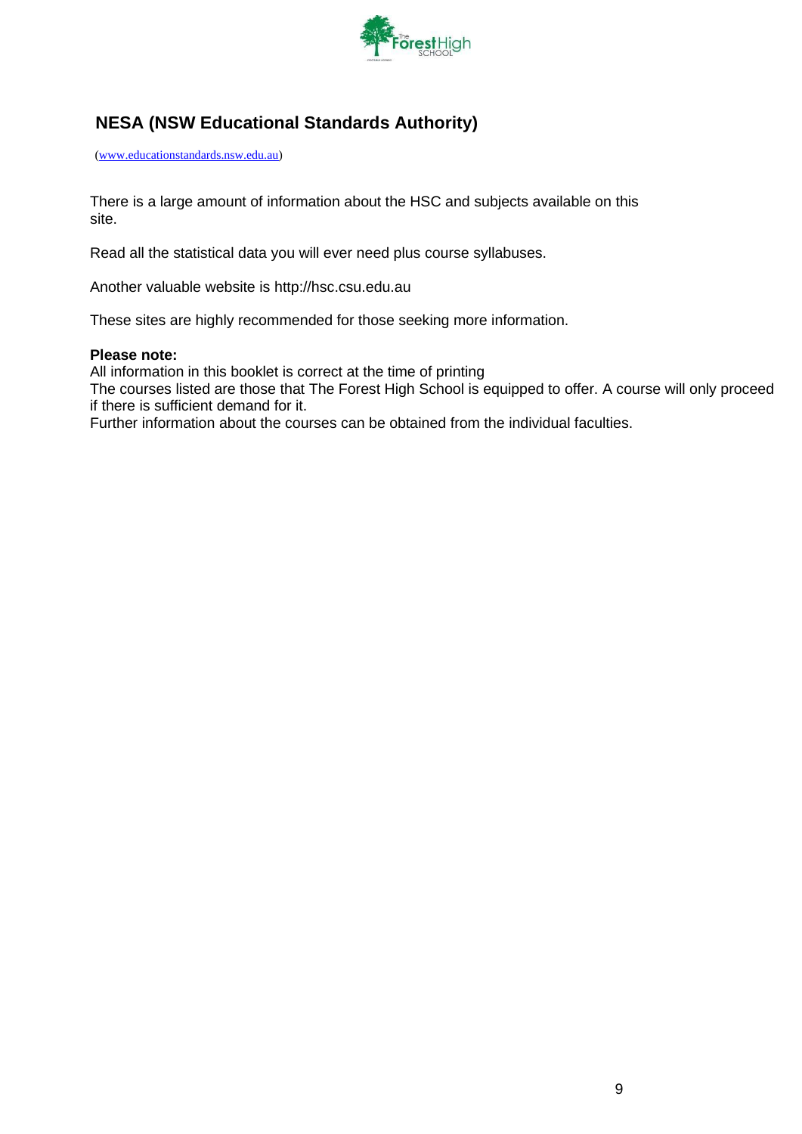

# <span id="page-8-0"></span>**NESA (NSW Educational Standards Authority)**

[\(www.educationstandards.nsw.edu.au\)](http://www.educationstandards.nsw.edu.au/)

There is a large amount of information about the HSC and subjects available on this site.

Read all the statistical data you will ever need plus course syllabuses.

Another valuable website is [http://hsc.csu.edu.au](http://hsc.csu.edu.au/)

These sites are highly recommended for those seeking more information.

#### **Please note:**

All information in this booklet is correct at the time of printing

The courses listed are those that The Forest High School is equipped to offer. A course will only proceed if there is sufficient demand for it.

Further information about the courses can be obtained from the individual faculties.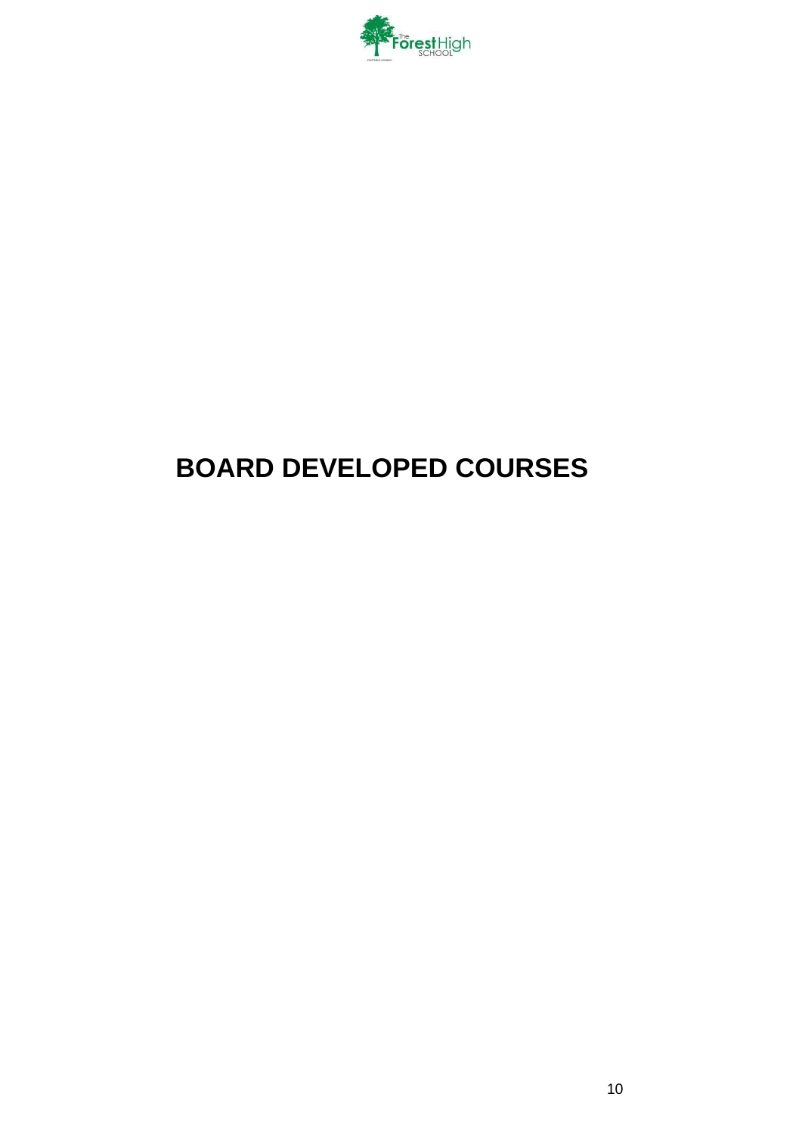

# <span id="page-9-0"></span>**BOARD DEVELOPED COURSES**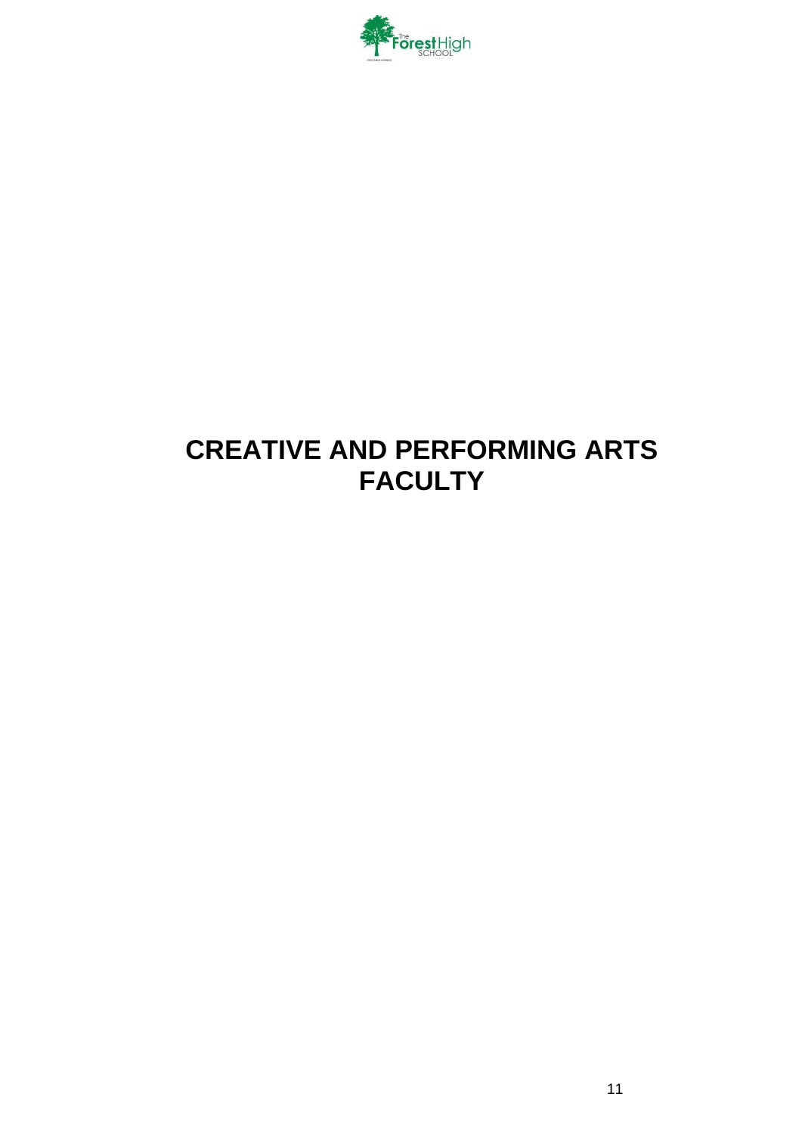

# <span id="page-10-0"></span>**CREATIVE AND PERFORMING ARTS FACULTY**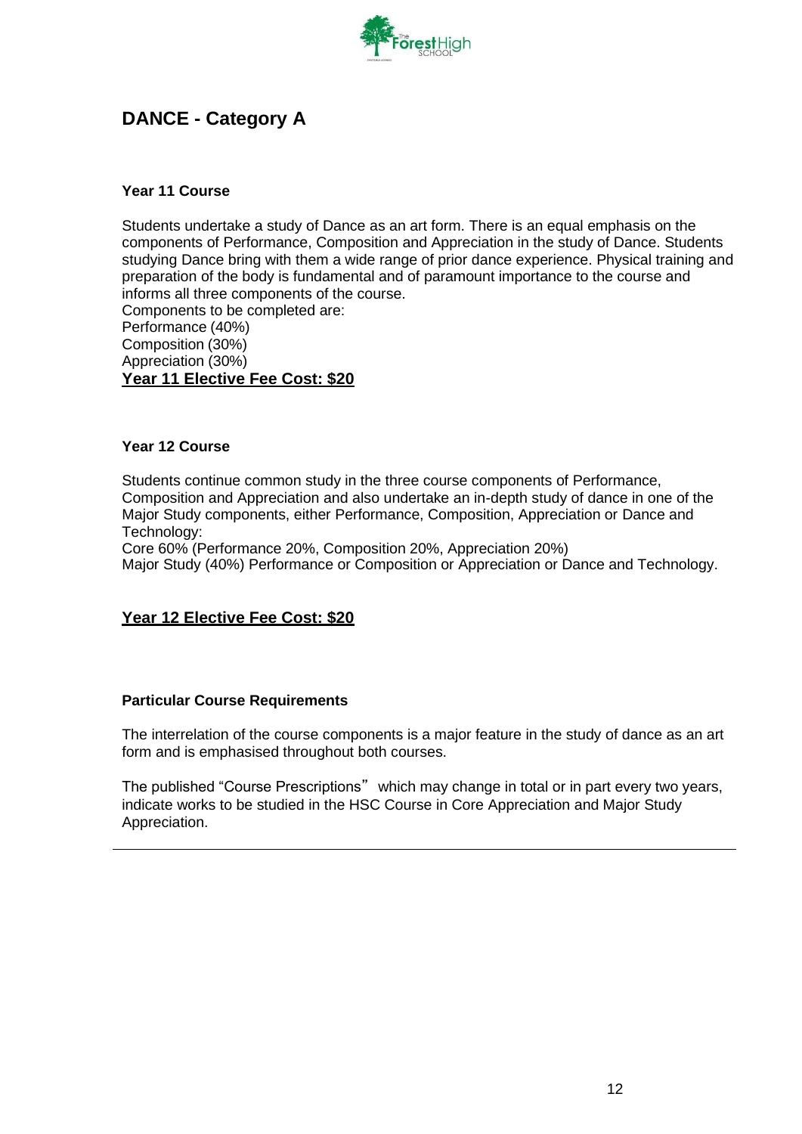

# <span id="page-11-0"></span>**DANCE - Category A**

### **Year 11 Course**

Students undertake a study of Dance as an art form. There is an equal emphasis on the components of Performance, Composition and Appreciation in the study of Dance. Students studying Dance bring with them a wide range of prior dance experience. Physical training and preparation of the body is fundamental and of paramount importance to the course and informs all three components of the course.

Components to be completed are: Performance (40%) Composition (30%) Appreciation (30%) **Year 11 Elective Fee Cost: \$20**

#### **Year 12 Course**

Students continue common study in the three course components of Performance, Composition and Appreciation and also undertake an in-depth study of dance in one of the Major Study components, either Performance, Composition, Appreciation or Dance and Technology:

Core 60% (Performance 20%, Composition 20%, Appreciation 20%) Major Study (40%) Performance or Composition or Appreciation or Dance and Technology.

## **Year 12 Elective Fee Cost: \$20**

#### **Particular Course Requirements**

The interrelation of the course components is a major feature in the study of dance as an art form and is emphasised throughout both courses.

The published "Course Prescriptions" which may change in total or in part every two years, indicate works to be studied in the HSC Course in Core Appreciation and Major Study Appreciation.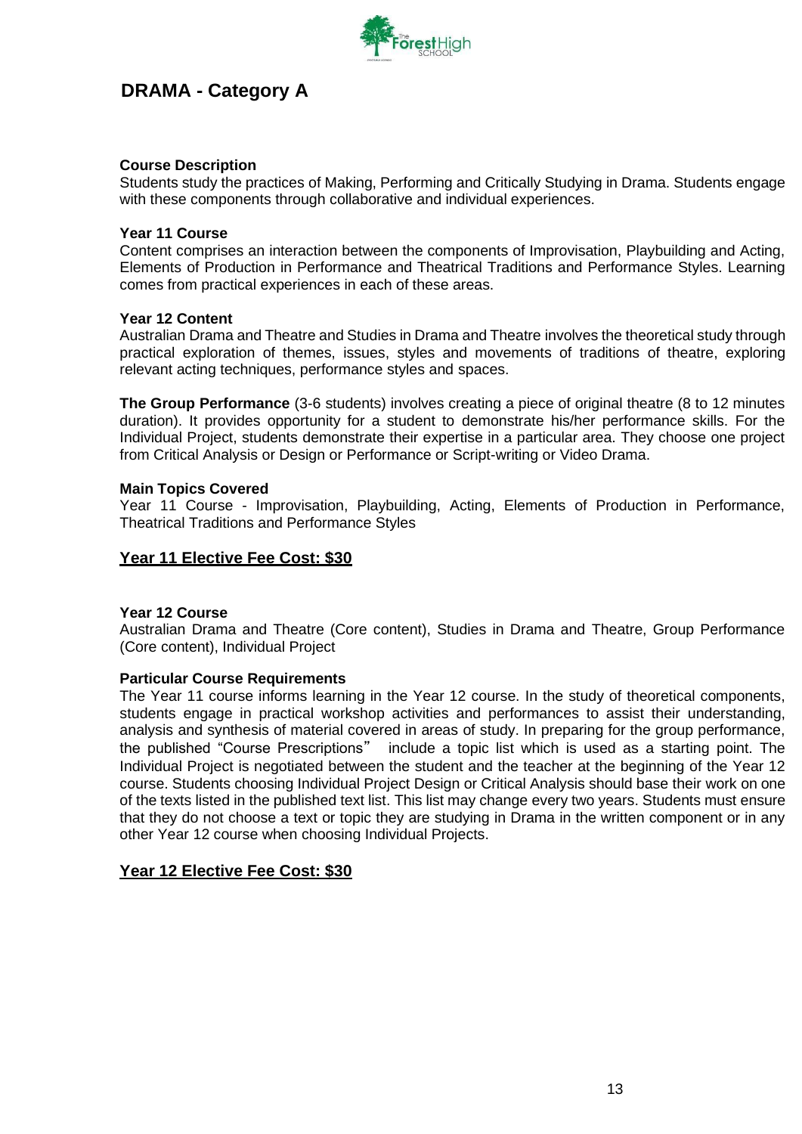

# <span id="page-12-0"></span>**DRAMA - Category A**

### **Course Description**

Students study the practices of Making, Performing and Critically Studying in Drama. Students engage with these components through collaborative and individual experiences.

#### **Year 11 Course**

Content comprises an interaction between the components of Improvisation, Playbuilding and Acting, Elements of Production in Performance and Theatrical Traditions and Performance Styles. Learning comes from practical experiences in each of these areas.

#### **Year 12 Content**

Australian Drama and Theatre and Studies in Drama and Theatre involves the theoretical study through practical exploration of themes, issues, styles and movements of traditions of theatre, exploring relevant acting techniques, performance styles and spaces.

**The Group Performance** (3-6 students) involves creating a piece of original theatre (8 to 12 minutes duration). It provides opportunity for a student to demonstrate his/her performance skills. For the Individual Project, students demonstrate their expertise in a particular area. They choose one project from Critical Analysis or Design or Performance or Script-writing or Video Drama.

#### **Main Topics Covered**

Year 11 Course - Improvisation, Playbuilding, Acting, Elements of Production in Performance, Theatrical Traditions and Performance Styles

## **Year 11 Elective Fee Cost: \$30**

#### **Year 12 Course**

Australian Drama and Theatre (Core content), Studies in Drama and Theatre, Group Performance (Core content), Individual Project

#### **Particular Course Requirements**

The Year 11 course informs learning in the Year 12 course. In the study of theoretical components, students engage in practical workshop activities and performances to assist their understanding, analysis and synthesis of material covered in areas of study. In preparing for the group performance, the published "Course Prescriptions" include a topic list which is used as a starting point. The Individual Project is negotiated between the student and the teacher at the beginning of the Year 12 course. Students choosing Individual Project Design or Critical Analysis should base their work on one of the texts listed in the published text list. This list may change every two years. Students must ensure that they do not choose a text or topic they are studying in Drama in the written component or in any other Year 12 course when choosing Individual Projects.

## **Year 12 Elective Fee Cost: \$30**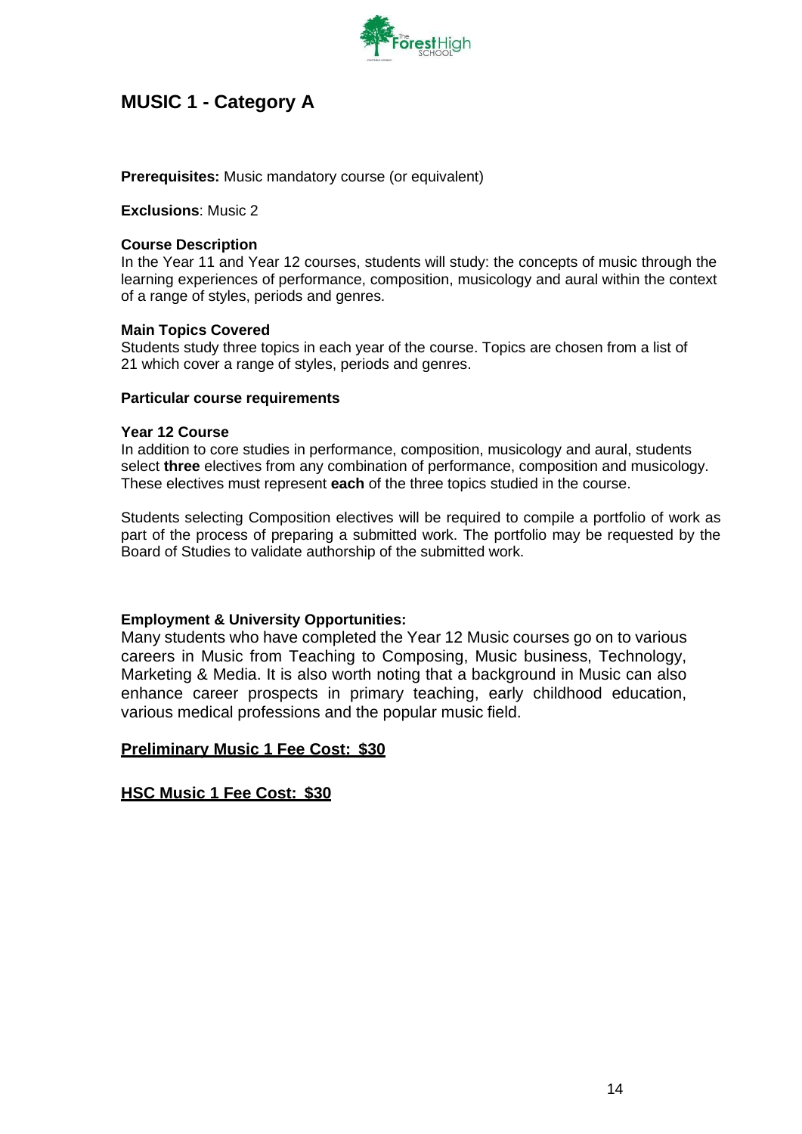

# <span id="page-13-0"></span>**MUSIC 1 - Category A**

#### **Prerequisites:** Music mandatory course (or equivalent)

**Exclusions**: Music 2

#### **Course Description**

In the Year 11 and Year 12 courses, students will study: the concepts of music through the learning experiences of performance, composition, musicology and aural within the context of a range of styles, periods and genres.

#### **Main Topics Covered**

Students study three topics in each year of the course. Topics are chosen from a list of 21 which cover a range of styles, periods and genres.

#### **Particular course requirements**

#### **Year 12 Course**

In addition to core studies in performance, composition, musicology and aural, students select **three** electives from any combination of performance, composition and musicology. These electives must represent **each** of the three topics studied in the course.

Students selecting Composition electives will be required to compile a portfolio of work as part of the process of preparing a submitted work. The portfolio may be requested by the Board of Studies to validate authorship of the submitted work.

#### **Employment & University Opportunities:**

Many students who have completed the Year 12 Music courses go on to various careers in Music from Teaching to Composing, Music business, Technology, Marketing & Media. It is also worth noting that a background in Music can also enhance career prospects in primary teaching, early childhood education, various medical professions and the popular music field.

#### **Preliminary Music 1 Fee Cost: \$30**

#### **HSC Music 1 Fee Cost: \$30**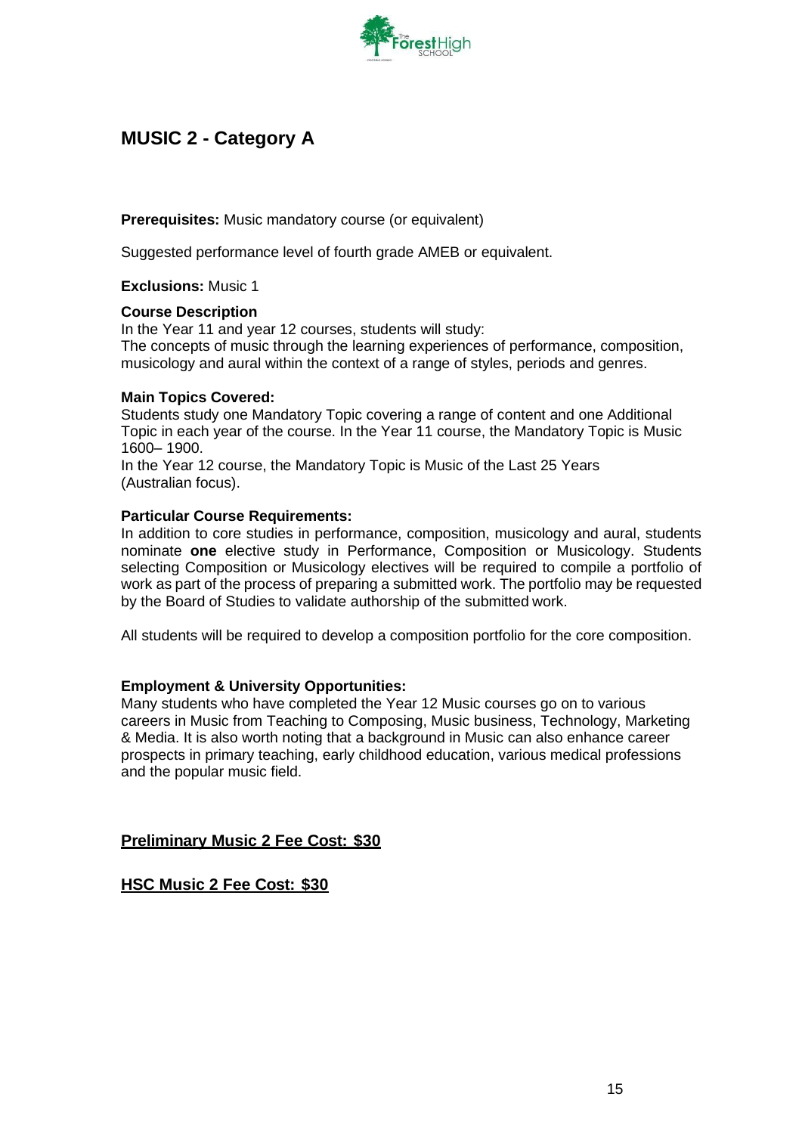

# <span id="page-14-0"></span>**MUSIC 2 - Category A**

**Prerequisites:** Music mandatory course (or equivalent)

Suggested performance level of fourth grade AMEB or equivalent.

**Exclusions:** Music 1

## **Course Description**

In the Year 11 and year 12 courses, students will study: The concepts of music through the learning experiences of performance, composition, musicology and aural within the context of a range of styles, periods and genres.

## **Main Topics Covered:**

Students study one Mandatory Topic covering a range of content and one Additional Topic in each year of the course. In the Year 11 course, the Mandatory Topic is Music 1600– 1900.

In the Year 12 course, the Mandatory Topic is Music of the Last 25 Years (Australian focus).

## **Particular Course Requirements:**

In addition to core studies in performance, composition, musicology and aural, students nominate **one** elective study in Performance, Composition or Musicology. Students selecting Composition or Musicology electives will be required to compile a portfolio of work as part of the process of preparing a submitted work. The portfolio may be requested by the Board of Studies to validate authorship of the submitted work.

All students will be required to develop a composition portfolio for the core composition.

#### **Employment & University Opportunities:**

Many students who have completed the Year 12 Music courses go on to various careers in Music from Teaching to Composing, Music business, Technology, Marketing & Media. It is also worth noting that a background in Music can also enhance career prospects in primary teaching, early childhood education, various medical professions and the popular music field.

## **Preliminary Music 2 Fee Cost: \$30**

**HSC Music 2 Fee Cost: \$30**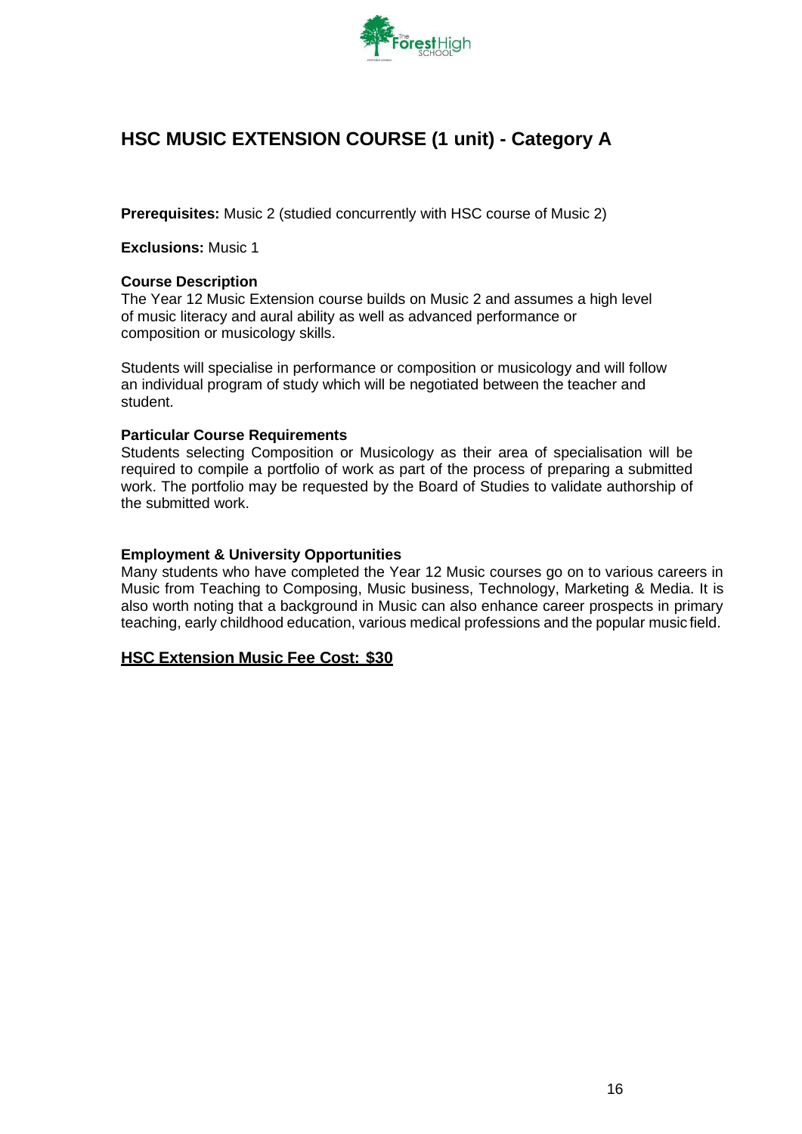

# <span id="page-15-0"></span>**HSC MUSIC EXTENSION COURSE (1 unit) - Category A**

**Prerequisites:** Music 2 (studied concurrently with HSC course of Music 2)

#### **Exclusions:** Music 1

#### **Course Description**

The Year 12 Music Extension course builds on Music 2 and assumes a high level of music literacy and aural ability as well as advanced performance or composition or musicology skills.

Students will specialise in performance or composition or musicology and will follow an individual program of study which will be negotiated between the teacher and student.

#### **Particular Course Requirements**

Students selecting Composition or Musicology as their area of specialisation will be required to compile a portfolio of work as part of the process of preparing a submitted work. The portfolio may be requested by the Board of Studies to validate authorship of the submitted work.

#### **Employment & University Opportunities**

Many students who have completed the Year 12 Music courses go on to various careers in Music from Teaching to Composing, Music business, Technology, Marketing & Media. It is also worth noting that a background in Music can also enhance career prospects in primary teaching, early childhood education, various medical professions and the popular music field.

#### **HSC Extension Music Fee Cost: \$30**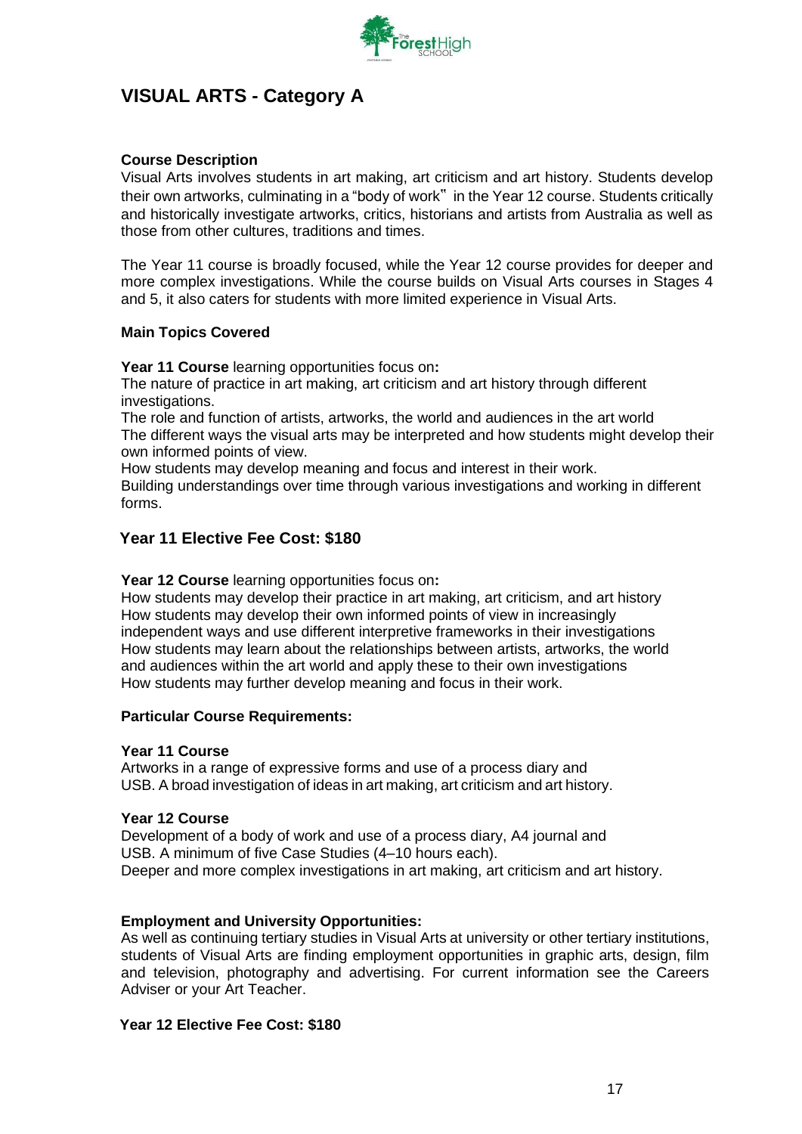

# <span id="page-16-0"></span>**VISUAL ARTS - Category A**

## **Course Description**

Visual Arts involves students in art making, art criticism and art history. Students develop their own artworks, culminating in a "body of work" in the Year 12 course. Students critically and historically investigate artworks, critics, historians and artists from Australia as well as those from other cultures, traditions and times.

The Year 11 course is broadly focused, while the Year 12 course provides for deeper and more complex investigations. While the course builds on Visual Arts courses in Stages 4 and 5, it also caters for students with more limited experience in Visual Arts.

#### **Main Topics Covered**

**Year 11 Course** learning opportunities focus on**:**

The nature of practice in art making, art criticism and art history through different investigations.

The role and function of artists, artworks, the world and audiences in the art world The different ways the visual arts may be interpreted and how students might develop their own informed points of view.

How students may develop meaning and focus and interest in their work. Building understandings over time through various investigations and working in different

forms.

## **Year 11 Elective Fee Cost: \$180**

#### **Year 12 Course** learning opportunities focus on**:**

How students may develop their practice in art making, art criticism, and art history How students may develop their own informed points of view in increasingly independent ways and use different interpretive frameworks in their investigations How students may learn about the relationships between artists, artworks, the world and audiences within the art world and apply these to their own investigations How students may further develop meaning and focus in their work.

#### **Particular Course Requirements:**

#### **Year 11 Course**

Artworks in a range of expressive forms and use of a process diary and USB. A broad investigation of ideas in art making, art criticism and art history.

#### **Year 12 Course**

Development of a body of work and use of a process diary, A4 journal and USB. A minimum of five Case Studies (4–10 hours each). Deeper and more complex investigations in art making, art criticism and art history.

#### **Employment and University Opportunities:**

As well as continuing tertiary studies in Visual Arts at university or other tertiary institutions, students of Visual Arts are finding employment opportunities in graphic arts, design, film and television, photography and advertising. For current information see the Careers Adviser or your Art Teacher.

#### **Year 12 Elective Fee Cost: \$180**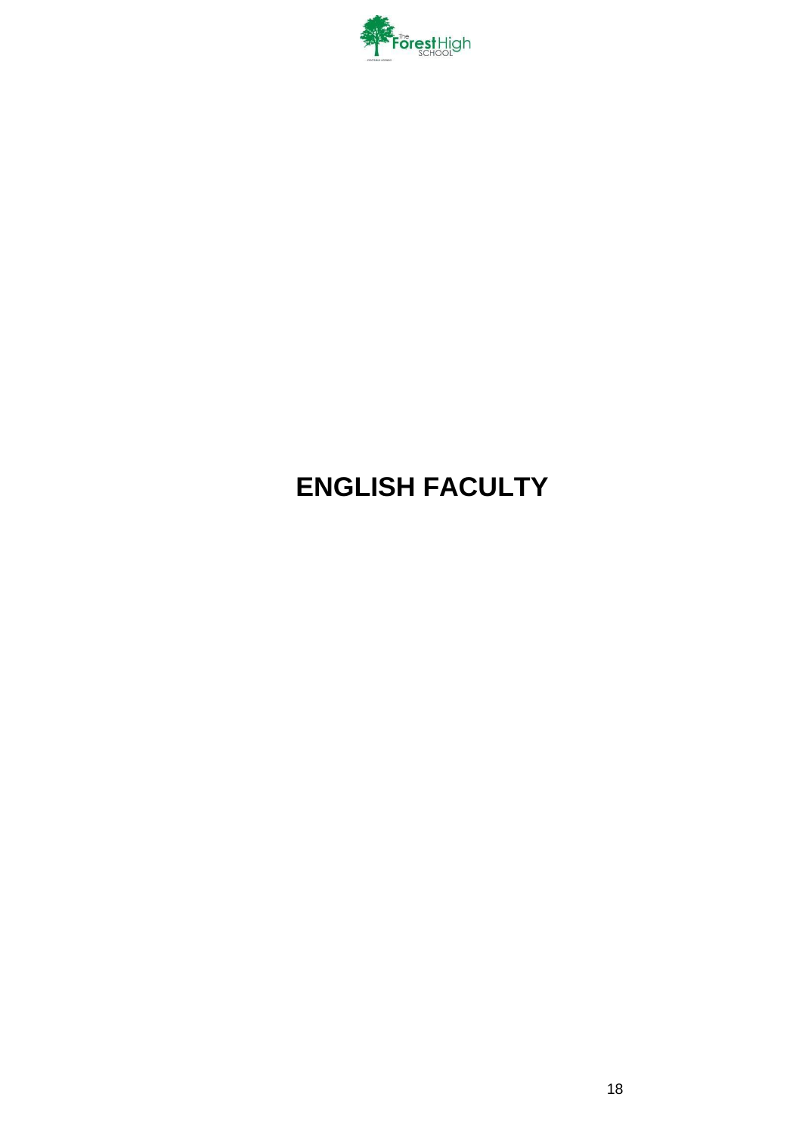

# <span id="page-17-0"></span>**ENGLISH FACULTY**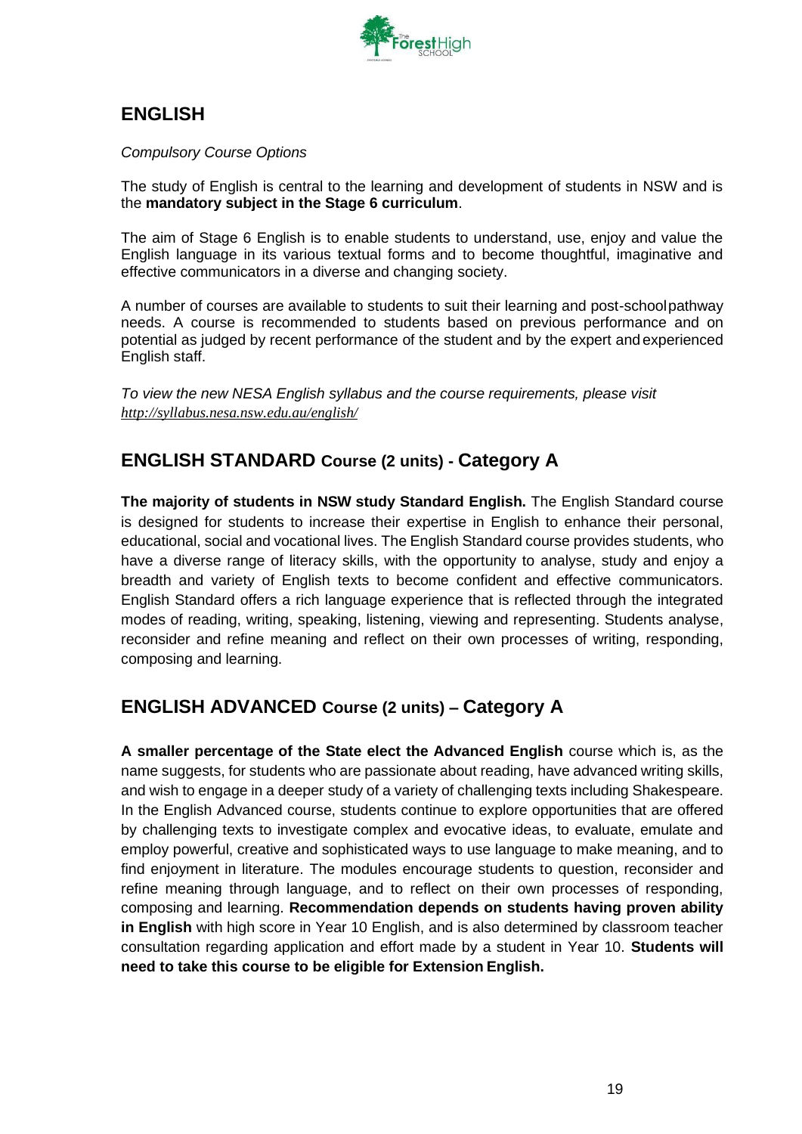

# **ENGLISH**

*Compulsory Course Options*

The study of English is central to the learning and development of students in NSW and is the **mandatory subject in the Stage 6 curriculum**.

The aim of Stage 6 English is to enable students to understand, use, enjoy and value the English language in its various textual forms and to become thoughtful, imaginative and effective communicators in a diverse and changing society.

A number of courses are available to students to suit their learning and post-schoolpathway needs. A course is recommended to students based on previous performance and on potential as judged by recent performance of the student and by the expert and experienced English staff.

*To view the new NESA English syllabus and the course requirements, please visit <http://syllabus.nesa.nsw.edu.au/english/>*

# <span id="page-18-0"></span>**ENGLISH STANDARD Course (2 units) - Category A**

**The majority of students in NSW study Standard English.** The English Standard course is designed for students to increase their expertise in English to enhance their personal, educational, social and vocational lives. The English Standard course provides students, who have a diverse range of literacy skills, with the opportunity to analyse, study and enjoy a breadth and variety of English texts to become confident and effective communicators. English Standard offers a rich language experience that is reflected through the integrated modes of reading, writing, speaking, listening, viewing and representing. Students analyse, reconsider and refine meaning and reflect on their own processes of writing, responding, composing and learning.

# <span id="page-18-1"></span>**ENGLISH ADVANCED Course (2 units) – Category A**

**A smaller percentage of the State elect the Advanced English** course which is, as the name suggests, for students who are passionate about reading, have advanced writing skills, and wish to engage in a deeper study of a variety of challenging texts including Shakespeare. In the English Advanced course, students continue to explore opportunities that are offered by challenging texts to investigate complex and evocative ideas, to evaluate, emulate and employ powerful, creative and sophisticated ways to use language to make meaning, and to find enjoyment in literature. The modules encourage students to question, reconsider and refine meaning through language, and to reflect on their own processes of responding, composing and learning. **Recommendation depends on students having proven ability in English** with high score in Year 10 English, and is also determined by classroom teacher consultation regarding application and effort made by a student in Year 10. **Students will need to take this course to be eligible for Extension English.**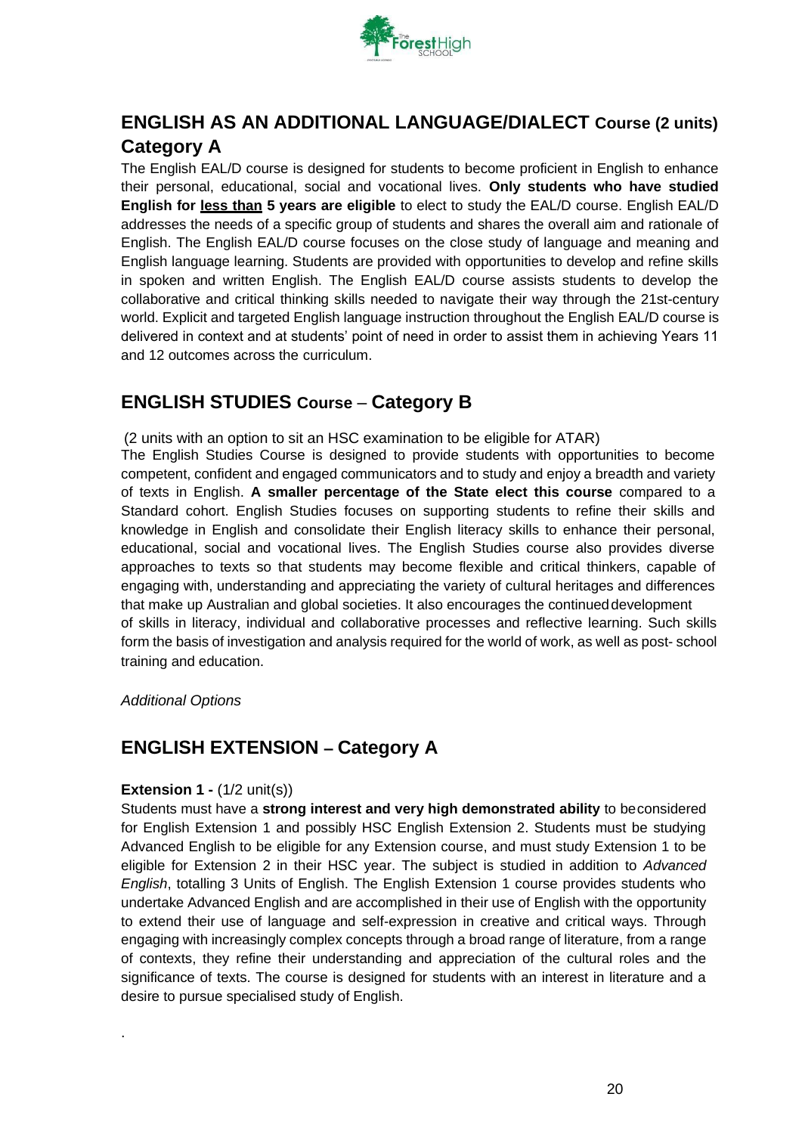

# <span id="page-19-0"></span>**ENGLISH AS AN ADDITIONAL LANGUAGE/DIALECT Course (2 units) Category A**

The English EAL/D course is designed for students to become proficient in English to enhance their personal, educational, social and vocational lives. **Only students who have studied English for less than 5 years are eligible** to elect to study the EAL/D course. English EAL/D addresses the needs of a specific group of students and shares the overall aim and rationale of English. The English EAL/D course focuses on the close study of language and meaning and English language learning. Students are provided with opportunities to develop and refine skills in spoken and written English. The English EAL/D course assists students to develop the collaborative and critical thinking skills needed to navigate their way through the 21st-century world. Explicit and targeted English language instruction throughout the English EAL/D course is delivered in context and at students' point of need in order to assist them in achieving Years 11 and 12 outcomes across the curriculum.

# <span id="page-19-1"></span>**ENGLISH STUDIES Course** – **Category B**

(2 units with an option to sit an HSC examination to be eligible for ATAR) The English Studies Course is designed to provide students with opportunities to become competent, confident and engaged communicators and to study and enjoy a breadth and variety of texts in English. **A smaller percentage of the State elect this course** compared to a Standard cohort. English Studies focuses on supporting students to refine their skills and knowledge in English and consolidate their English literacy skills to enhance their personal, educational, social and vocational lives. The English Studies course also provides diverse approaches to texts so that students may become flexible and critical thinkers, capable of engaging with, understanding and appreciating the variety of cultural heritages and differences that make up Australian and global societies. It also encourages the continueddevelopment of skills in literacy, individual and collaborative processes and reflective learning. Such skills form the basis of investigation and analysis required for the world of work, as well as post- school training and education.

## *Additional Options*

.

# <span id="page-19-2"></span>**ENGLISH EXTENSION – Category A**

#### **Extension 1 - (1/2 unit(s))**

Students must have a **strong interest and very high demonstrated ability** to beconsidered for English Extension 1 and possibly HSC English Extension 2. Students must be studying Advanced English to be eligible for any Extension course, and must study Extension 1 to be eligible for Extension 2 in their HSC year. The subject is studied in addition to *Advanced English*, totalling 3 Units of English. The English Extension 1 course provides students who undertake Advanced English and are accomplished in their use of English with the opportunity to extend their use of language and self-expression in creative and critical ways. Through engaging with increasingly complex concepts through a broad range of literature, from a range of contexts, they refine their understanding and appreciation of the cultural roles and the significance of texts. The course is designed for students with an interest in literature and a desire to pursue specialised study of English.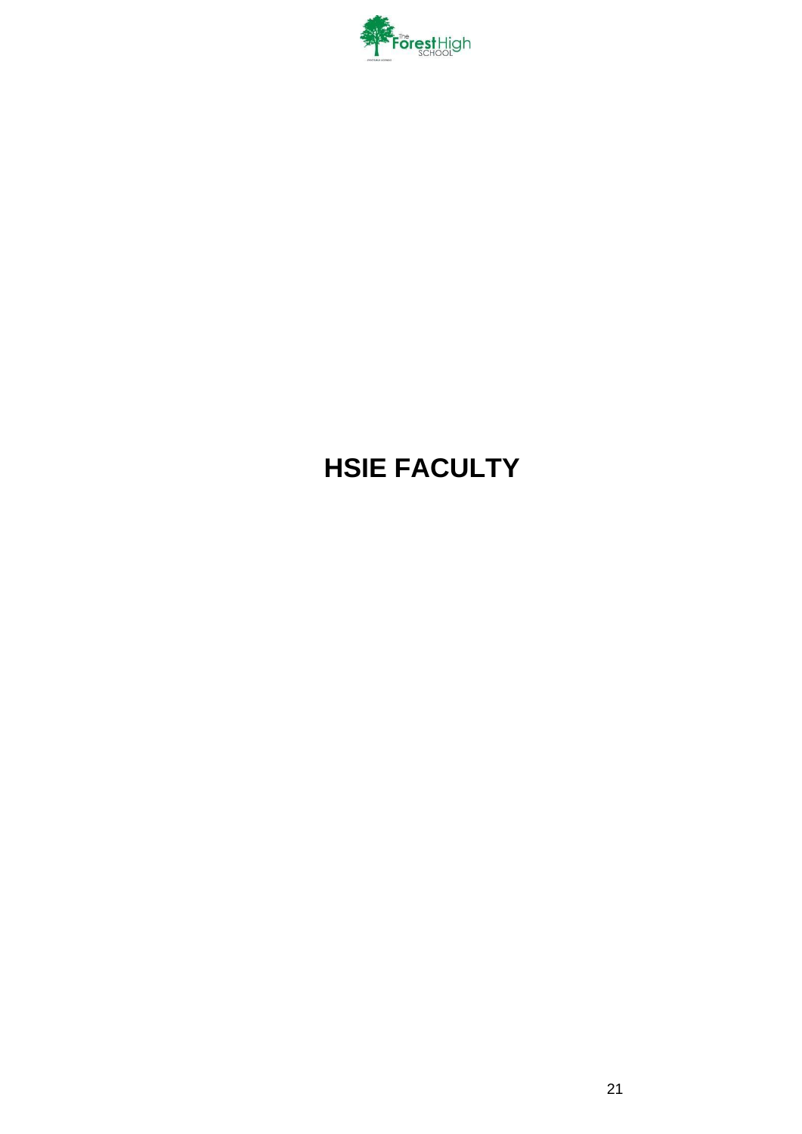

# <span id="page-20-0"></span>**HSIE FACULTY**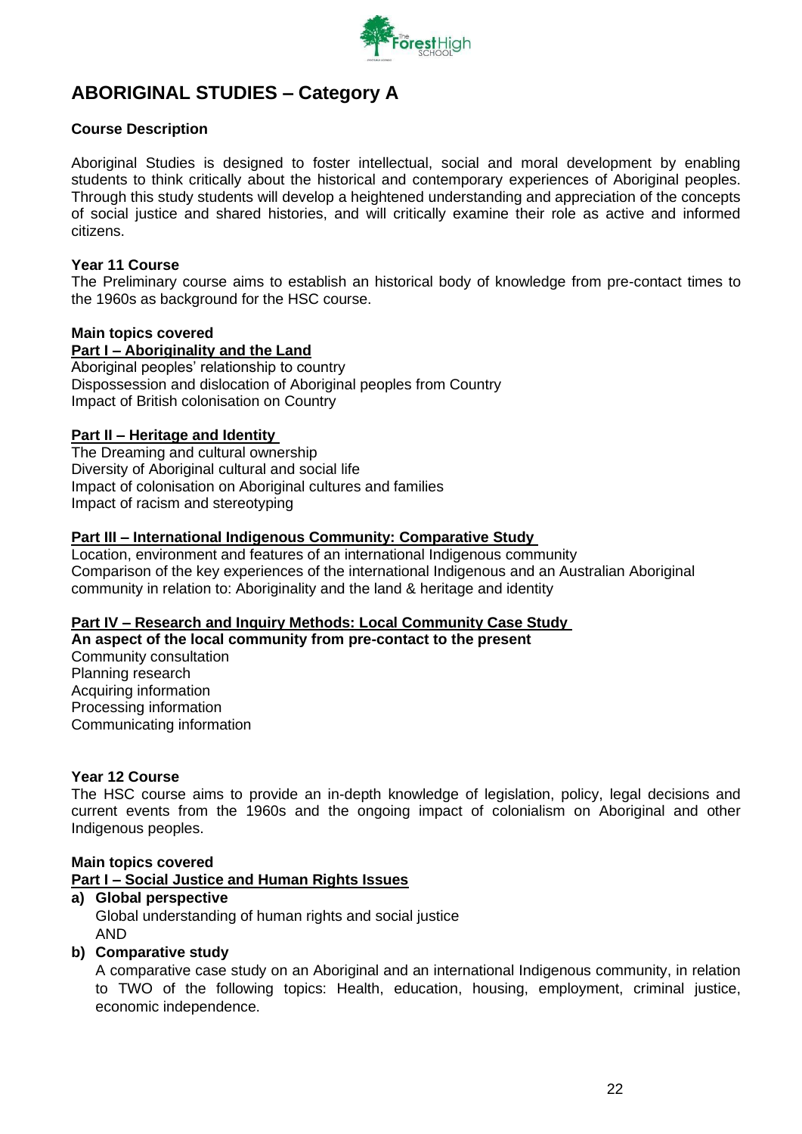

# <span id="page-21-0"></span>**ABORIGINAL STUDIES – Category A**

### **Course Description**

Aboriginal Studies is designed to foster intellectual, social and moral development by enabling students to think critically about the historical and contemporary experiences of Aboriginal peoples. Through this study students will develop a heightened understanding and appreciation of the concepts of social justice and shared histories, and will critically examine their role as active and informed citizens.

#### **Year 11 Course**

The Preliminary course aims to establish an historical body of knowledge from pre-contact times to the 1960s as background for the HSC course.

#### **Main topics covered**

**Part I – Aboriginality and the Land** Aboriginal peoples' relationship to country Dispossession and dislocation of Aboriginal peoples from Country Impact of British colonisation on Country

#### **Part II – Heritage and Identity**

The Dreaming and cultural ownership Diversity of Aboriginal cultural and social life Impact of colonisation on Aboriginal cultures and families Impact of racism and stereotyping

#### **Part III – International Indigenous Community: Comparative Study**

Location, environment and features of an international Indigenous community Comparison of the key experiences of the international Indigenous and an Australian Aboriginal community in relation to: Aboriginality and the land & heritage and identity

#### **Part IV – Research and Inquiry Methods: Local Community Case Study**

**An aspect of the local community from pre-contact to the present**  Community consultation Planning research Acquiring information Processing information Communicating information

#### **Year 12 Course**

The HSC course aims to provide an in-depth knowledge of legislation, policy, legal decisions and current events from the 1960s and the ongoing impact of colonialism on Aboriginal and other Indigenous peoples.

#### **Main topics covered**

**Part I – Social Justice and Human Rights Issues**

## **a) Global perspective**  Global understanding of human rights and social justice AND

#### **b) Comparative study**

A comparative case study on an Aboriginal and an international Indigenous community, in relation to TWO of the following topics: Health, education, housing, employment, criminal justice, economic independence.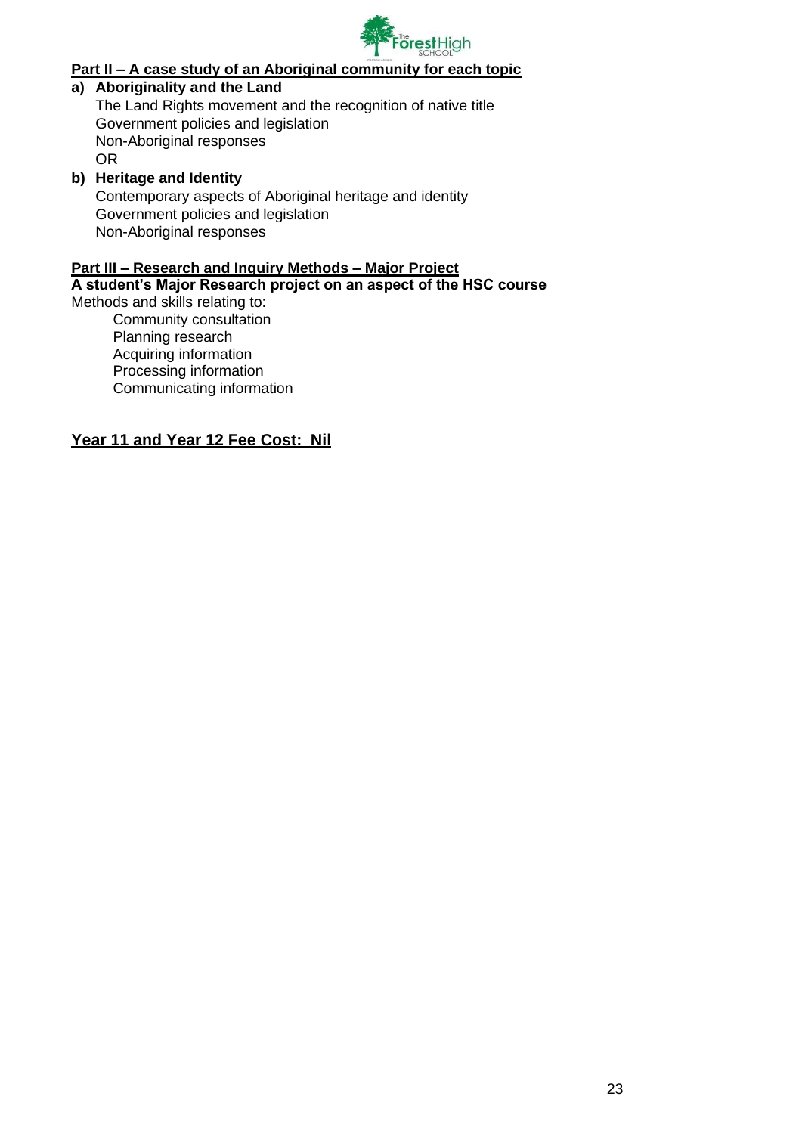

# **Part II – A case study of an Aboriginal community for each topic**

### **a) Aboriginality and the Land**

The Land Rights movement and the recognition of native title Government policies and legislation Non-Aboriginal responses OR

### **b) Heritage and Identity**

Contemporary aspects of Aboriginal heritage and identity Government policies and legislation Non-Aboriginal responses

#### **Part III – Research and Inquiry Methods – Major Project**

#### **A student's Major Research project on an aspect of the HSC course**

Methods and skills relating to: Community consultation Planning research Acquiring information Processing information Communicating information

### **Year 11 and Year 12 Fee Cost: Nil**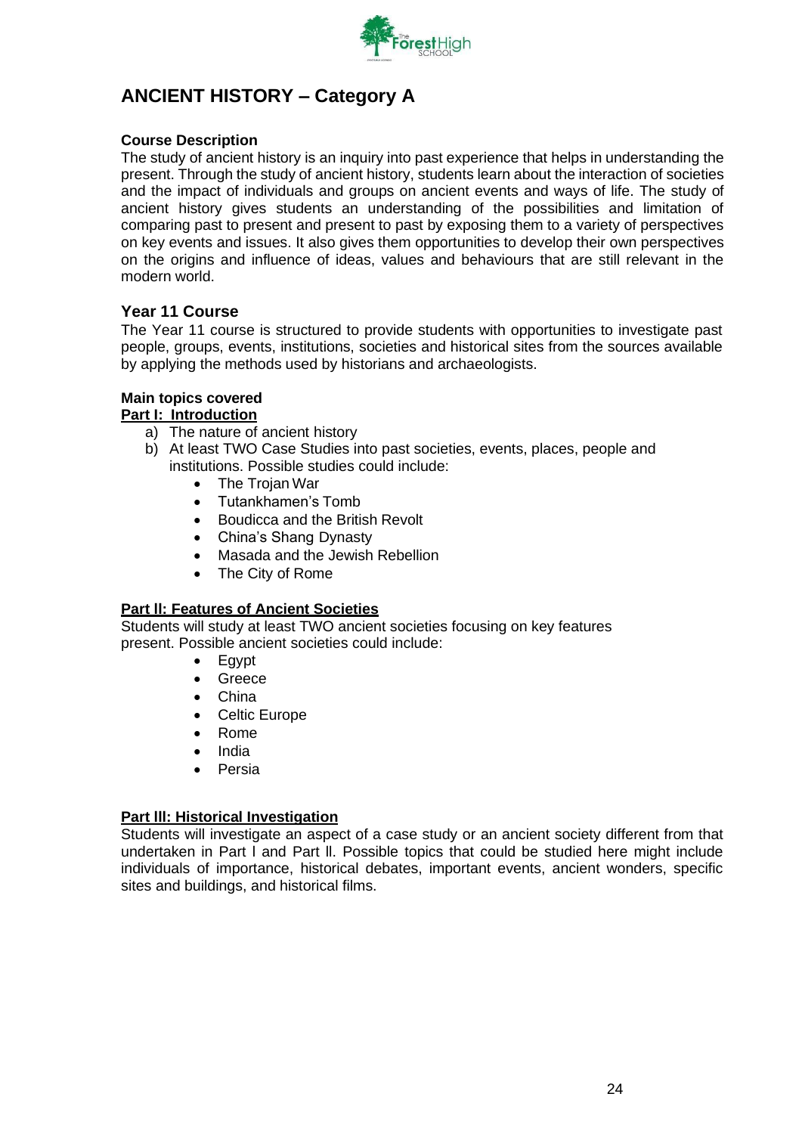

# <span id="page-23-0"></span>**ANCIENT HISTORY – Category A**

## **Course Description**

The study of ancient history is an inquiry into past experience that helps in understanding the present. Through the study of ancient history, students learn about the interaction of societies and the impact of individuals and groups on ancient events and ways of life. The study of ancient history gives students an understanding of the possibilities and limitation of comparing past to present and present to past by exposing them to a variety of perspectives on key events and issues. It also gives them opportunities to develop their own perspectives on the origins and influence of ideas, values and behaviours that are still relevant in the modern world.

## **Year 11 Course**

The Year 11 course is structured to provide students with opportunities to investigate past people, groups, events, institutions, societies and historical sites from the sources available by applying the methods used by historians and archaeologists.

## **Main topics covered**

#### **Part I: Introduction**

- a) The nature of ancient history
- b) At least TWO Case Studies into past societies, events, places, people and institutions. Possible studies could include:
	- The Trojan War
	- Tutankhamen's Tomb
	- Boudicca and the British Revolt
	- China's Shang Dynasty
	- Masada and the Jewish Rebellion
	- The City of Rome

## **Part ll: Features of Ancient Societies**

Students will study at least TWO ancient societies focusing on key features present. Possible ancient societies could include:

- Egypt
- Greece
- China
- Celtic Europe
- Rome
- India
- Persia

#### **Part lll: Historical Investigation**

Students will investigate an aspect of a case study or an ancient society different from that undertaken in Part l and Part ll. Possible topics that could be studied here might include individuals of importance, historical debates, important events, ancient wonders, specific sites and buildings, and historical films.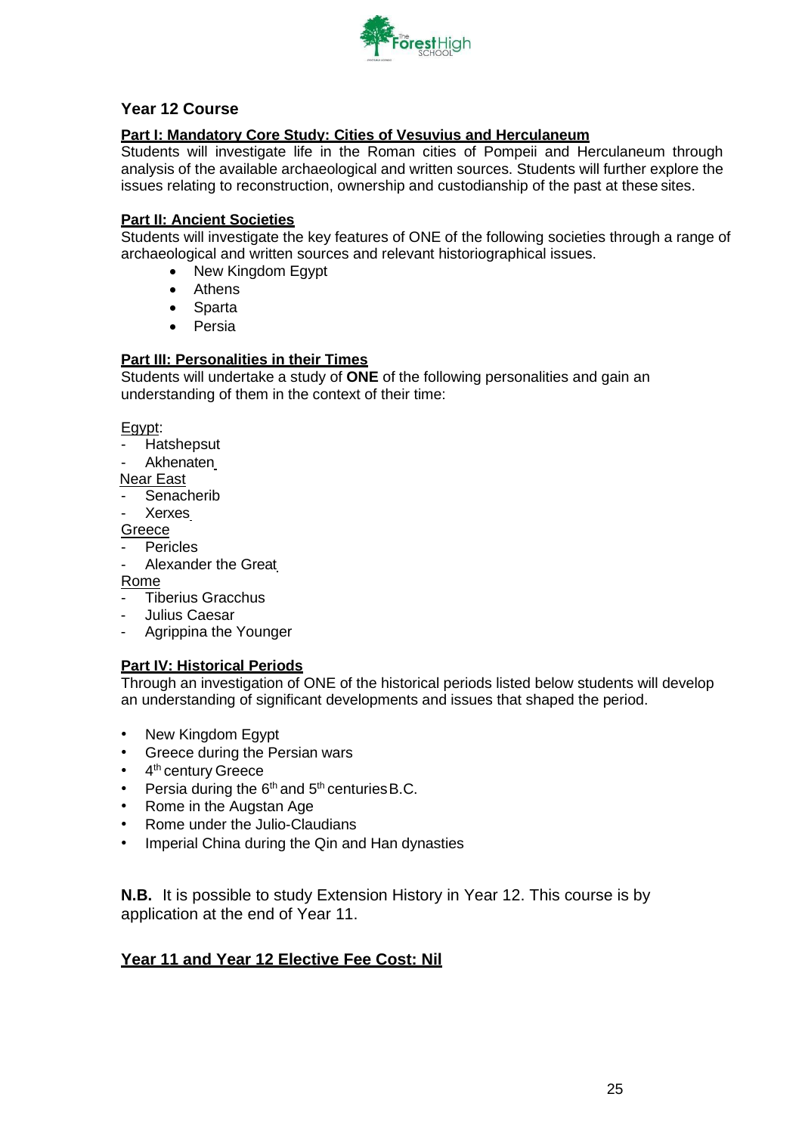

# **Year 12 Course**

## **Part I: Mandatory Core Study: Cities of Vesuvius and Herculaneum**

Students will investigate life in the Roman cities of Pompeii and Herculaneum through analysis of the available archaeological and written sources. Students will further explore the issues relating to reconstruction, ownership and custodianship of the past at these sites.

### **Part II: Ancient Societies**

Students will investigate the key features of ONE of the following societies through a range of archaeological and written sources and relevant historiographical issues.

- New Kingdom Egypt
- Athens
- Sparta
- Persia

## **Part III: Personalities in their Times**

Students will undertake a study of **ONE** of the following personalities and gain an understanding of them in the context of their time:

Egypt:

- **Hatshepsut**
- **Akhenaten**

Near East

- Senacherib
- **Xerxes**

Greece

- **Pericles**
- Alexander the Great

#### Rome

- Tiberius Gracchus
- Julius Caesar
- Agrippina the Younger

#### **Part IV: Historical Periods**

Through an investigation of ONE of the historical periods listed below students will develop an understanding of significant developments and issues that shaped the period.

- New Kingdom Egypt
- Greece during the Persian wars
- 4<sup>th</sup> century Greece
- Persia during the  $6<sup>th</sup>$  and  $5<sup>th</sup>$  centuries B.C.
- Rome in the Augstan Age
- Rome under the Julio-Claudians
- Imperial China during the Qin and Han dynasties

**N.B.** It is possible to study Extension History in Year 12. This course is by application at the end of Year 11.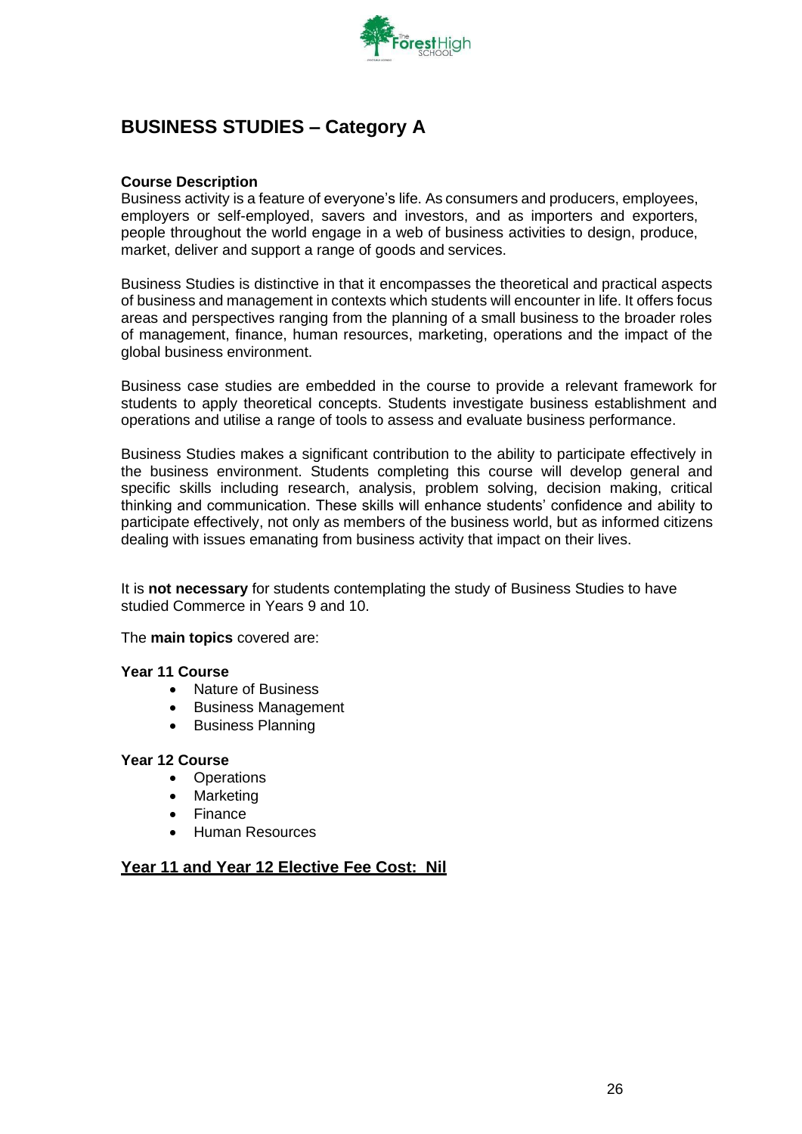

# <span id="page-25-0"></span>**BUSINESS STUDIES – Category A**

#### **Course Description**

Business activity is a feature of everyone's life. As consumers and producers, employees, employers or self-employed, savers and investors, and as importers and exporters, people throughout the world engage in a web of business activities to design, produce, market, deliver and support a range of goods and services.

Business Studies is distinctive in that it encompasses the theoretical and practical aspects of business and management in contexts which students will encounter in life. It offers focus areas and perspectives ranging from the planning of a small business to the broader roles of management, finance, human resources, marketing, operations and the impact of the global business environment.

Business case studies are embedded in the course to provide a relevant framework for students to apply theoretical concepts. Students investigate business establishment and operations and utilise a range of tools to assess and evaluate business performance.

Business Studies makes a significant contribution to the ability to participate effectively in the business environment. Students completing this course will develop general and specific skills including research, analysis, problem solving, decision making, critical thinking and communication. These skills will enhance students' confidence and ability to participate effectively, not only as members of the business world, but as informed citizens dealing with issues emanating from business activity that impact on their lives.

It is **not necessary** for students contemplating the study of Business Studies to have studied Commerce in Years 9 and 10.

The **main topics** covered are:

#### **Year 11 Course**

- Nature of Business
- Business Management
- Business Planning

### **Year 12 Course**

- Operations
- **Marketing**
- Finance
- Human Resources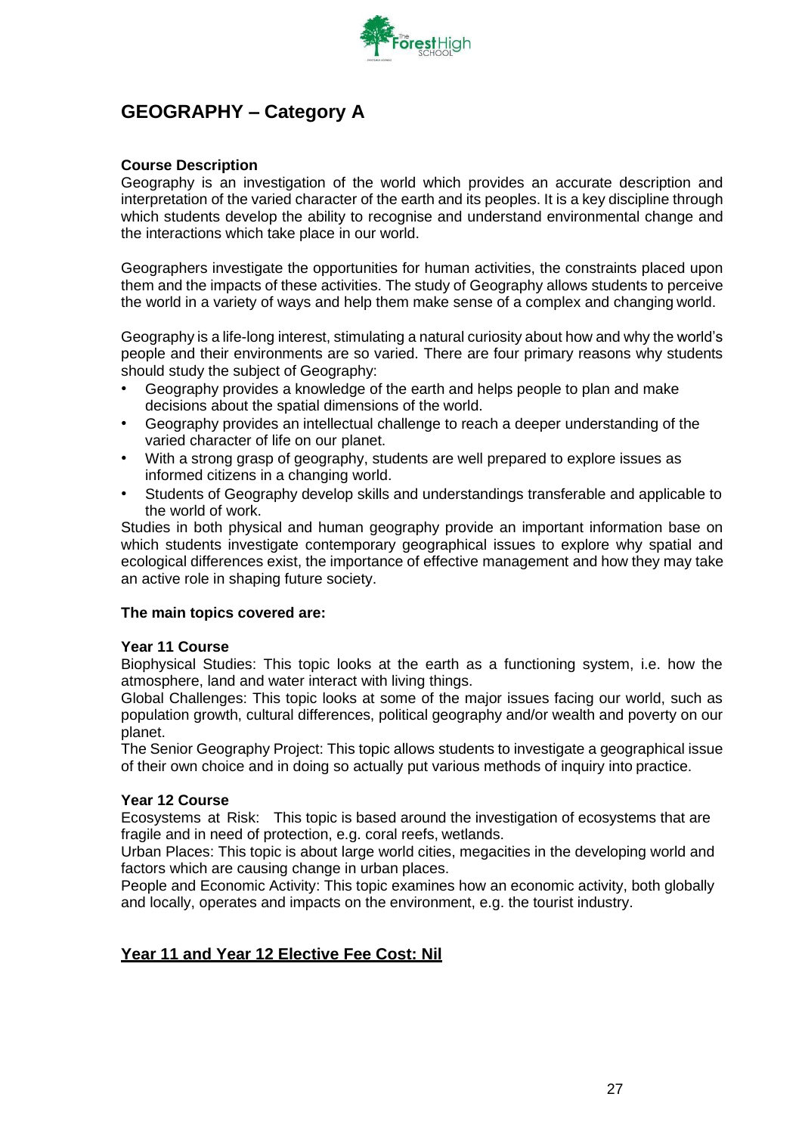

# <span id="page-26-0"></span>**GEOGRAPHY – Category A**

#### **Course Description**

Geography is an investigation of the world which provides an accurate description and interpretation of the varied character of the earth and its peoples. It is a key discipline through which students develop the ability to recognise and understand environmental change and the interactions which take place in our world.

Geographers investigate the opportunities for human activities, the constraints placed upon them and the impacts of these activities. The study of Geography allows students to perceive the world in a variety of ways and help them make sense of a complex and changing world.

Geography is a life-long interest, stimulating a natural curiosity about how and why the world's people and their environments are so varied. There are four primary reasons why students should study the subject of Geography:

- Geography provides a knowledge of the earth and helps people to plan and make decisions about the spatial dimensions of the world.
- Geography provides an intellectual challenge to reach a deeper understanding of the varied character of life on our planet.
- With a strong grasp of geography, students are well prepared to explore issues as informed citizens in a changing world.
- Students of Geography develop skills and understandings transferable and applicable to the world of work.

Studies in both physical and human geography provide an important information base on which students investigate contemporary geographical issues to explore why spatial and ecological differences exist, the importance of effective management and how they may take an active role in shaping future society.

#### **The main topics covered are:**

#### **Year 11 Course**

Biophysical Studies: This topic looks at the earth as a functioning system, i.e. how the atmosphere, land and water interact with living things.

Global Challenges: This topic looks at some of the major issues facing our world, such as population growth, cultural differences, political geography and/or wealth and poverty on our planet.

The Senior Geography Project: This topic allows students to investigate a geographical issue of their own choice and in doing so actually put various methods of inquiry into practice.

#### **Year 12 Course**

Ecosystems at Risk: This topic is based around the investigation of ecosystems that are fragile and in need of protection, e.g. coral reefs, wetlands.

Urban Places: This topic is about large world cities, megacities in the developing world and factors which are causing change in urban places.

People and Economic Activity: This topic examines how an economic activity, both globally and locally, operates and impacts on the environment, e.g. the tourist industry.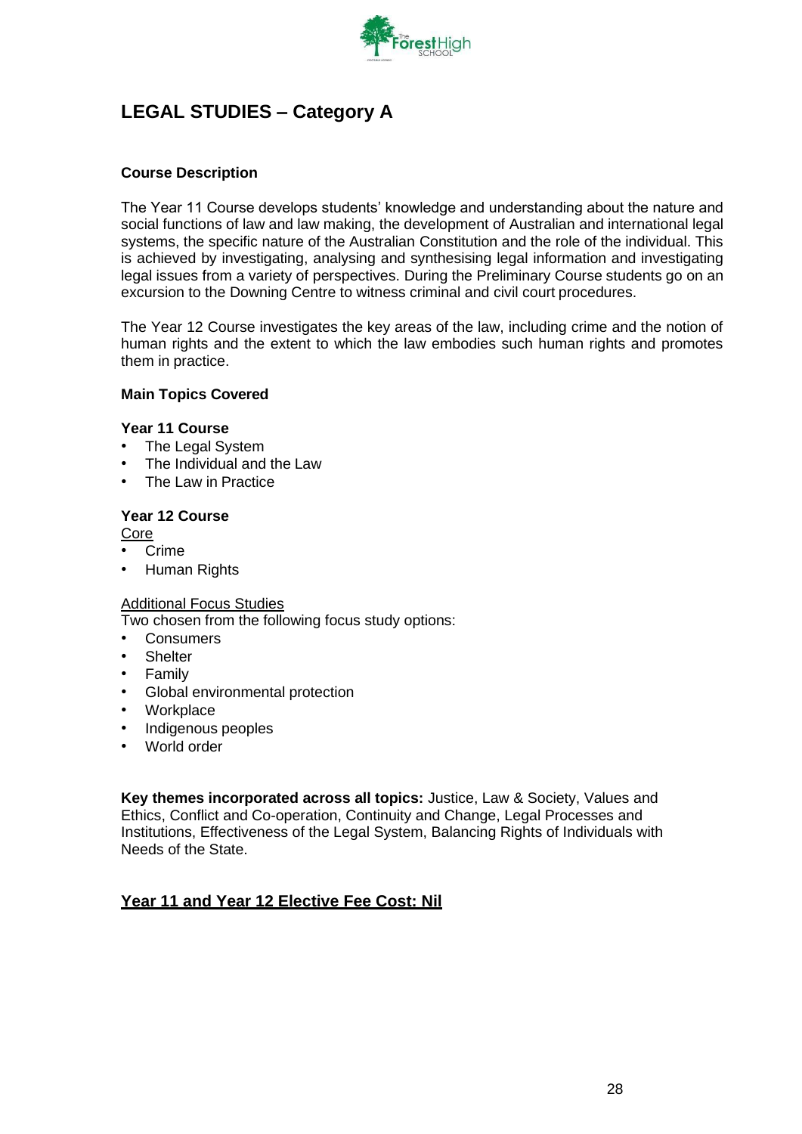

# <span id="page-27-0"></span>**LEGAL STUDIES – Category A**

## **Course Description**

The Year 11 Course develops students' knowledge and understanding about the nature and social functions of law and law making, the development of Australian and international legal systems, the specific nature of the Australian Constitution and the role of the individual. This is achieved by investigating, analysing and synthesising legal information and investigating legal issues from a variety of perspectives. During the Preliminary Course students go on an excursion to the Downing Centre to witness criminal and civil court procedures.

The Year 12 Course investigates the key areas of the law, including crime and the notion of human rights and the extent to which the law embodies such human rights and promotes them in practice.

#### **Main Topics Covered**

#### **Year 11 Course**

- The Legal System
- The Individual and the Law
- The Law in Practice

#### **Year 12 Course**

Core

- Crime
- Human Rights

#### Additional Focus Studies

Two chosen from the following focus study options:

- **Consumers**
- **Shelter**
- Family
- Global environmental protection
- **Workplace**
- Indigenous peoples
- World order

**Key themes incorporated across all topics:** Justice, Law & Society, Values and Ethics, Conflict and Co-operation, Continuity and Change, Legal Processes and Institutions, Effectiveness of the Legal System, Balancing Rights of Individuals with Needs of the State.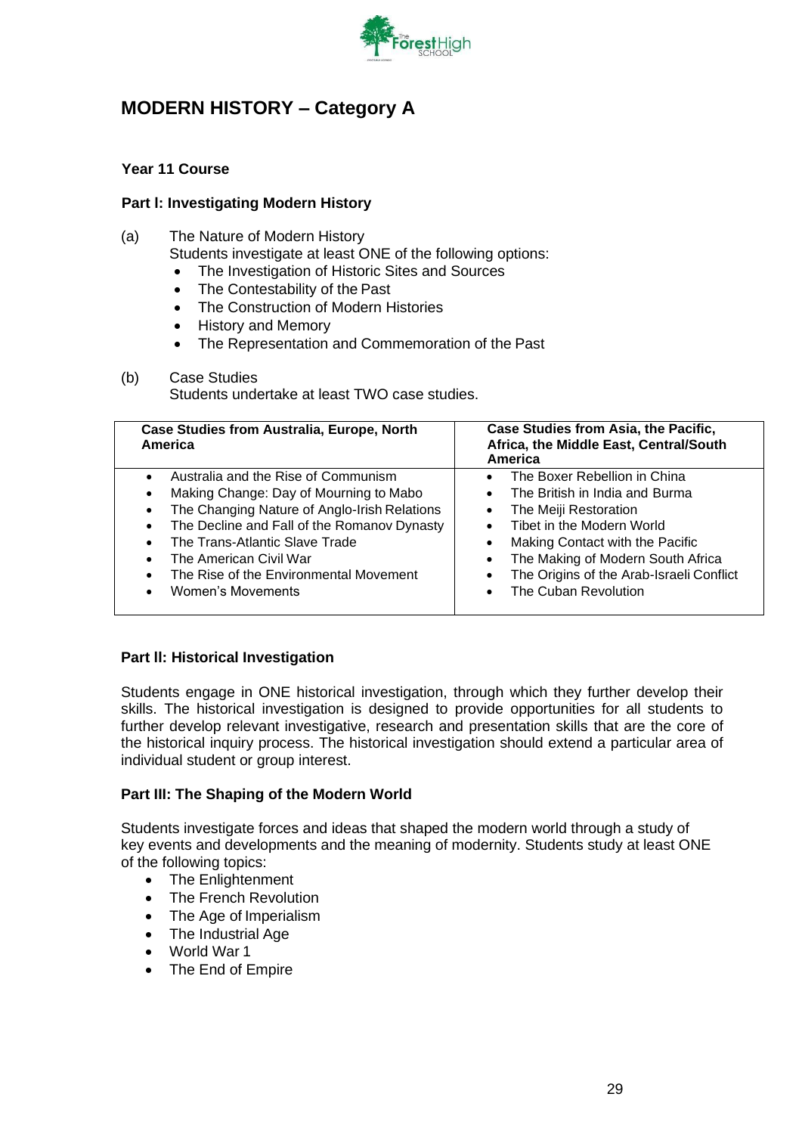

# <span id="page-28-0"></span>**MODERN HISTORY – Category A**

## **Year 11 Course**

### **Part l: Investigating Modern History**

- (a) The Nature of Modern History
	- Students investigate at least ONE of the following options:
	- The Investigation of Historic Sites and Sources
	- The Contestability of the Past
	- The Construction of Modern Histories
	- History and Memory
	- The Representation and Commemoration of the Past
- (b) Case Studies Students undertake at least TWO case studies.

| <b>Case Studies from Australia, Europe, North</b><br>America                                                                                                                                                                                                                                                                                   | Case Studies from Asia, the Pacific,<br>Africa, the Middle East, Central/South<br>America                                                                                                                                                                                                                                         |
|------------------------------------------------------------------------------------------------------------------------------------------------------------------------------------------------------------------------------------------------------------------------------------------------------------------------------------------------|-----------------------------------------------------------------------------------------------------------------------------------------------------------------------------------------------------------------------------------------------------------------------------------------------------------------------------------|
| Australia and the Rise of Communism<br>Making Change: Day of Mourning to Mabo<br>$\bullet$<br>The Changing Nature of Anglo-Irish Relations<br>$\bullet$<br>The Decline and Fall of the Romanov Dynasty<br>$\bullet$<br>The Trans-Atlantic Slave Trade<br>The American Civil War<br>The Rise of the Environmental Movement<br>Women's Movements | The Boxer Rebellion in China<br>The British in India and Burma<br>$\bullet$<br>The Meiji Restoration<br>$\bullet$<br>Tibet in the Modern World<br>Making Contact with the Pacific<br>The Making of Modern South Africa<br>$\bullet$<br>The Origins of the Arab-Israeli Conflict<br>$\bullet$<br>The Cuban Revolution<br>$\bullet$ |

#### **Part ll: Historical Investigation**

Students engage in ONE historical investigation, through which they further develop their skills. The historical investigation is designed to provide opportunities for all students to further develop relevant investigative, research and presentation skills that are the core of the historical inquiry process. The historical investigation should extend a particular area of individual student or group interest.

#### **Part III: The Shaping of the Modern World**

Students investigate forces and ideas that shaped the modern world through a study of key events and developments and the meaning of modernity. Students study at least ONE of the following topics:

- The Enlightenment
- The French Revolution
- The Age of Imperialism
- The Industrial Age
- World War 1
- The End of Empire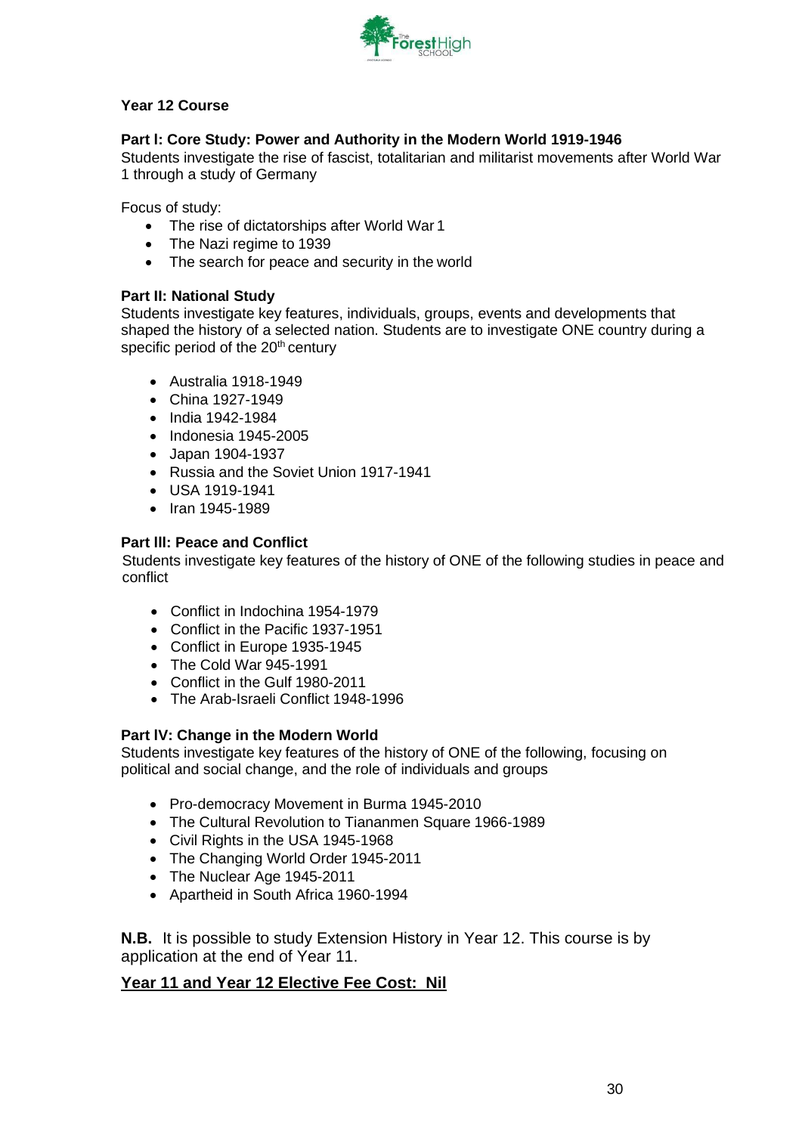

## **Year 12 Course**

## **Part l: Core Study: Power and Authority in the Modern World 1919-1946**

Students investigate the rise of fascist, totalitarian and militarist movements after World War 1 through a study of Germany

Focus of study:

- The rise of dictatorships after World War 1
- The Nazi regime to 1939
- The search for peace and security in the world

## **Part II: National Study**

Students investigate key features, individuals, groups, events and developments that shaped the history of a selected nation. Students are to investigate ONE country during a specific period of the 20<sup>th</sup> century

- Australia 1918-1949
- China 1927-1949
- India 1942-1984
- Indonesia 1945-2005
- Japan 1904-1937
- Russia and the Soviet Union 1917-1941
- USA 1919-1941
- Iran 1945-1989

#### **Part lll: Peace and Conflict**

Students investigate key features of the history of ONE of the following studies in peace and conflict

- Conflict in Indochina 1954-1979
- Conflict in the Pacific 1937-1951
- Conflict in Europe 1935-1945
- The Cold War 945-1991
- Conflict in the Gulf 1980-2011
- The Arab-Israeli Conflict 1948-1996

#### **Part lV: Change in the Modern World**

Students investigate key features of the history of ONE of the following, focusing on political and social change, and the role of individuals and groups

- Pro-democracy Movement in Burma 1945-2010
- The Cultural Revolution to Tiananmen Square 1966-1989
- Civil Rights in the USA 1945-1968
- The Changing World Order 1945-2011
- The Nuclear Age 1945-2011
- Apartheid in South Africa 1960-1994

**N.B.** It is possible to study Extension History in Year 12. This course is by application at the end of Year 11.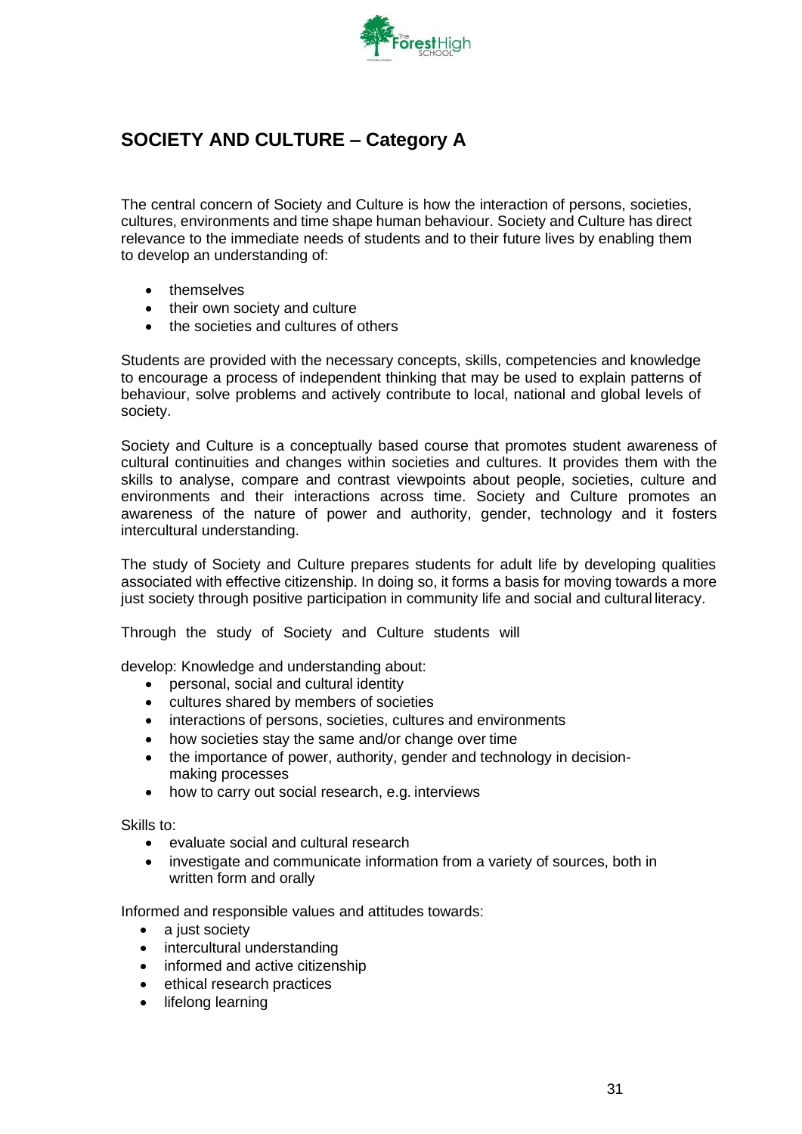

# <span id="page-30-0"></span>**SOCIETY AND CULTURE – Category A**

The central concern of Society and Culture is how the interaction of persons, societies, cultures, environments and time shape human behaviour. Society and Culture has direct relevance to the immediate needs of students and to their future lives by enabling them to develop an understanding of:

- themselves
- their own society and culture
- the societies and cultures of others

Students are provided with the necessary concepts, skills, competencies and knowledge to encourage a process of independent thinking that may be used to explain patterns of behaviour, solve problems and actively contribute to local, national and global levels of society.

Society and Culture is a conceptually based course that promotes student awareness of cultural continuities and changes within societies and cultures. It provides them with the skills to analyse, compare and contrast viewpoints about people, societies, culture and environments and their interactions across time. Society and Culture promotes an awareness of the nature of power and authority, gender, technology and it fosters intercultural understanding.

The study of Society and Culture prepares students for adult life by developing qualities associated with effective citizenship. In doing so, it forms a basis for moving towards a more just society through positive participation in community life and social and cultural literacy.

Through the study of Society and Culture students will

develop: Knowledge and understanding about:

- personal, social and cultural identity
- cultures shared by members of societies
- interactions of persons, societies, cultures and environments
- how societies stay the same and/or change over time
- the importance of power, authority, gender and technology in decisionmaking processes
- how to carry out social research, e.g. interviews

Skills to:

- evaluate social and cultural research
- investigate and communicate information from a variety of sources, both in written form and orally

Informed and responsible values and attitudes towards:

- a just society
- intercultural understanding
- informed and active citizenship
- ethical research practices
- lifelong learning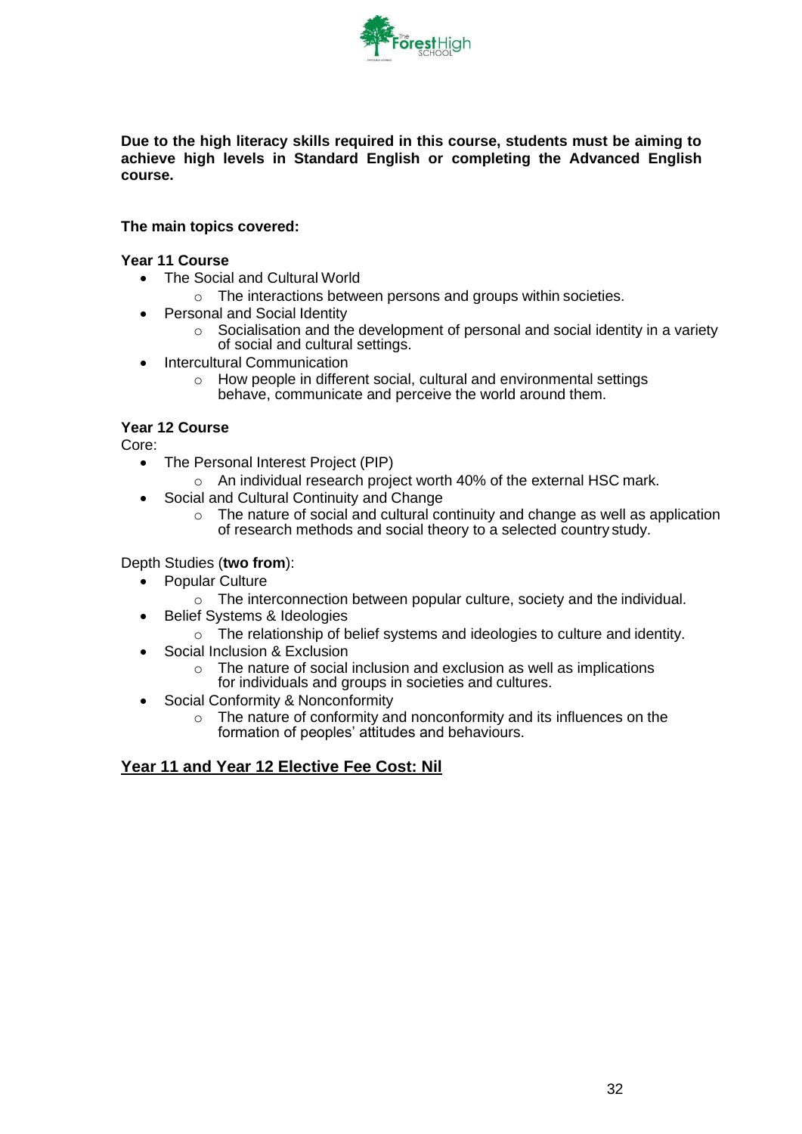

**Due to the high literacy skills required in this course, students must be aiming to achieve high levels in Standard English or completing the Advanced English course.**

#### **The main topics covered:**

#### **Year 11 Course**

- The Social and Cultural World
	- $\circ$  The interactions between persons and groups within societies.
- Personal and Social Identity
	- o Socialisation and the development of personal and social identity in a variety of social and cultural settings.
- Intercultural Communication
	- o How people in different social, cultural and environmental settings behave, communicate and perceive the world around them.

## **Year 12 Course**

Core:

- The Personal Interest Project (PIP)
	- o An individual research project worth 40% of the external HSC mark.
- Social and Cultural Continuity and Change
	- o The nature of social and cultural continuity and change as well as application of research methods and social theory to a selected country study.

#### Depth Studies (**two from**):

- Popular Culture
	- $\circ$  The interconnection between popular culture, society and the individual.
- Belief Systems & Ideologies
	- o The relationship of belief systems and ideologies to culture and identity.
- Social Inclusion & Exclusion
	- o The nature of social inclusion and exclusion as well as implications for individuals and groups in societies and cultures.
- Social Conformity & Nonconformity
	- o The nature of conformity and nonconformity and its influences on the formation of peoples' attitudes and behaviours.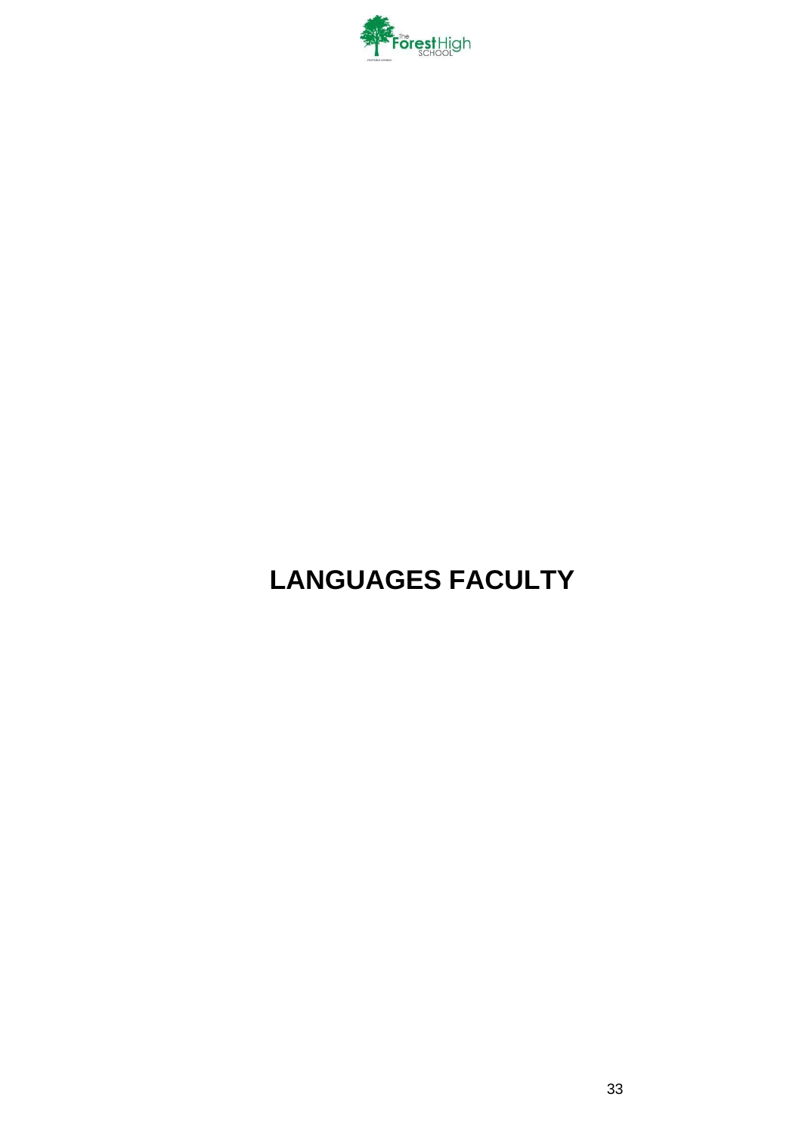

# <span id="page-32-0"></span>**LANGUAGES FACULTY**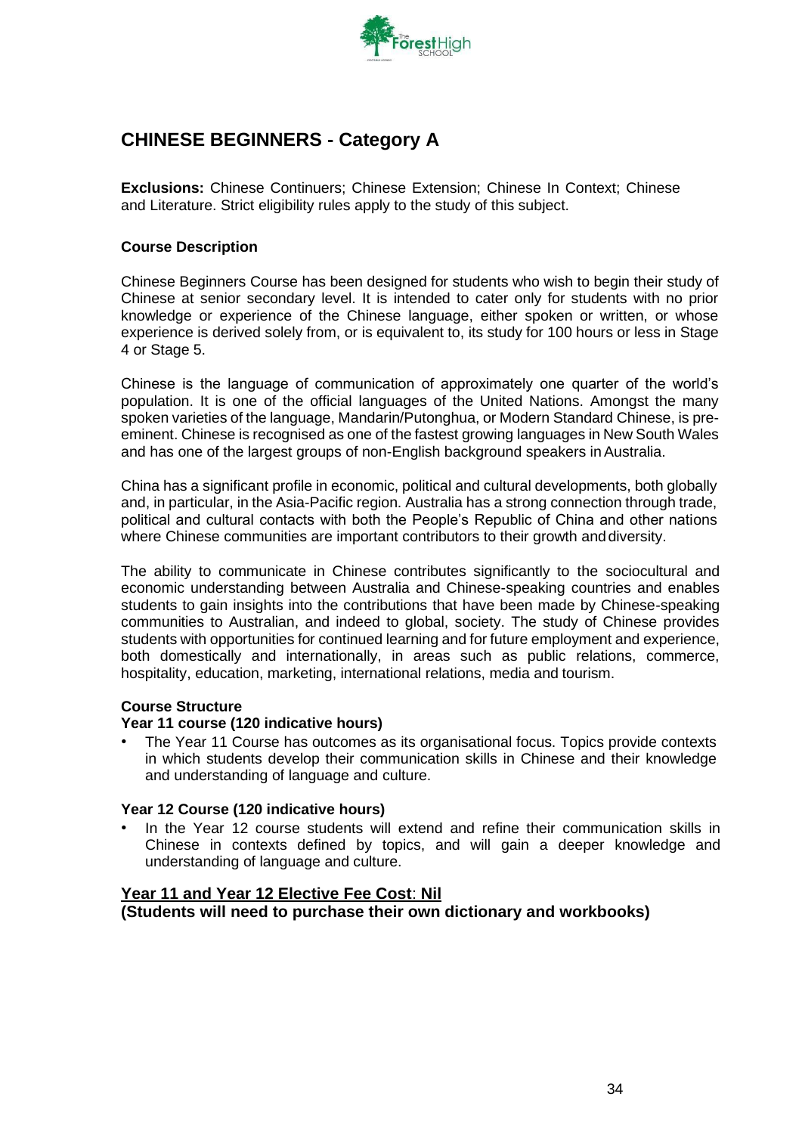

# <span id="page-33-0"></span>**CHINESE BEGINNERS - Category A**

**Exclusions:** Chinese Continuers; Chinese Extension; Chinese In Context; Chinese and Literature. Strict eligibility rules apply to the study of this subject.

#### **Course Description**

Chinese Beginners Course has been designed for students who wish to begin their study of Chinese at senior secondary level. It is intended to cater only for students with no prior knowledge or experience of the Chinese language, either spoken or written, or whose experience is derived solely from, or is equivalent to, its study for 100 hours or less in Stage 4 or Stage 5.

Chinese is the language of communication of approximately one quarter of the world's population. It is one of the official languages of the United Nations. Amongst the many spoken varieties of the language, Mandarin/Putonghua, or Modern Standard Chinese, is preeminent. Chinese is recognised as one of the fastest growing languages in New South Wales and has one of the largest groups of non-English background speakers in Australia.

China has a significant profile in economic, political and cultural developments, both globally and, in particular, in the Asia-Pacific region. Australia has a strong connection through trade, political and cultural contacts with both the People's Republic of China and other nations where Chinese communities are important contributors to their growth anddiversity.

The ability to communicate in Chinese contributes significantly to the sociocultural and economic understanding between Australia and Chinese-speaking countries and enables students to gain insights into the contributions that have been made by Chinese-speaking communities to Australian, and indeed to global, society. The study of Chinese provides students with opportunities for continued learning and for future employment and experience, both domestically and internationally, in areas such as public relations, commerce, hospitality, education, marketing, international relations, media and tourism.

#### **Course Structure**

#### **Year 11 course (120 indicative hours)**

• The Year 11 Course has outcomes as its organisational focus. Topics provide contexts in which students develop their communication skills in Chinese and their knowledge and understanding of language and culture.

#### **Year 12 Course (120 indicative hours)**

• In the Year 12 course students will extend and refine their communication skills in Chinese in contexts defined by topics, and will gain a deeper knowledge and understanding of language and culture.

# **Year 11 and Year 12 Elective Fee Cost**: **Nil**

**(Students will need to purchase their own dictionary and workbooks)**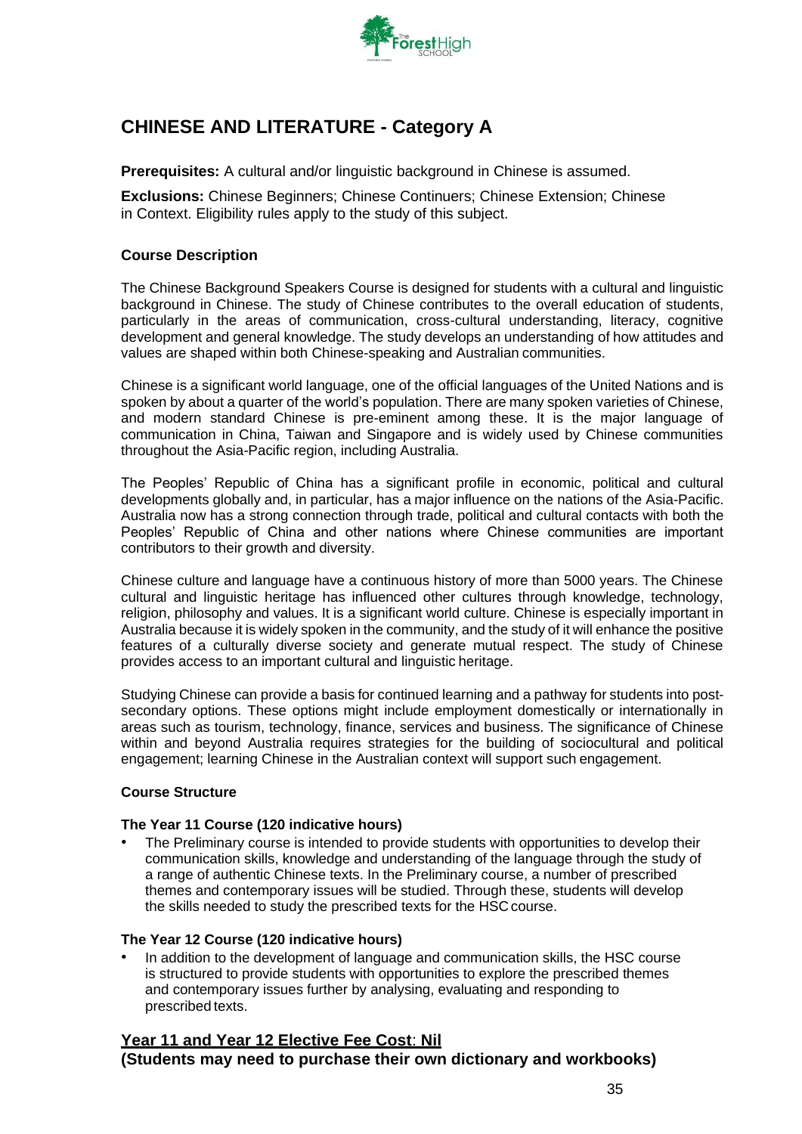

# **CHINESE AND LITERATURE - Category A**

**Prerequisites:** A cultural and/or linguistic background in Chinese is assumed.

**Exclusions:** Chinese Beginners; Chinese Continuers; Chinese Extension; Chinese in Context. Eligibility rules apply to the study of this subject.

#### **Course Description**

The Chinese Background Speakers Course is designed for students with a cultural and linguistic background in Chinese. The study of Chinese contributes to the overall education of students, particularly in the areas of communication, cross-cultural understanding, literacy, cognitive development and general knowledge. The study develops an understanding of how attitudes and values are shaped within both Chinese-speaking and Australian communities.

Chinese is a significant world language, one of the official languages of the United Nations and is spoken by about a quarter of the world's population. There are many spoken varieties of Chinese, and modern standard Chinese is pre-eminent among these. It is the major language of communication in China, Taiwan and Singapore and is widely used by Chinese communities throughout the Asia-Pacific region, including Australia.

The Peoples' Republic of China has a significant profile in economic, political and cultural developments globally and, in particular, has a major influence on the nations of the Asia-Pacific. Australia now has a strong connection through trade, political and cultural contacts with both the Peoples' Republic of China and other nations where Chinese communities are important contributors to their growth and diversity.

Chinese culture and language have a continuous history of more than 5000 years. The Chinese cultural and linguistic heritage has influenced other cultures through knowledge, technology, religion, philosophy and values. It is a significant world culture. Chinese is especially important in Australia because it is widely spoken in the community, and the study of it will enhance the positive features of a culturally diverse society and generate mutual respect. The study of Chinese provides access to an important cultural and linguistic heritage.

Studying Chinese can provide a basis for continued learning and a pathway for students into postsecondary options. These options might include employment domestically or internationally in areas such as tourism, technology, finance, services and business. The significance of Chinese within and beyond Australia requires strategies for the building of sociocultural and political engagement; learning Chinese in the Australian context will support such engagement.

#### **Course Structure**

#### **The Year 11 Course (120 indicative hours)**

The Preliminary course is intended to provide students with opportunities to develop their communication skills, knowledge and understanding of the language through the study of a range of authentic Chinese texts. In the Preliminary course, a number of prescribed themes and contemporary issues will be studied. Through these, students will develop the skills needed to study the prescribed texts for the HSC course.

#### **The Year 12 Course (120 indicative hours)**

• In addition to the development of language and communication skills, the HSC course is structured to provide students with opportunities to explore the prescribed themes and contemporary issues further by analysing, evaluating and responding to prescribed texts.

# **Year 11 and Year 12 Elective Fee Cost**: **Nil (Students may need to purchase their own dictionary and workbooks)**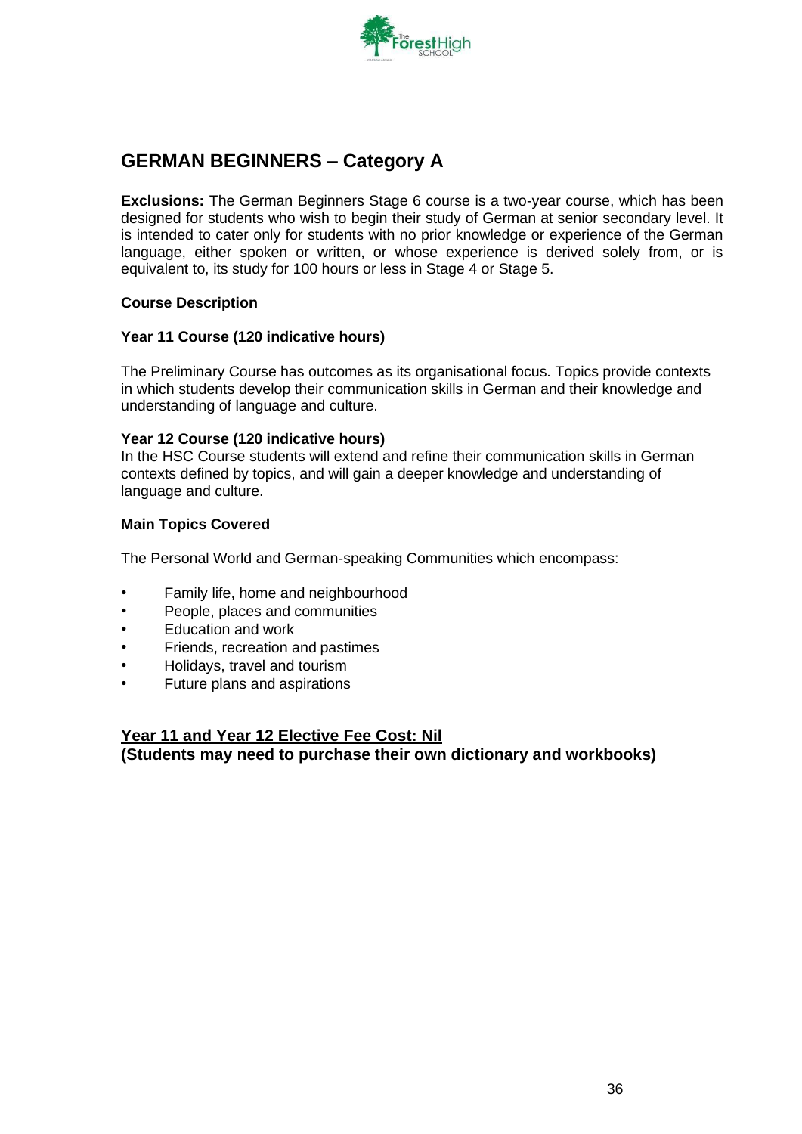

# <span id="page-35-0"></span>**GERMAN BEGINNERS – Category A**

**Exclusions:** The German Beginners Stage 6 course is a two-year course, which has been designed for students who wish to begin their study of German at senior secondary level. It is intended to cater only for students with no prior knowledge or experience of the German language, either spoken or written, or whose experience is derived solely from, or is equivalent to, its study for 100 hours or less in Stage 4 or Stage 5.

## **Course Description**

#### **Year 11 Course (120 indicative hours)**

The Preliminary Course has outcomes as its organisational focus. Topics provide contexts in which students develop their communication skills in German and their knowledge and understanding of language and culture.

#### **Year 12 Course (120 indicative hours)**

In the HSC Course students will extend and refine their communication skills in German contexts defined by topics, and will gain a deeper knowledge and understanding of language and culture.

## **Main Topics Covered**

The Personal World and German-speaking Communities which encompass:

- Family life, home and neighbourhood
- People, places and communities
- Education and work
- Friends, recreation and pastimes
- Holidays, travel and tourism
- Future plans and aspirations

## **Year 11 and Year 12 Elective Fee Cost: Nil**

**(Students may need to purchase their own dictionary and workbooks)**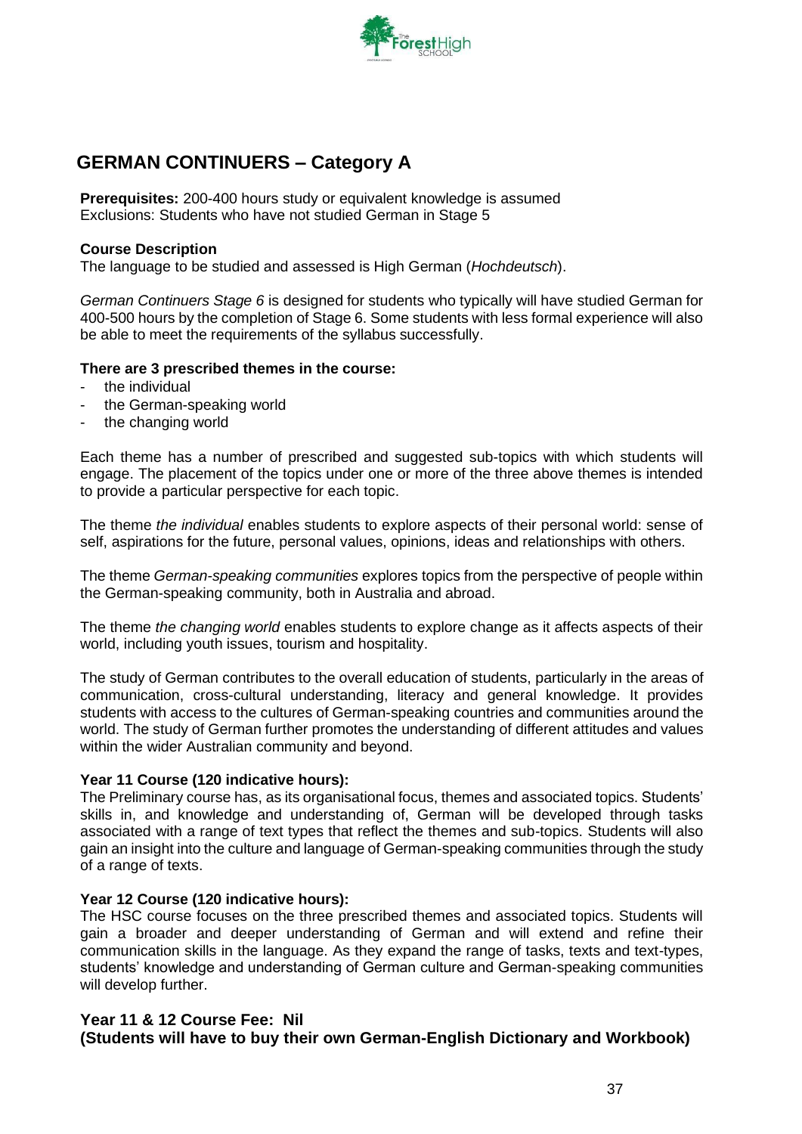

### **GERMAN CONTINUERS – Category A**

**Prerequisites:** 200-400 hours study or equivalent knowledge is assumed Exclusions: Students who have not studied German in Stage 5

### **Course Description**

The language to be studied and assessed is High German (*Hochdeutsch*).

*German Continuers Stage 6* is designed for students who typically will have studied German for 400-500 hours by the completion of Stage 6. Some students with less formal experience will also be able to meet the requirements of the syllabus successfully.

### **There are 3 prescribed themes in the course:**

- the individual
- the German-speaking world
- the changing world

Each theme has a number of prescribed and suggested sub-topics with which students will engage. The placement of the topics under one or more of the three above themes is intended to provide a particular perspective for each topic.

The theme *the individual* enables students to explore aspects of their personal world: sense of self, aspirations for the future, personal values, opinions, ideas and relationships with others.

The theme *German-speaking communities* explores topics from the perspective of people within the German-speaking community, both in Australia and abroad.

The theme *the changing world* enables students to explore change as it affects aspects of their world, including youth issues, tourism and hospitality.

The study of German contributes to the overall education of students, particularly in the areas of communication, cross-cultural understanding, literacy and general knowledge. It provides students with access to the cultures of German-speaking countries and communities around the world. The study of German further promotes the understanding of different attitudes and values within the wider Australian community and beyond.

### **Year 11 Course (120 indicative hours):**

The Preliminary course has, as its organisational focus, themes and associated topics. Students' skills in, and knowledge and understanding of, German will be developed through tasks associated with a range of text types that reflect the themes and sub-topics. Students will also gain an insight into the culture and language of German-speaking communities through the study of a range of texts.

### **Year 12 Course (120 indicative hours):**

The HSC course focuses on the three prescribed themes and associated topics. Students will gain a broader and deeper understanding of German and will extend and refine their communication skills in the language. As they expand the range of tasks, texts and text-types, students' knowledge and understanding of German culture and German-speaking communities will develop further.

### **Year 11 & 12 Course Fee: Nil (Students will have to buy their own German-English Dictionary and Workbook)**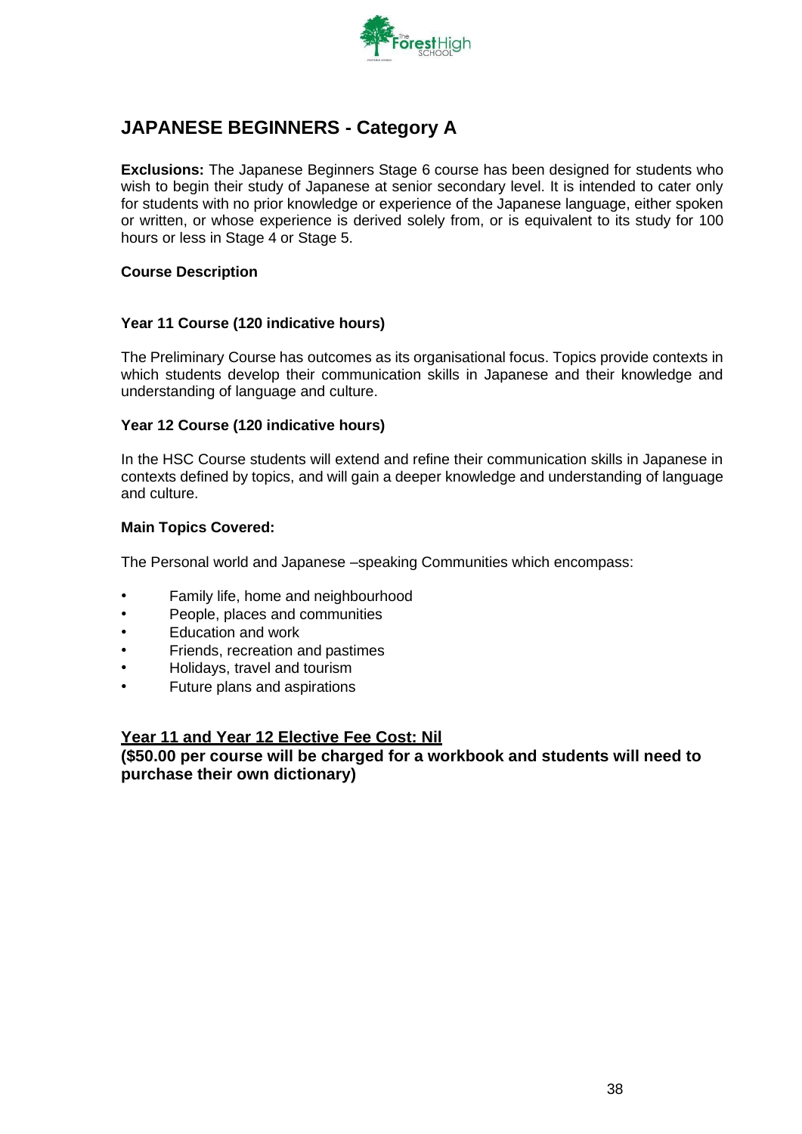

### **JAPANESE BEGINNERS - Category A**

**Exclusions:** The Japanese Beginners Stage 6 course has been designed for students who wish to begin their study of Japanese at senior secondary level. It is intended to cater only for students with no prior knowledge or experience of the Japanese language, either spoken or written, or whose experience is derived solely from, or is equivalent to its study for 100 hours or less in Stage 4 or Stage 5.

### **Course Description**

### **Year 11 Course (120 indicative hours)**

The Preliminary Course has outcomes as its organisational focus. Topics provide contexts in which students develop their communication skills in Japanese and their knowledge and understanding of language and culture.

### **Year 12 Course (120 indicative hours)**

In the HSC Course students will extend and refine their communication skills in Japanese in contexts defined by topics, and will gain a deeper knowledge and understanding of language and culture.

### **Main Topics Covered:**

The Personal world and Japanese –speaking Communities which encompass:

- Family life, home and neighbourhood
- People, places and communities
- Education and work
- Friends, recreation and pastimes
- Holidays, travel and tourism
- Future plans and aspirations

### **Year 11 and Year 12 Elective Fee Cost: Nil**

**(\$50.00 per course will be charged for a workbook and students will need to purchase their own dictionary)**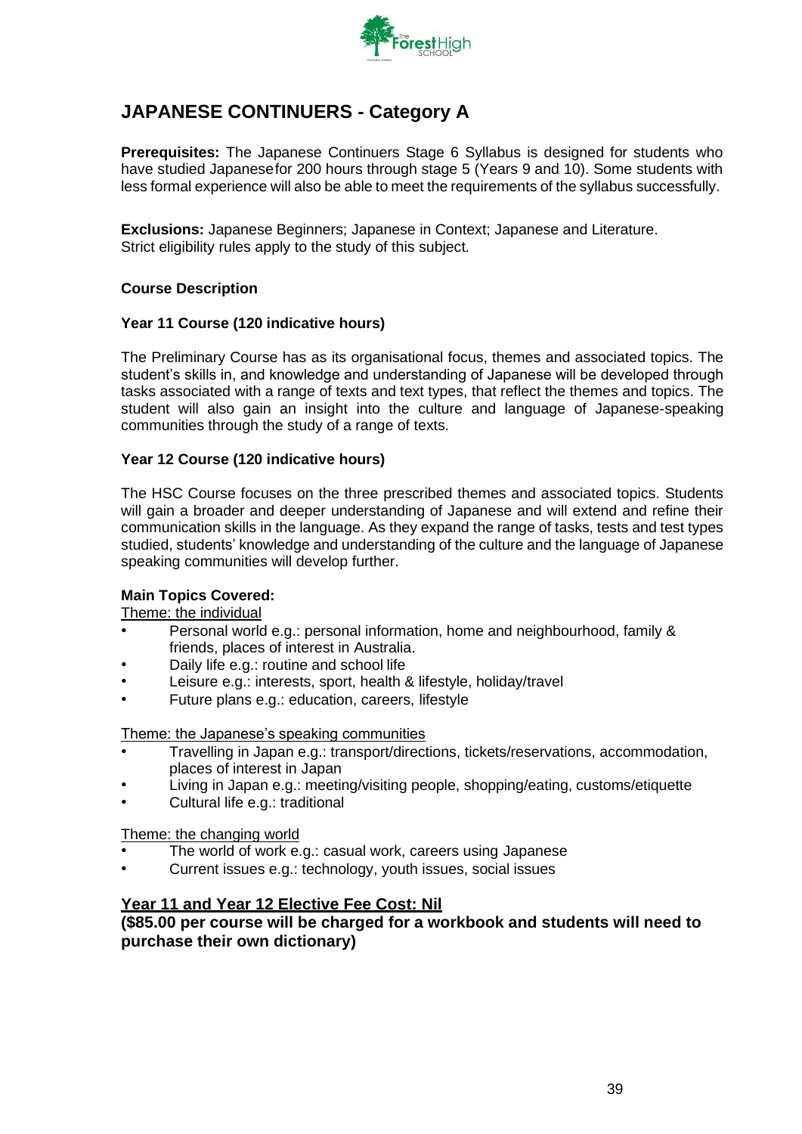

## **JAPANESE CONTINUERS - Category A**

**Prerequisites:** The Japanese Continuers Stage 6 Syllabus is designed for students who have studied Japanesefor 200 hours through stage 5 (Years 9 and 10). Some students with less formal experience will also be able to meet the requirements of the syllabus successfully.

**Exclusions:** Japanese Beginners; Japanese in Context; Japanese and Literature. Strict eligibility rules apply to the study of this subject*.*

### **Course Description**

### **Year 11 Course (120 indicative hours)**

The Preliminary Course has as its organisational focus, themes and associated topics. The student's skills in, and knowledge and understanding of Japanese will be developed through tasks associated with a range of texts and text types, that reflect the themes and topics. The student will also gain an insight into the culture and language of Japanese-speaking communities through the study of a range of texts.

### **Year 12 Course (120 indicative hours)**

The HSC Course focuses on the three prescribed themes and associated topics. Students will gain a broader and deeper understanding of Japanese and will extend and refine their communication skills in the language. As they expand the range of tasks, tests and test types studied, students' knowledge and understanding of the culture and the language of Japanese speaking communities will develop further.

### **Main Topics Covered:**

Theme: the individual

- Personal world e.g.: personal information, home and neighbourhood, family & friends, places of interest in Australia.
- Daily life e.g.: routine and school life
- Leisure e.g.: interests, sport, health & lifestyle, holiday/travel
- Future plans e.g.: education, careers, lifestyle

Theme: the Japanese's speaking communities

- Travelling in Japan e.g.: transport/directions, tickets/reservations, accommodation, places of interest in Japan
- Living in Japan e.g.: meeting/visiting people, shopping/eating, customs/etiquette
- Cultural life e.g.: traditional

Theme: the changing world

- The world of work e.g.: casual work, careers using Japanese
- Current issues e.g.: technology, youth issues, social issues

### **Year 11 and Year 12 Elective Fee Cost: Nil**

**(\$85.00 per course will be charged for a workbook and students will need to purchase their own dictionary)**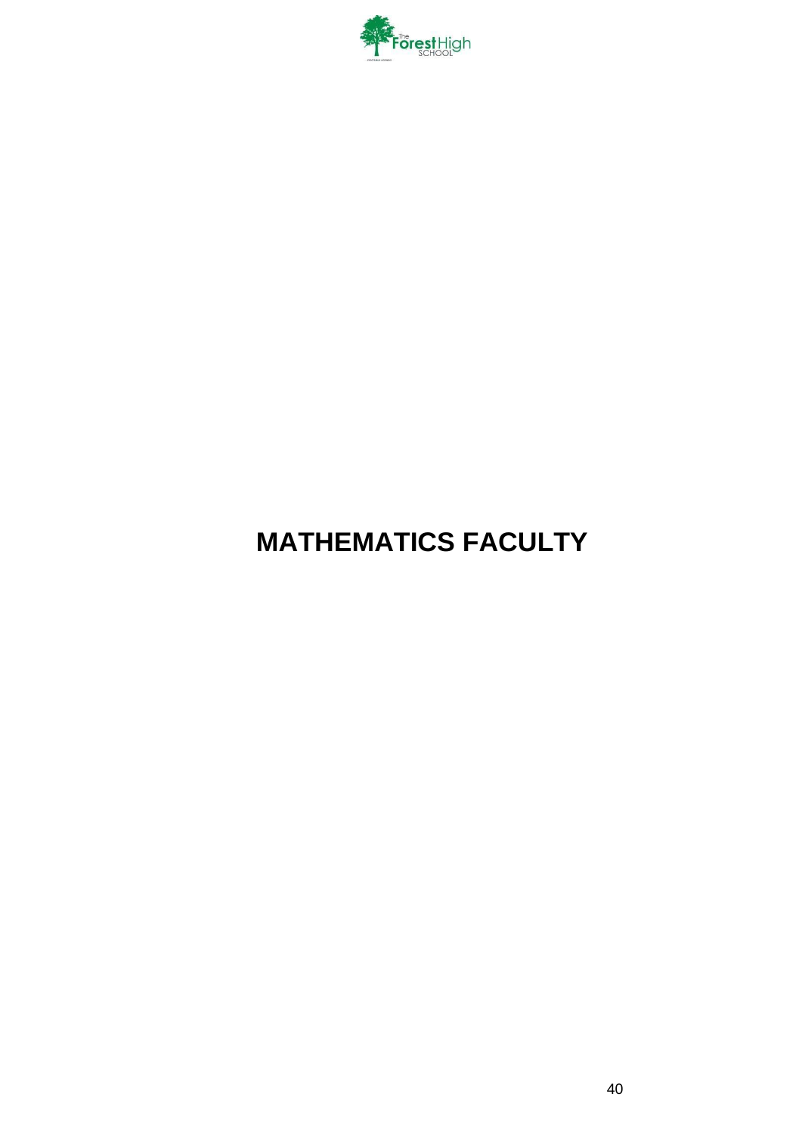

# **MATHEMATICS FACULTY**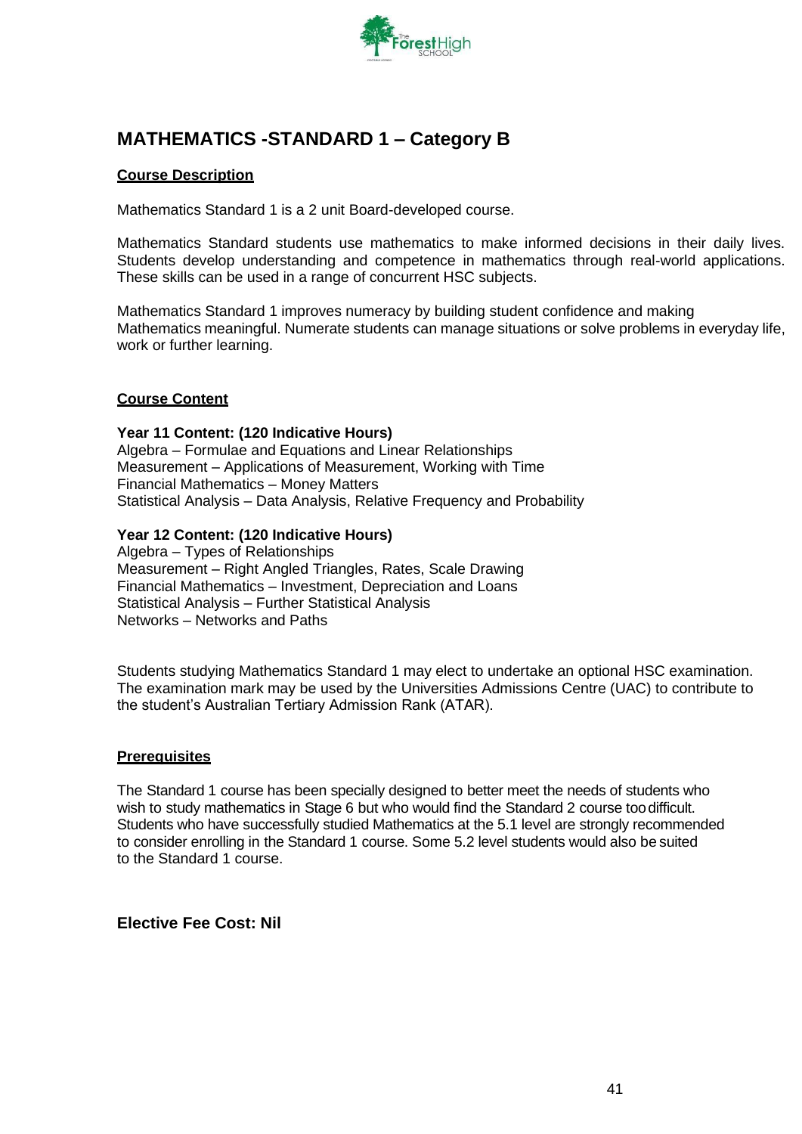

### **MATHEMATICS -STANDARD 1 – Category B**

### **Course Description**

Mathematics Standard 1 is a 2 unit Board-developed course.

Mathematics Standard students use mathematics to make informed decisions in their daily lives. Students develop understanding and competence in mathematics through real-world applications. These skills can be used in a range of concurrent HSC subjects.

Mathematics Standard 1 improves numeracy by building student confidence and making Mathematics meaningful. Numerate students can manage situations or solve problems in everyday life, work or further learning.

### **Course Content**

**Year 11 Content: (120 Indicative Hours)** Algebra – Formulae and Equations and Linear Relationships Measurement – Applications of Measurement, Working with Time Financial Mathematics – Money Matters Statistical Analysis – Data Analysis, Relative Frequency and Probability

### **Year 12 Content: (120 Indicative Hours)**

Algebra – Types of Relationships Measurement – Right Angled Triangles, Rates, Scale Drawing Financial Mathematics – Investment, Depreciation and Loans Statistical Analysis – Further Statistical Analysis Networks – Networks and Paths

Students studying Mathematics Standard 1 may elect to undertake an optional HSC examination. The examination mark may be used by the Universities Admissions Centre (UAC) to contribute to the student's Australian Tertiary Admission Rank (ATAR).

### **Prerequisites**

The Standard 1 course has been specially designed to better meet the needs of students who wish to study mathematics in Stage 6 but who would find the Standard 2 course toodifficult. Students who have successfully studied Mathematics at the 5.1 level are strongly recommended to consider enrolling in the Standard 1 course. Some 5.2 level students would also be suited to the Standard 1 course.

### **Elective Fee Cost: Nil**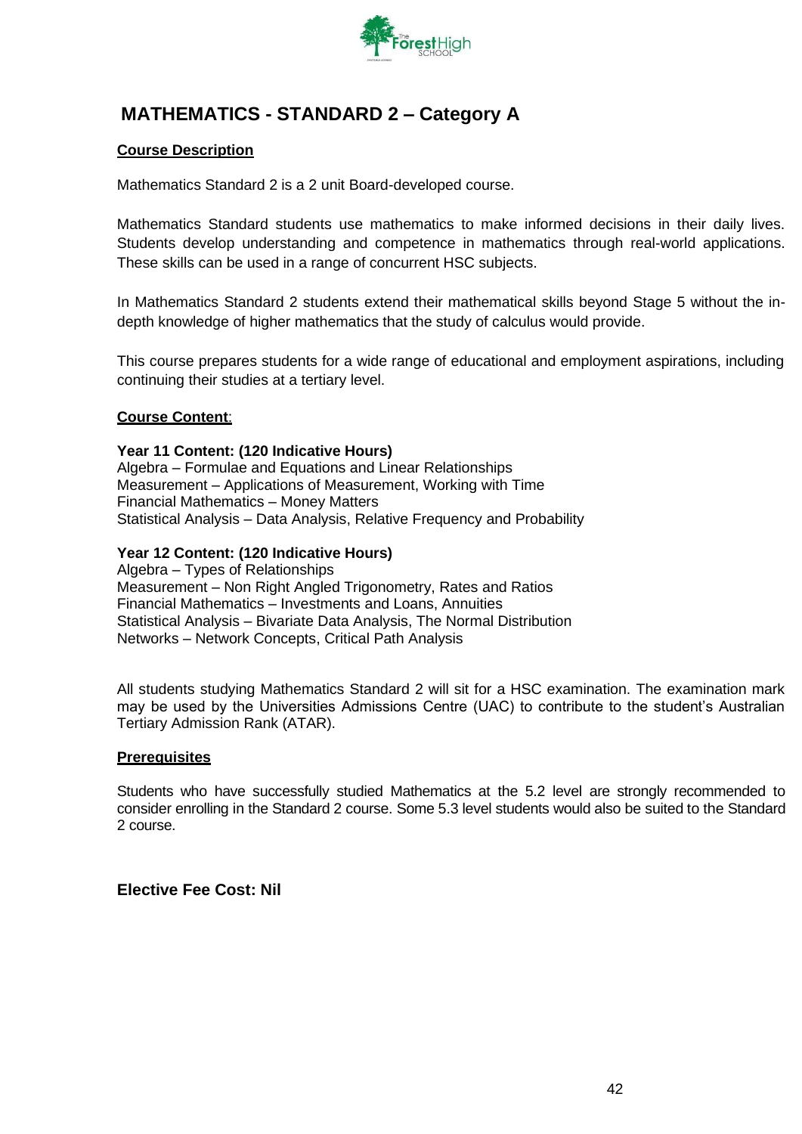

## **MATHEMATICS - STANDARD 2 – Category A**

### **Course Description**

Mathematics Standard 2 is a 2 unit Board-developed course.

Mathematics Standard students use mathematics to make informed decisions in their daily lives. Students develop understanding and competence in mathematics through real-world applications. These skills can be used in a range of concurrent HSC subjects.

In Mathematics Standard 2 students extend their mathematical skills beyond Stage 5 without the indepth knowledge of higher mathematics that the study of calculus would provide.

This course prepares students for a wide range of educational and employment aspirations, including continuing their studies at a tertiary level.

### **Course Content**:

### **Year 11 Content: (120 Indicative Hours)**

Algebra – Formulae and Equations and Linear Relationships Measurement – Applications of Measurement, Working with Time Financial Mathematics – Money Matters Statistical Analysis – Data Analysis, Relative Frequency and Probability

### **Year 12 Content: (120 Indicative Hours)**

Algebra – Types of Relationships Measurement – Non Right Angled Trigonometry, Rates and Ratios Financial Mathematics – Investments and Loans, Annuities Statistical Analysis – Bivariate Data Analysis, The Normal Distribution Networks – Network Concepts, Critical Path Analysis

All students studying Mathematics Standard 2 will sit for a HSC examination. The examination mark may be used by the Universities Admissions Centre (UAC) to contribute to the student's Australian Tertiary Admission Rank (ATAR).

#### **Prerequisites**

Students who have successfully studied Mathematics at the 5.2 level are strongly recommended to consider enrolling in the Standard 2 course. Some 5.3 level students would also be suited to the Standard 2 course.

### **Elective Fee Cost: Nil**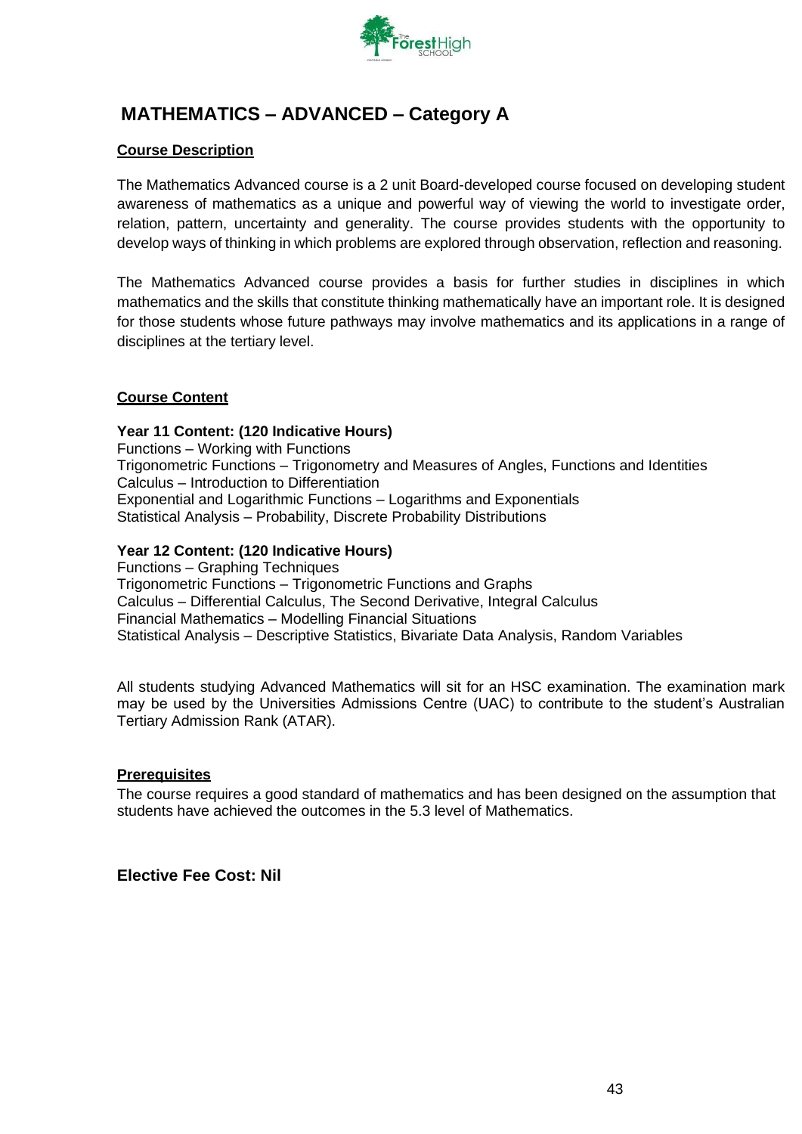

### **MATHEMATICS – ADVANCED – Category A**

### **Course Description**

The Mathematics Advanced course is a 2 unit Board-developed course focused on developing student awareness of mathematics as a unique and powerful way of viewing the world to investigate order, relation, pattern, uncertainty and generality. The course provides students with the opportunity to develop ways of thinking in which problems are explored through observation, reflection and reasoning.

The Mathematics Advanced course provides a basis for further studies in disciplines in which mathematics and the skills that constitute thinking mathematically have an important role. It is designed for those students whose future pathways may involve mathematics and its applications in a range of disciplines at the tertiary level.

### **Course Content**

**Year 11 Content: (120 Indicative Hours)** Functions – Working with Functions Trigonometric Functions – Trigonometry and Measures of Angles, Functions and Identities Calculus – Introduction to Differentiation Exponential and Logarithmic Functions – Logarithms and Exponentials Statistical Analysis – Probability, Discrete Probability Distributions

### **Year 12 Content: (120 Indicative Hours)**

Functions – Graphing Techniques Trigonometric Functions – Trigonometric Functions and Graphs Calculus – Differential Calculus, The Second Derivative, Integral Calculus Financial Mathematics – Modelling Financial Situations Statistical Analysis – Descriptive Statistics, Bivariate Data Analysis, Random Variables

All students studying Advanced Mathematics will sit for an HSC examination. The examination mark may be used by the Universities Admissions Centre (UAC) to contribute to the student's Australian Tertiary Admission Rank (ATAR).

### **Prerequisites**

The course requires a good standard of mathematics and has been designed on the assumption that students have achieved the outcomes in the 5.3 level of Mathematics.

### **Elective Fee Cost: Nil**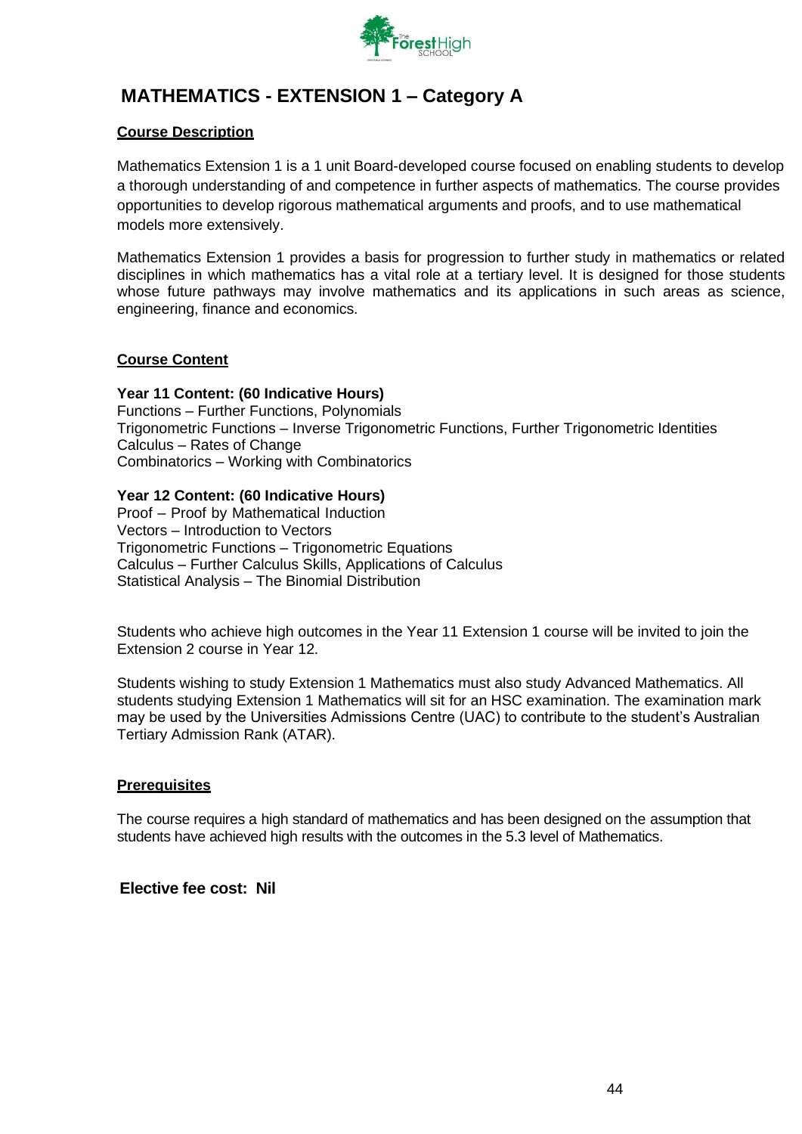

# **MATHEMATICS - EXTENSION 1 – Category A**

### **Course Description**

Mathematics Extension 1 is a 1 unit Board-developed course focused on enabling students to develop a thorough understanding of and competence in further aspects of mathematics. The course provides opportunities to develop rigorous mathematical arguments and proofs, and to use mathematical models more extensively.

Mathematics Extension 1 provides a basis for progression to further study in mathematics or related disciplines in which mathematics has a vital role at a tertiary level. It is designed for those students whose future pathways may involve mathematics and its applications in such areas as science, engineering, finance and economics.

### **Course Content**

### **Year 11 Content: (60 Indicative Hours)**

Functions – Further Functions, Polynomials Trigonometric Functions – Inverse Trigonometric Functions, Further Trigonometric Identities Calculus – Rates of Change Combinatorics – Working with Combinatorics

### **Year 12 Content: (60 Indicative Hours)**

Proof – Proof by Mathematical Induction Vectors – Introduction to Vectors Trigonometric Functions – Trigonometric Equations Calculus – Further Calculus Skills, Applications of Calculus Statistical Analysis – The Binomial Distribution

Students who achieve high outcomes in the Year 11 Extension 1 course will be invited to join the Extension 2 course in Year 12.

Students wishing to study Extension 1 Mathematics must also study Advanced Mathematics. All students studying Extension 1 Mathematics will sit for an HSC examination. The examination mark may be used by the Universities Admissions Centre (UAC) to contribute to the student's Australian Tertiary Admission Rank (ATAR).

### **Prerequisites**

The course requires a high standard of mathematics and has been designed on the assumption that students have achieved high results with the outcomes in the 5.3 level of Mathematics.

### **Elective fee cost: Nil**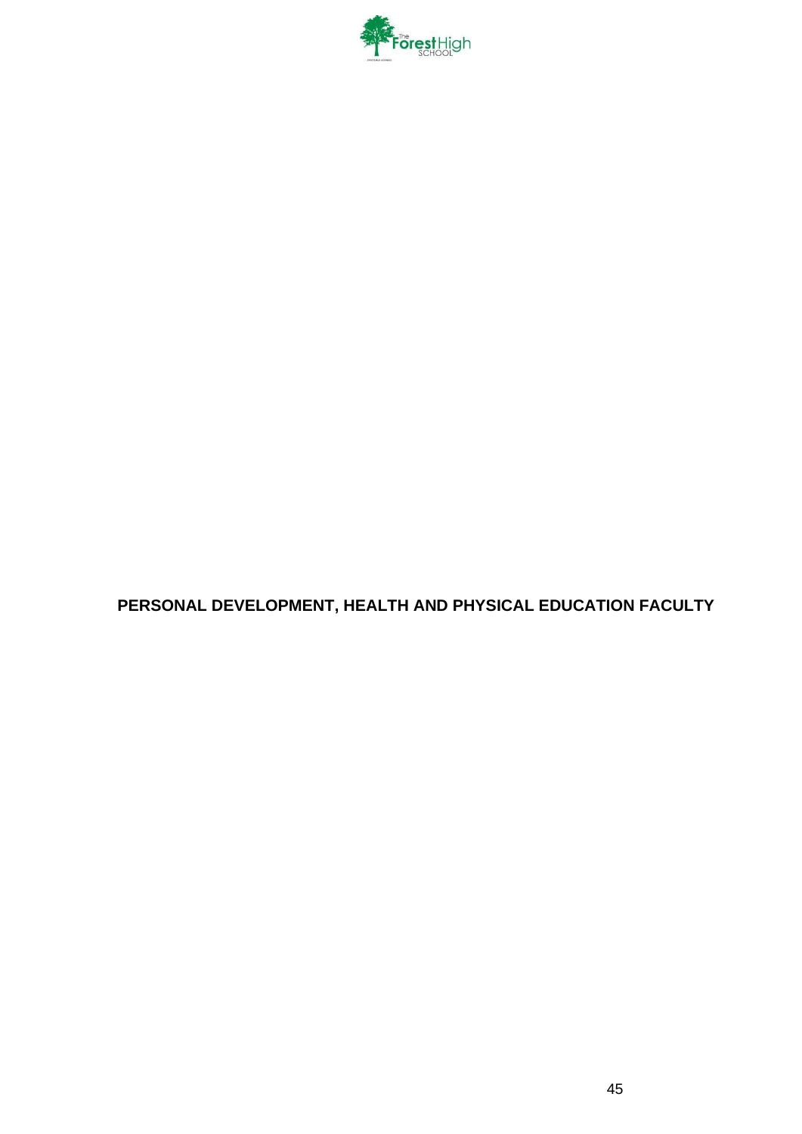

**PERSONAL DEVELOPMENT, HEALTH AND PHYSICAL EDUCATION FACULTY**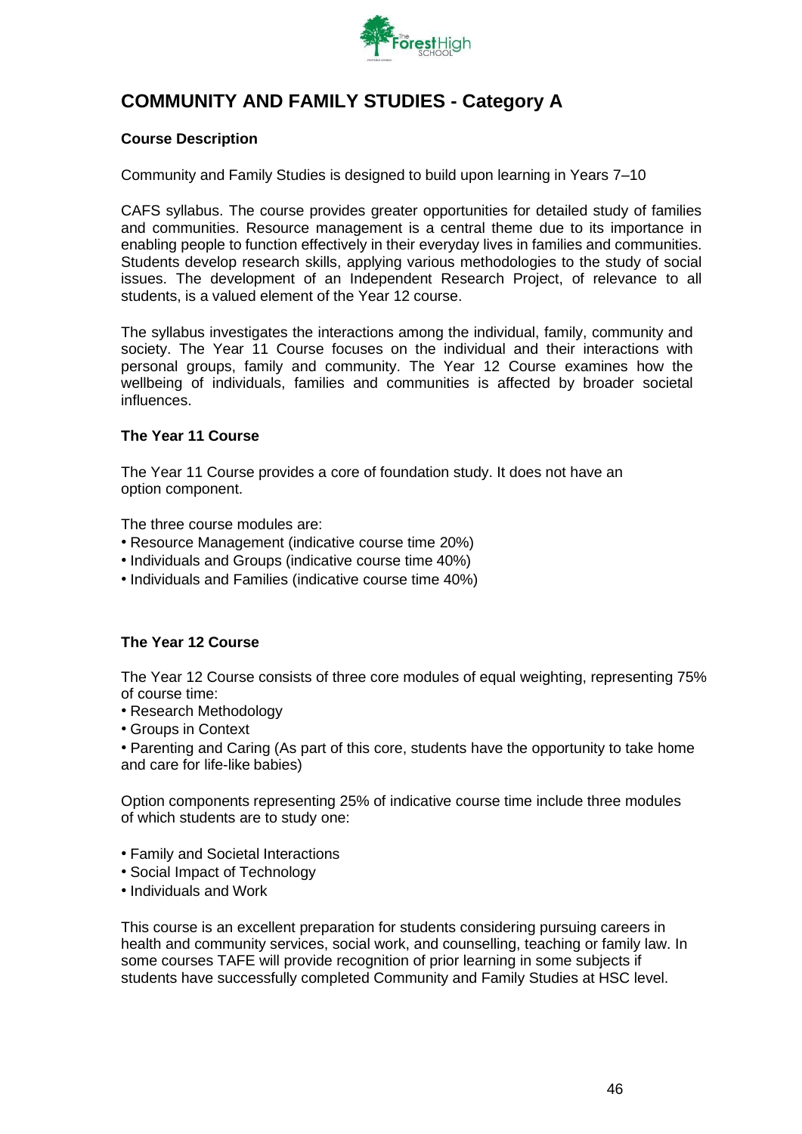

## **COMMUNITY AND FAMILY STUDIES - Category A**

### **Course Description**

Community and Family Studies is designed to build upon learning in Years 7–10

CAFS syllabus. The course provides greater opportunities for detailed study of families and communities. Resource management is a central theme due to its importance in enabling people to function effectively in their everyday lives in families and communities. Students develop research skills, applying various methodologies to the study of social issues. The development of an Independent Research Project, of relevance to all students, is a valued element of the Year 12 course.

The syllabus investigates the interactions among the individual, family, community and society. The Year 11 Course focuses on the individual and their interactions with personal groups, family and community. The Year 12 Course examines how the wellbeing of individuals, families and communities is affected by broader societal influences.

### **The Year 11 Course**

The Year 11 Course provides a core of foundation study. It does not have an option component.

The three course modules are:

- Resource Management (indicative course time 20%)
- Individuals and Groups (indicative course time 40%)
- Individuals and Families (indicative course time 40%)

### **The Year 12 Course**

The Year 12 Course consists of three core modules of equal weighting, representing 75% of course time:

- Research Methodology
- Groups in Context

• Parenting and Caring (As part of this core, students have the opportunity to take home and care for life-like babies)

Option components representing 25% of indicative course time include three modules of which students are to study one:

- Family and Societal Interactions
- Social Impact of Technology
- Individuals and Work

This course is an excellent preparation for students considering pursuing careers in health and community services, social work, and counselling, teaching or family law. In some courses TAFE will provide recognition of prior learning in some subjects if students have successfully completed Community and Family Studies at HSC level.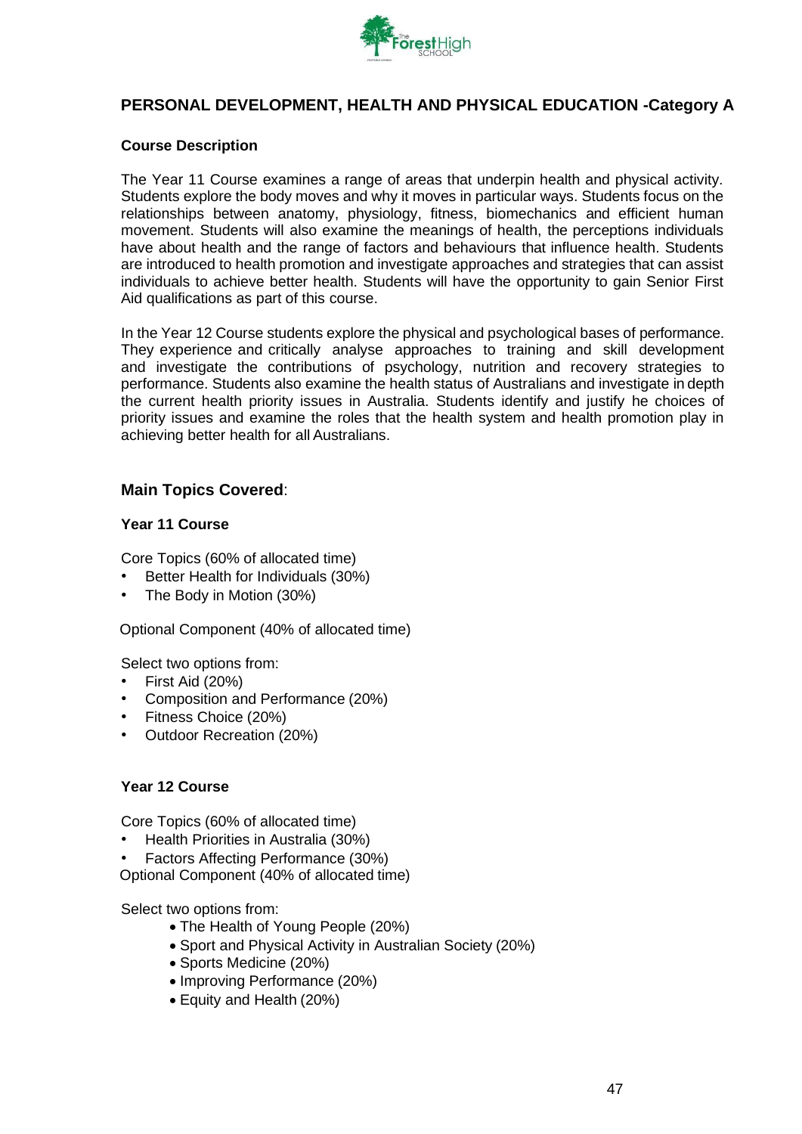

### **PERSONAL DEVELOPMENT, HEALTH AND PHYSICAL EDUCATION -Category A**

### **Course Description**

The Year 11 Course examines a range of areas that underpin health and physical activity. Students explore the body moves and why it moves in particular ways. Students focus on the relationships between anatomy, physiology, fitness, biomechanics and efficient human movement. Students will also examine the meanings of health, the perceptions individuals have about health and the range of factors and behaviours that influence health. Students are introduced to health promotion and investigate approaches and strategies that can assist individuals to achieve better health. Students will have the opportunity to gain Senior First Aid qualifications as part of this course.

In the Year 12 Course students explore the physical and psychological bases of performance. They experience and critically analyse approaches to training and skill development and investigate the contributions of psychology, nutrition and recovery strategies to performance. Students also examine the health status of Australians and investigate in depth the current health priority issues in Australia. Students identify and justify he choices of priority issues and examine the roles that the health system and health promotion play in achieving better health for all Australians.

### **Main Topics Covered**:

### **Year 11 Course**

Core Topics (60% of allocated time)

- Better Health for Individuals (30%)
- The Body in Motion (30%)

Optional Component (40% of allocated time)

Select two options from:

- First Aid (20%)
- Composition and Performance (20%)
- Fitness Choice (20%)
- Outdoor Recreation (20%)

#### **Year 12 Course**

Core Topics (60% of allocated time)

- Health Priorities in Australia (30%)
- Factors Affecting Performance (30%)

Optional Component (40% of allocated time)

Select two options from:

- The Health of Young People (20%)
- Sport and Physical Activity in Australian Society (20%)
- Sports Medicine (20%)
- Improving Performance (20%)
- Equity and Health (20%)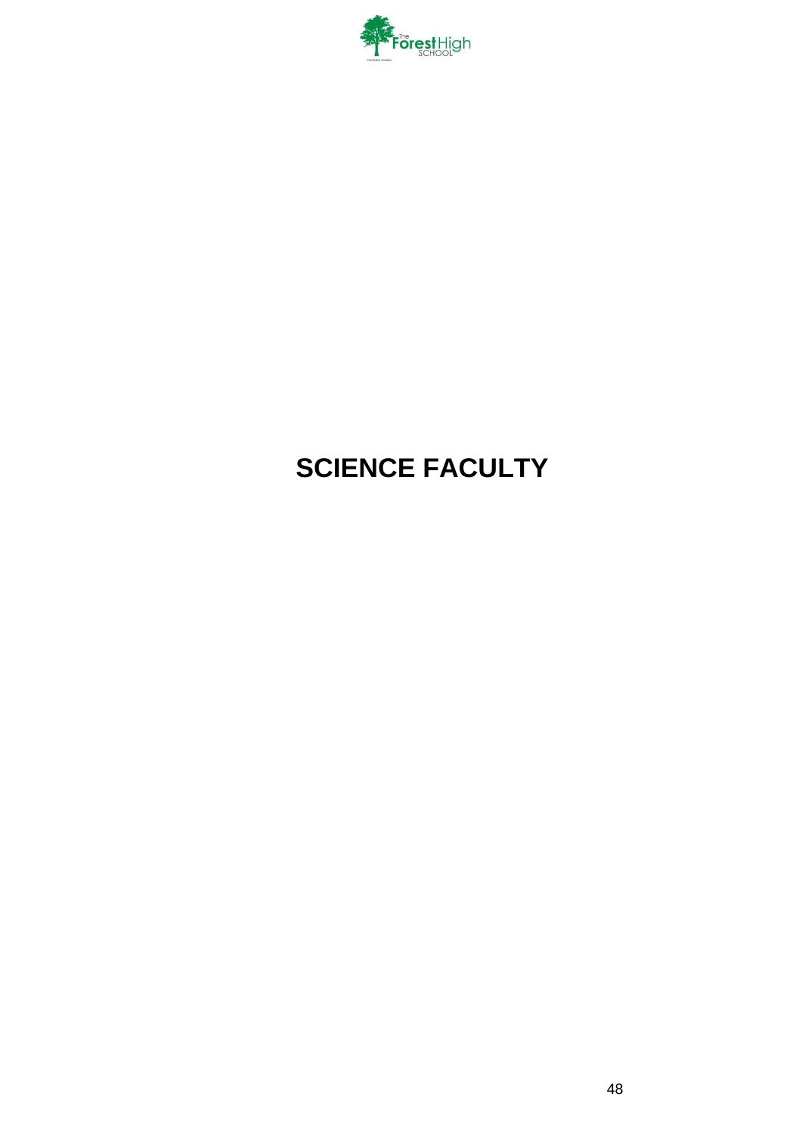

# **SCIENCE FACULTY**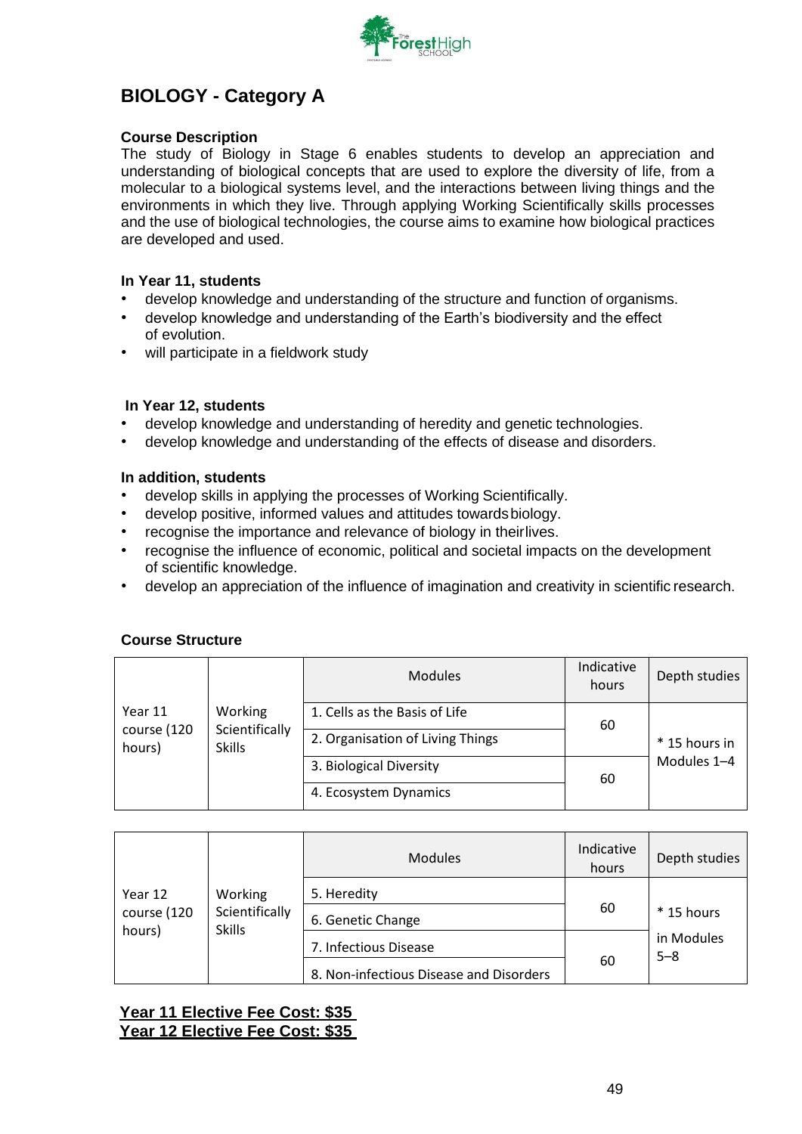

### **BIOLOGY - Category A**

### **Course Description**

The study of Biology in Stage 6 enables students to develop an appreciation and understanding of biological concepts that are used to explore the diversity of life, from a molecular to a biological systems level, and the interactions between living things and the environments in which they live. Through applying Working Scientifically skills processes and the use of biological technologies, the course aims to examine how biological practices are developed and used.

### **In Year 11, students**

- develop knowledge and understanding of the structure and function of organisms.
- develop knowledge and understanding of the Earth's biodiversity and the effect of evolution.
- will participate in a fieldwork study

### **In Year 12, students**

- develop knowledge and understanding of heredity and genetic technologies.
- develop knowledge and understanding of the effects of disease and disorders.

### **In addition, students**

- develop skills in applying the processes of Working Scientifically.
- develop positive, informed values and attitudes towardsbiology.
- recognise the importance and relevance of biology in theirlives.
- recognise the influence of economic, political and societal impacts on the development of scientific knowledge.
- develop an appreciation of the influence of imagination and creativity in scientific research.

### **Course Structure**

|                       |                                 | <b>Modules</b>                   | Indicative<br>hours | Depth studies |
|-----------------------|---------------------------------|----------------------------------|---------------------|---------------|
| Year 11               | Working                         | 1. Cells as the Basis of Life    | 60                  |               |
| course (120<br>hours) | Scientifically<br><b>Skills</b> | 2. Organisation of Living Things |                     | * 15 hours in |
|                       |                                 | 3. Biological Diversity          | 60                  | Modules 1-4   |
|                       |                                 | 4. Ecosystem Dynamics            |                     |               |

| Year 12<br>course (120<br>hours)<br><b>Skills</b> |                | <b>Modules</b>                          | Indicative<br>hours | Depth studies         |
|---------------------------------------------------|----------------|-----------------------------------------|---------------------|-----------------------|
|                                                   | Working        | 5. Heredity                             |                     |                       |
|                                                   | Scientifically | 6. Genetic Change                       | 60                  | $*$ 15 hours          |
|                                                   |                | 7. Infectious Disease                   |                     | in Modules<br>$5 - 8$ |
|                                                   |                | 8. Non-infectious Disease and Disorders | 60                  |                       |

### **Year 11 Elective Fee Cost: \$35 Year 12 Elective Fee Cost: \$35**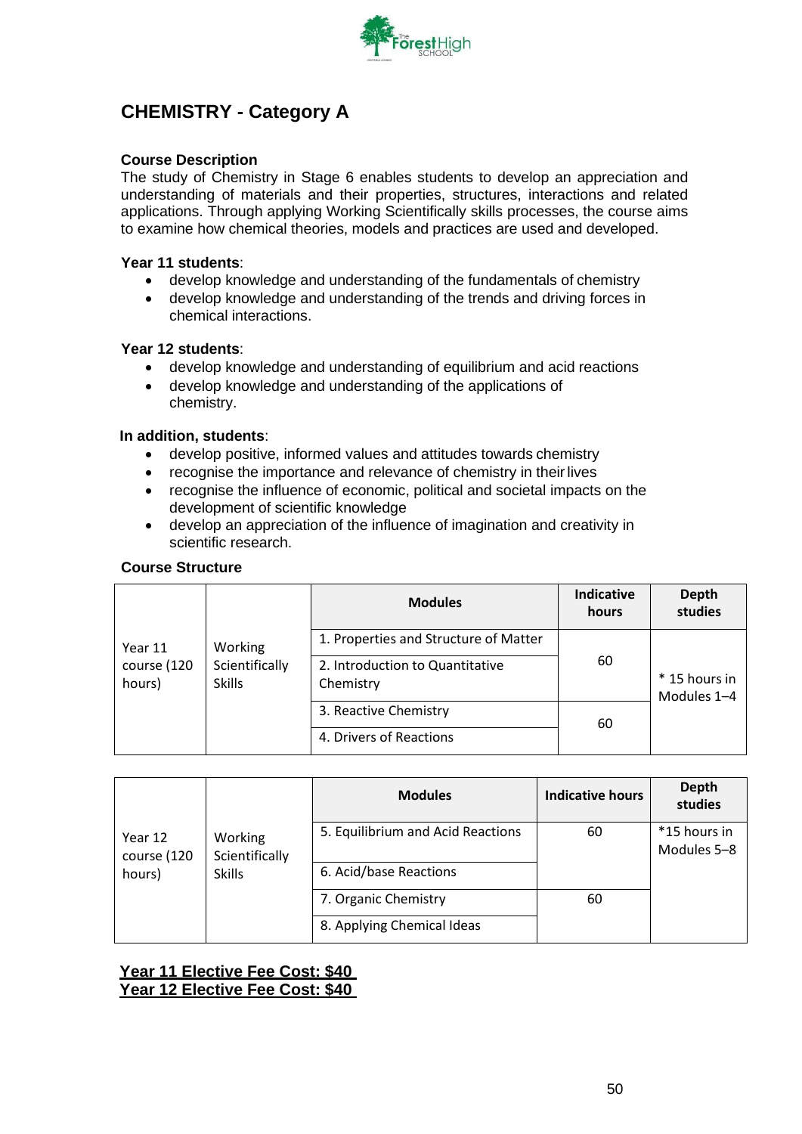

## **CHEMISTRY - Category A**

### **Course Description**

The study of Chemistry in Stage 6 enables students to develop an appreciation and understanding of materials and their properties, structures, interactions and related applications. Through applying Working Scientifically skills processes, the course aims to examine how chemical theories, models and practices are used and developed.

### **Year 11 students**:

- develop knowledge and understanding of the fundamentals of chemistry
- develop knowledge and understanding of the trends and driving forces in chemical interactions.

### **Year 12 students**:

- develop knowledge and understanding of equilibrium and acid reactions
- develop knowledge and understanding of the applications of chemistry.

### **In addition, students**:

- develop positive, informed values and attitudes towards chemistry
- recognise the importance and relevance of chemistry in their lives
- recognise the influence of economic, political and societal impacts on the development of scientific knowledge
- develop an appreciation of the influence of imagination and creativity in scientific research.

### **Course Structure**

|                       |                                 | <b>Modules</b>                               | <b>Indicative</b><br>hours | Depth<br>studies             |
|-----------------------|---------------------------------|----------------------------------------------|----------------------------|------------------------------|
| Year 11               | Working                         | 1. Properties and Structure of Matter        |                            |                              |
| course (120<br>hours) | Scientifically<br><b>Skills</b> | 2. Introduction to Quantitative<br>Chemistry | 60                         | * 15 hours in<br>Modules 1-4 |
|                       |                                 | 3. Reactive Chemistry                        | 60                         |                              |
|                       |                                 | 4. Drivers of Reactions                      |                            |                              |

|                        |                           | <b>Modules</b>                    | <b>Indicative hours</b> | Depth<br>studies            |
|------------------------|---------------------------|-----------------------------------|-------------------------|-----------------------------|
| Year 12<br>course (120 | Working<br>Scientifically | 5. Equilibrium and Acid Reactions | 60                      | *15 hours in<br>Modules 5-8 |
| hours)                 | <b>Skills</b>             | 6. Acid/base Reactions            |                         |                             |
|                        |                           | 7. Organic Chemistry              | 60                      |                             |
|                        |                           | 8. Applying Chemical Ideas        |                         |                             |

**Year 11 Elective Fee Cost: \$40 Year 12 Elective Fee Cost: \$40**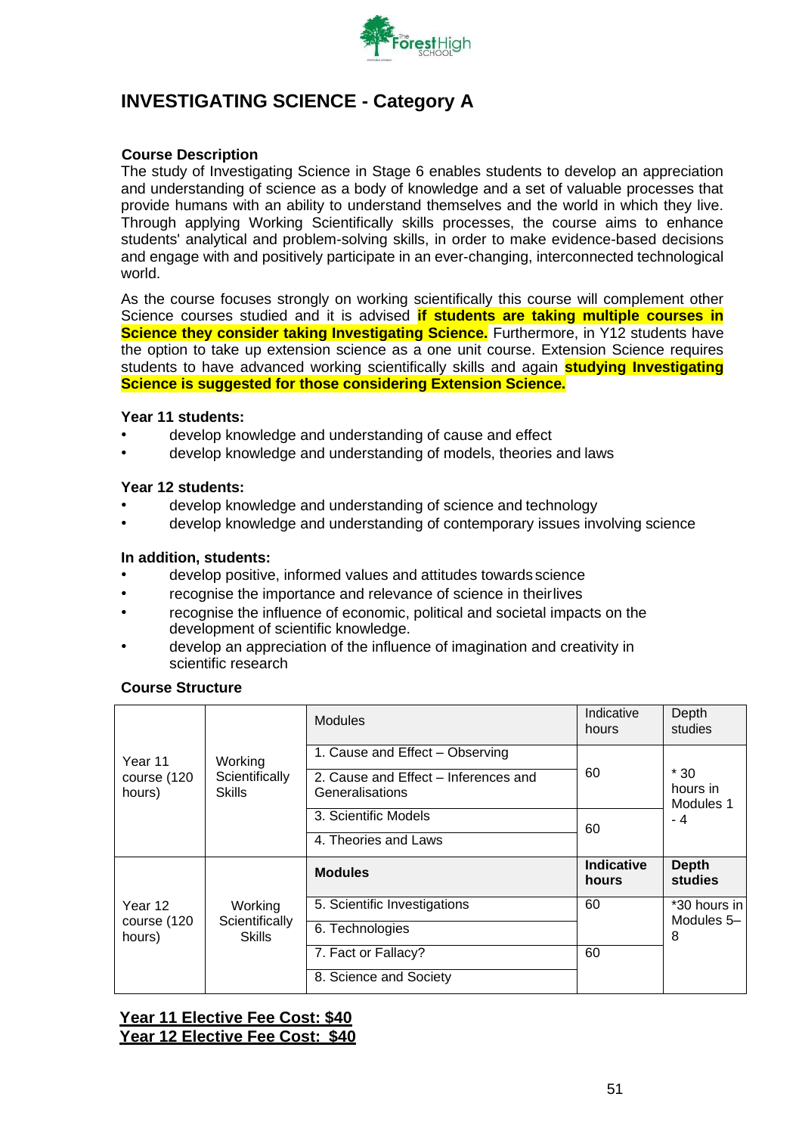

### **INVESTIGATING SCIENCE - Category A**

### **Course Description**

The study of Investigating Science in Stage 6 enables students to develop an appreciation and understanding of science as a body of knowledge and a set of valuable processes that provide humans with an ability to understand themselves and the world in which they live. Through applying Working Scientifically skills processes, the course aims to enhance students' analytical and problem-solving skills, in order to make evidence-based decisions and engage with and positively participate in an ever-changing, interconnected technological world.

As the course focuses strongly on working scientifically this course will complement other Science courses studied and it is advised **if students are taking multiple courses in Science they consider taking Investigating Science.** Furthermore, in Y12 students have the option to take up extension science as a one unit course. Extension Science requires students to have advanced working scientifically skills and again **studying Investigating Science is suggested for those considering Extension Science.**

### **Year 11 students:**

- develop knowledge and understanding of cause and effect
- develop knowledge and understanding of models, theories and laws

### **Year 12 students:**

- develop knowledge and understanding of science and technology
- develop knowledge and understanding of contemporary issues involving science

### **In addition, students:**

- develop positive, informed values and attitudes towards science
- recognise the importance and relevance of science in theirlives
- recognise the influence of economic, political and societal impacts on the development of scientific knowledge.
- develop an appreciation of the influence of imagination and creativity in scientific research

### **Course Structure**

| Year 11<br>course (120<br>hours) | Working<br>Scientifically<br>Skills | <b>Modules</b>                                                                             | Indicative<br>hours        | Depth<br>studies        |
|----------------------------------|-------------------------------------|--------------------------------------------------------------------------------------------|----------------------------|-------------------------|
|                                  |                                     | 1. Cause and Effect - Observing<br>2. Cause and Effect – Inferences and<br>Generalisations | 60                         | $*30$<br>hours in       |
|                                  |                                     | 3. Scientific Models<br>4. Theories and Laws                                               | - 4<br>60                  | Modules 1               |
|                                  |                                     |                                                                                            |                            |                         |
|                                  |                                     | <b>Modules</b>                                                                             | <b>Indicative</b><br>hours | <b>Depth</b><br>studies |
| Year 12                          | Working                             | 5. Scientific Investigations                                                               | 60                         | *30 hours in            |
| course (120<br>hours)            | Scientifically<br><b>Skills</b>     | 6. Technologies                                                                            |                            | Modules 5-<br>8         |
|                                  |                                     | 7. Fact or Fallacy?                                                                        | 60                         |                         |

### **Year 11 Elective Fee Cost: \$40 Year 12 Elective Fee Cost: \$40**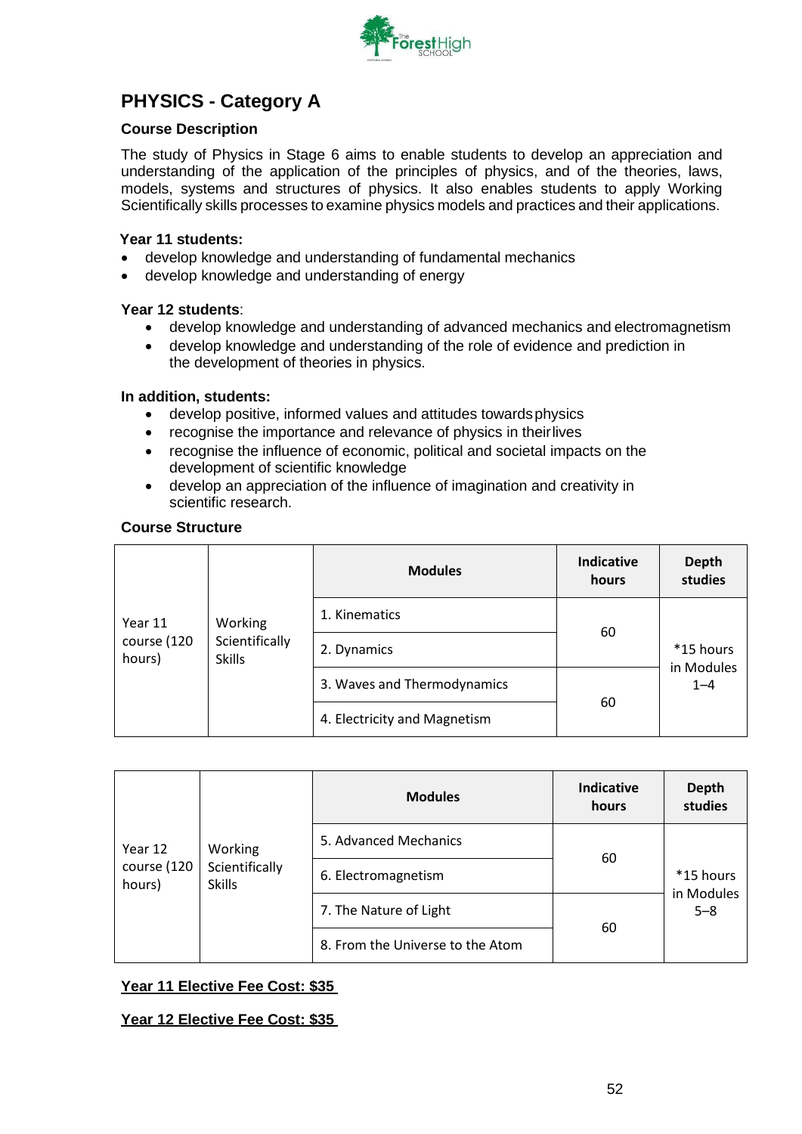

### **PHYSICS - Category A**

### **Course Description**

The study of Physics in Stage 6 aims to enable students to develop an appreciation and understanding of the application of the principles of physics, and of the theories, laws, models, systems and structures of physics. It also enables students to apply Working Scientifically skills processes to examine physics models and practices and their applications.

### **Year 11 students:**

- develop knowledge and understanding of fundamental mechanics
- develop knowledge and understanding of energy

### **Year 12 students**:

- develop knowledge and understanding of advanced mechanics and electromagnetism
- develop knowledge and understanding of the role of evidence and prediction in the development of theories in physics.

### **In addition, students:**

- develop positive, informed values and attitudes towardsphysics
- recognise the importance and relevance of physics in theirlives
- recognise the influence of economic, political and societal impacts on the development of scientific knowledge
- develop an appreciation of the influence of imagination and creativity in scientific research.

### **Course Structure**

|                       |                                 | <b>Modules</b>               | <b>Indicative</b><br>hours | <b>Depth</b><br>studies            |
|-----------------------|---------------------------------|------------------------------|----------------------------|------------------------------------|
| Year 11               | Working                         | 1. Kinematics                | 60                         |                                    |
| course (120<br>hours) | Scientifically<br><b>Skills</b> | 2. Dynamics                  |                            | *15 hours<br>in Modules<br>$1 - 4$ |
|                       |                                 | 3. Waves and Thermodynamics  |                            |                                    |
|                       |                                 | 4. Electricity and Magnetism | 60                         |                                    |

| Year 12<br>course (120<br>hours) |                                            | <b>Modules</b>                   | <b>Indicative</b><br>hours | <b>Depth</b><br>studies            |
|----------------------------------|--------------------------------------------|----------------------------------|----------------------------|------------------------------------|
|                                  | Working<br>Scientifically<br><b>Skills</b> | 5. Advanced Mechanics            |                            | *15 hours<br>in Modules<br>$5 - 8$ |
|                                  |                                            | 6. Electromagnetism              | 60                         |                                    |
|                                  |                                            | 7. The Nature of Light           | 60                         |                                    |
|                                  |                                            | 8. From the Universe to the Atom |                            |                                    |

### **Year 11 Elective Fee Cost: \$35**

**Year 12 Elective Fee Cost: \$35**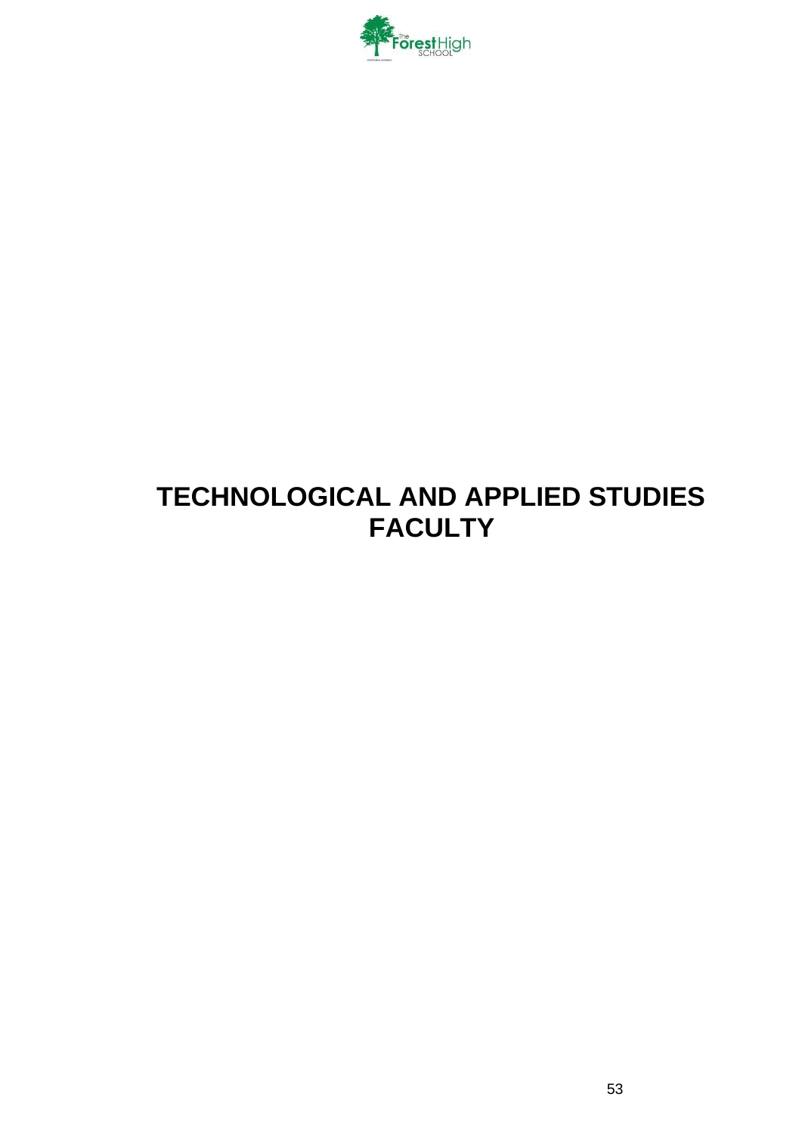

# **TECHNOLOGICAL AND APPLIED STUDIES FACULTY**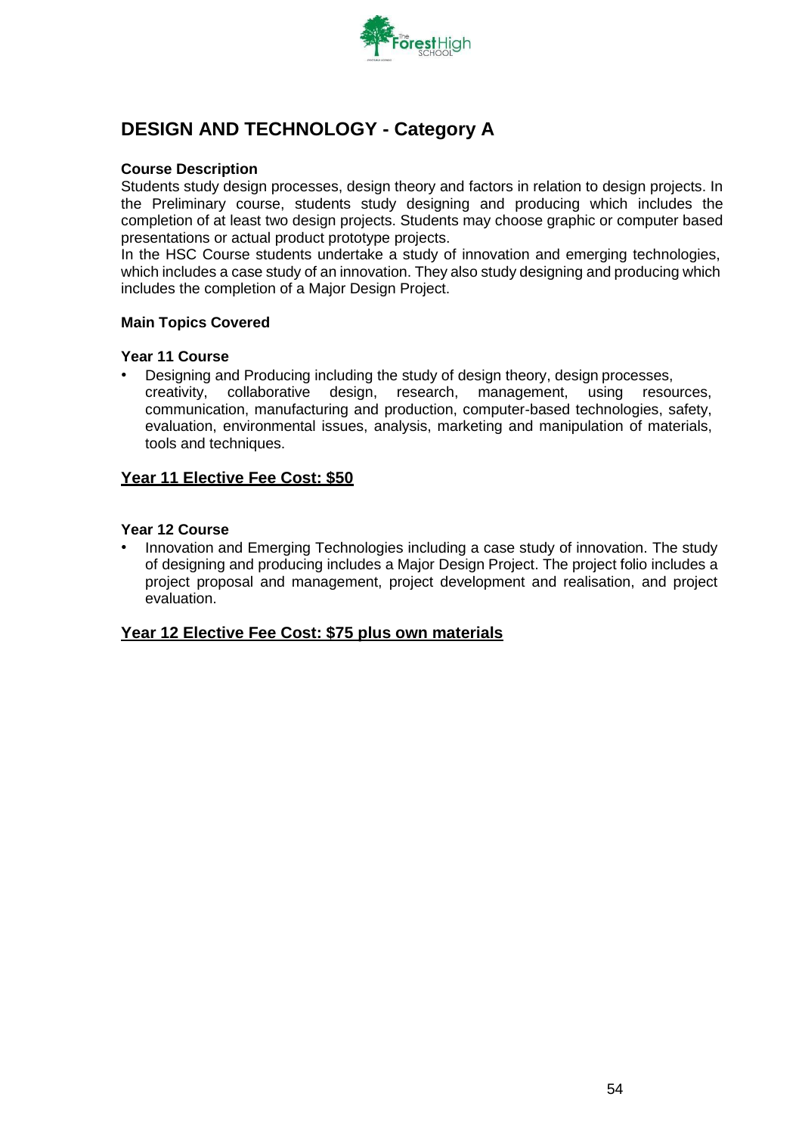

### **DESIGN AND TECHNOLOGY - Category A**

### **Course Description**

Students study design processes, design theory and factors in relation to design projects. In the Preliminary course, students study designing and producing which includes the completion of at least two design projects. Students may choose graphic or computer based presentations or actual product prototype projects.

In the HSC Course students undertake a study of innovation and emerging technologies, which includes a case study of an innovation. They also study designing and producing which includes the completion of a Major Design Project.

### **Main Topics Covered**

#### **Year 11 Course**

• Designing and Producing including the study of design theory, design processes, creativity, collaborative design, research, management, using resources, communication, manufacturing and production, computer-based technologies, safety, evaluation, environmental issues, analysis, marketing and manipulation of materials, tools and techniques.

### **Year 11 Elective Fee Cost: \$50**

### **Year 12 Course**

• Innovation and Emerging Technologies including a case study of innovation. The study of designing and producing includes a Major Design Project. The project folio includes a project proposal and management, project development and realisation, and project evaluation.

### **Year 12 Elective Fee Cost: \$75 plus own materials**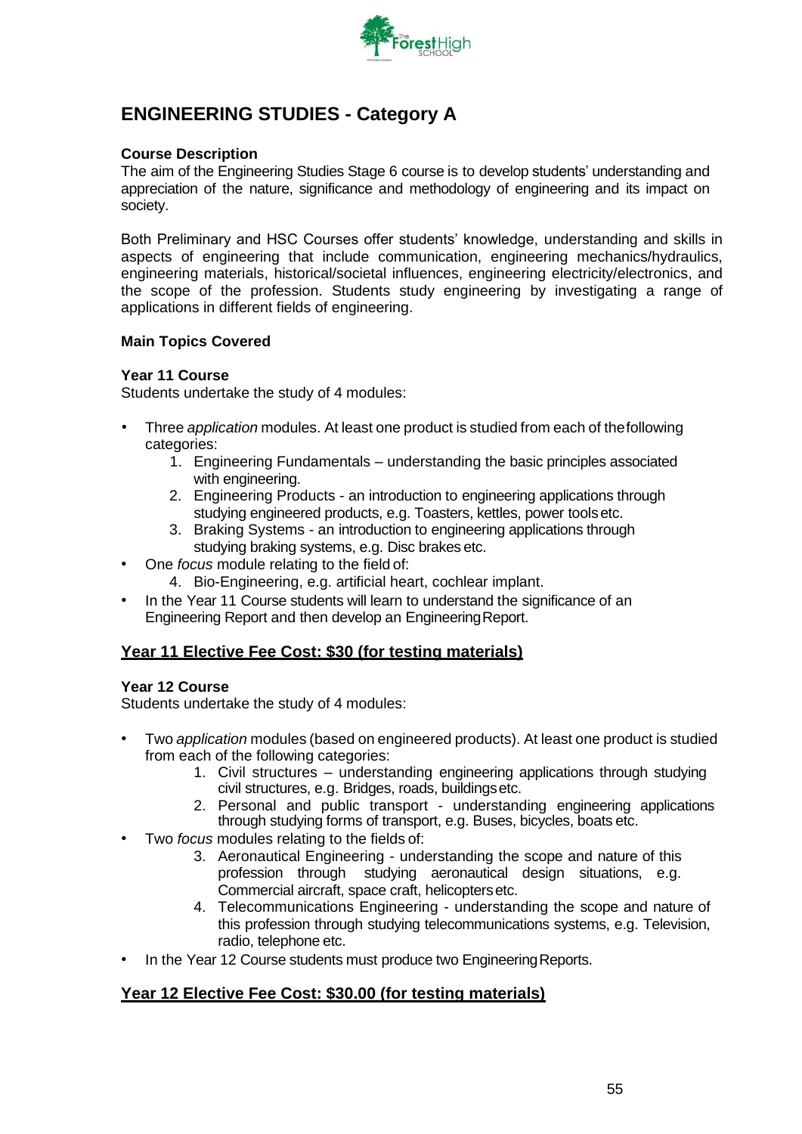

### **ENGINEERING STUDIES - Category A**

### **Course Description**

The aim of the Engineering Studies Stage 6 course is to develop students' understanding and appreciation of the nature, significance and methodology of engineering and its impact on society.

Both Preliminary and HSC Courses offer students' knowledge, understanding and skills in aspects of engineering that include communication, engineering mechanics/hydraulics, engineering materials, historical/societal influences, engineering electricity/electronics, and the scope of the profession. Students study engineering by investigating a range of applications in different fields of engineering.

### **Main Topics Covered**

### **Year 11 Course**

Students undertake the study of 4 modules:

- Three *application* modules. At least one product is studied from each of thefollowing categories:
	- 1. Engineering Fundamentals understanding the basic principles associated with engineering.
	- 2. Engineering Products an introduction to engineering applications through studying engineered products, e.g. Toasters, kettles, power toolsetc.
	- 3. Braking Systems an introduction to engineering applications through studying braking systems, e.g. Disc brakes etc.
- One *focus* module relating to the field of:
	- 4. Bio-Engineering, e.g. artificial heart, cochlear implant.
- In the Year 11 Course students will learn to understand the significance of an Engineering Report and then develop an EngineeringReport.

### **Year 11 Elective Fee Cost: \$30 (for testing materials)**

### **Year 12 Course**

Students undertake the study of 4 modules:

- Two *application* modules (based on engineered products). At least one product is studied from each of the following categories:
	- 1. Civil structures understanding engineering applications through studying civil structures, e.g. Bridges, roads, buildingsetc.
	- 2. Personal and public transport understanding engineering applications through studying forms of transport, e.g. Buses, bicycles, boats etc.
- Two *focus* modules relating to the fields of:
	- 3. Aeronautical Engineering understanding the scope and nature of this profession through studying aeronautical design situations, e.g. Commercial aircraft, space craft, helicoptersetc.
	- 4. Telecommunications Engineering understanding the scope and nature of this profession through studying telecommunications systems, e.g. Television, radio, telephone etc.
- In the Year 12 Course students must produce two Engineering Reports.

### **Year 12 Elective Fee Cost: \$30.00 (for testing materials)**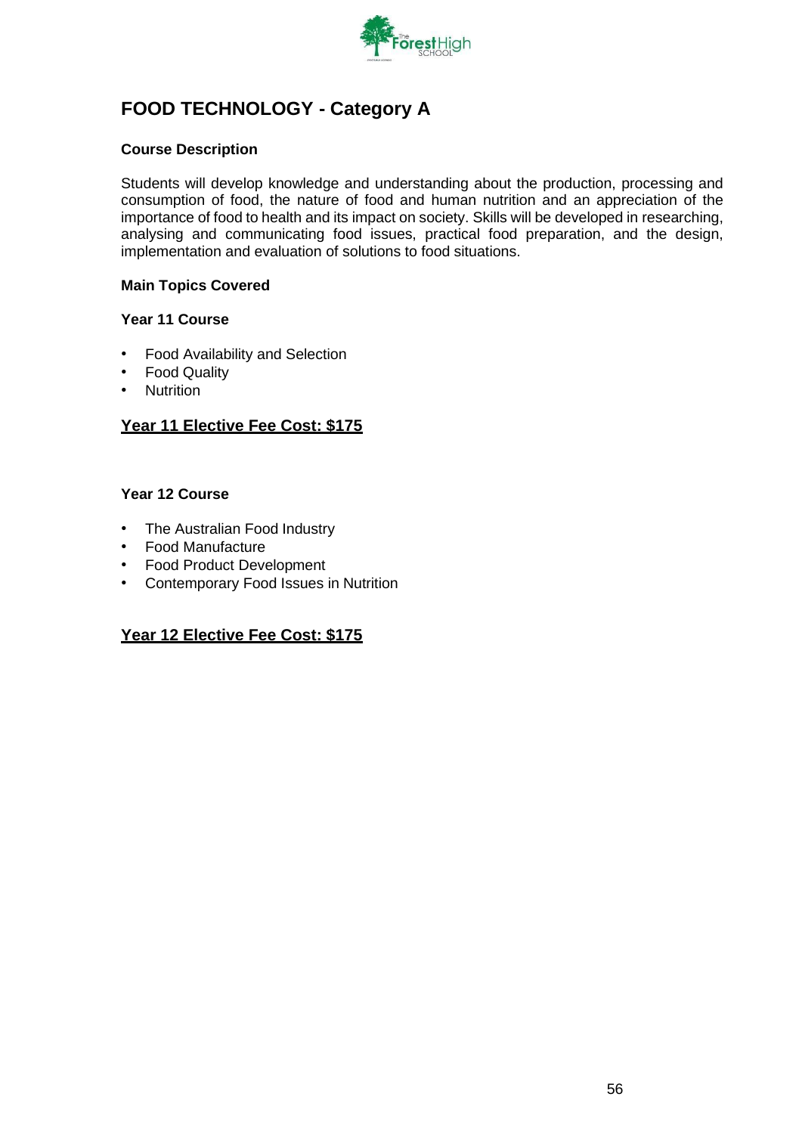

# **FOOD TECHNOLOGY - Category A**

### **Course Description**

Students will develop knowledge and understanding about the production, processing and consumption of food, the nature of food and human nutrition and an appreciation of the importance of food to health and its impact on society. Skills will be developed in researching, analysing and communicating food issues, practical food preparation, and the design, implementation and evaluation of solutions to food situations.

### **Main Topics Covered**

### **Year 11 Course**

- Food Availability and Selection
- Food Quality
- Nutrition

### **Year 11 Elective Fee Cost: \$175**

### **Year 12 Course**

- The Australian Food Industry
- Food Manufacture
- Food Product Development
- Contemporary Food Issues in Nutrition

### **Year 12 Elective Fee Cost: \$175**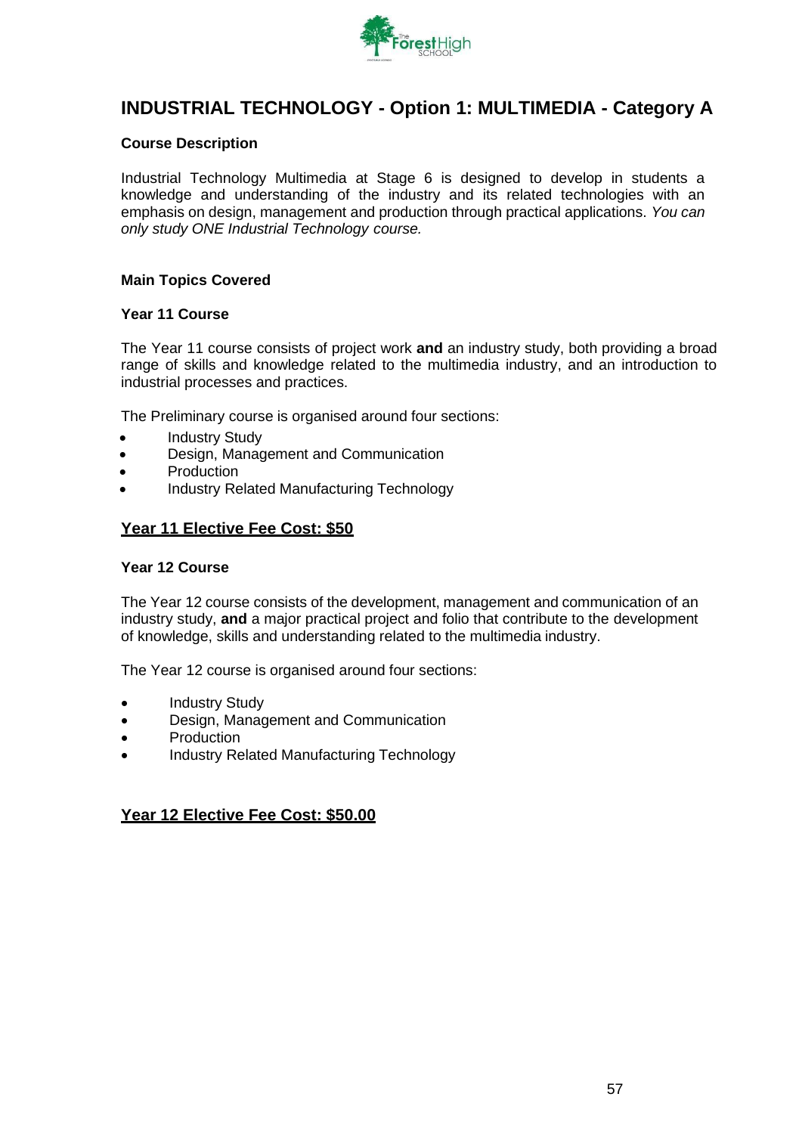

### **INDUSTRIAL TECHNOLOGY - Option 1: MULTIMEDIA - Category A**

### **Course Description**

Industrial Technology Multimedia at Stage 6 is designed to develop in students a knowledge and understanding of the industry and its related technologies with an emphasis on design, management and production through practical applications. *You can only study ONE Industrial Technology course.*

### **Main Topics Covered**

### **Year 11 Course**

The Year 11 course consists of project work **and** an industry study, both providing a broad range of skills and knowledge related to the multimedia industry, and an introduction to industrial processes and practices.

The Preliminary course is organised around four sections:

- **Industry Study**
- Design, Management and Communication
- **Production**
- Industry Related Manufacturing Technology

### **Year 11 Elective Fee Cost: \$50**

#### **Year 12 Course**

The Year 12 course consists of the development, management and communication of an industry study, **and** a major practical project and folio that contribute to the development of knowledge, skills and understanding related to the multimedia industry.

The Year 12 course is organised around four sections:

- **Industry Study**
- Design, Management and Communication
- Production
- Industry Related Manufacturing Technology

### **Year 12 Elective Fee Cost: \$50.00**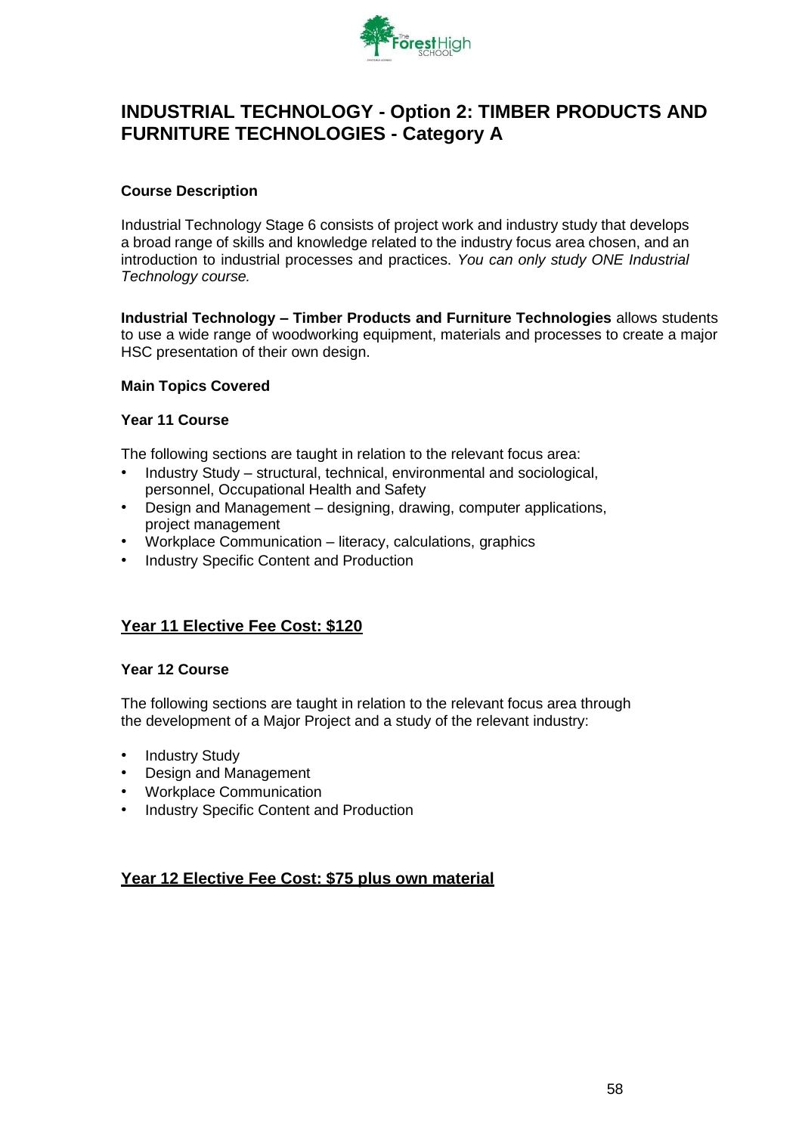

### **INDUSTRIAL TECHNOLOGY - Option 2: TIMBER PRODUCTS AND FURNITURE TECHNOLOGIES - Category A**

### **Course Description**

Industrial Technology Stage 6 consists of project work and industry study that develops a broad range of skills and knowledge related to the industry focus area chosen, and an introduction to industrial processes and practices. *You can only study ONE Industrial Technology course.*

**Industrial Technology – Timber Products and Furniture Technologies** allows students to use a wide range of woodworking equipment, materials and processes to create a major HSC presentation of their own design.

### **Main Topics Covered**

### **Year 11 Course**

The following sections are taught in relation to the relevant focus area:

- Industry Study structural, technical, environmental and sociological, personnel, Occupational Health and Safety
- Design and Management designing, drawing, computer applications, project management
- Workplace Communication literacy, calculations, graphics
- Industry Specific Content and Production

### **Year 11 Elective Fee Cost: \$120**

#### **Year 12 Course**

The following sections are taught in relation to the relevant focus area through the development of a Major Project and a study of the relevant industry:

- **Industry Study**
- Design and Management
- Workplace Communication
- Industry Specific Content and Production

### **Year 12 Elective Fee Cost: \$75 plus own material**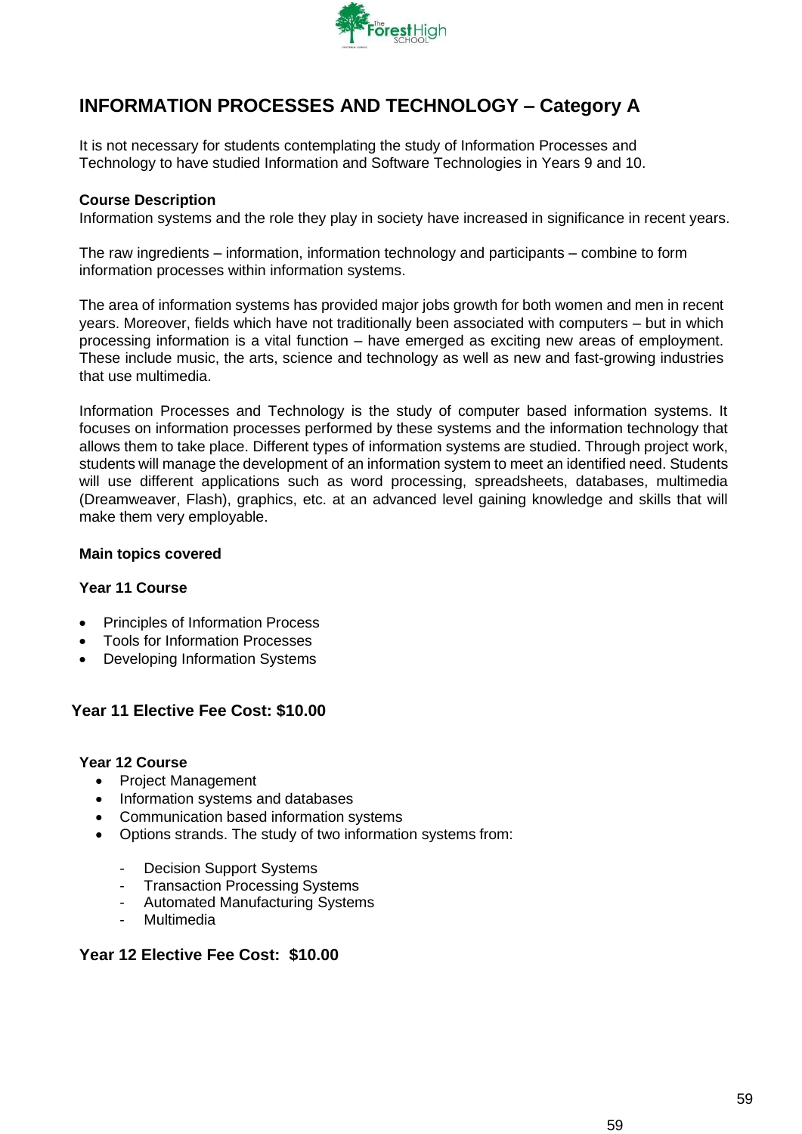

# **INFORMATION PROCESSES AND TECHNOLOGY – Category A**

It is not necessary for students contemplating the study of Information Processes and Technology to have studied Information and Software Technologies in Years 9 and 10.

### **Course Description**

Information systems and the role they play in society have increased in significance in recent years.

The raw ingredients – information, information technology and participants – combine to form information processes within information systems.

The area of information systems has provided major jobs growth for both women and men in recent years. Moreover, fields which have not traditionally been associated with computers – but in which processing information is a vital function – have emerged as exciting new areas of employment. These include music, the arts, science and technology as well as new and fast-growing industries that use multimedia.

Information Processes and Technology is the study of computer based information systems. It focuses on information processes performed by these systems and the information technology that allows them to take place. Different types of information systems are studied. Through project work, students will manage the development of an information system to meet an identified need. Students will use different applications such as word processing, spreadsheets, databases, multimedia (Dreamweaver, Flash), graphics, etc. at an advanced level gaining knowledge and skills that will make them very employable.

### **Main topics covered**

### **Year 11 Course**

- Principles of Information Process
- Tools for Information Processes
- Developing Information Systems

### **Year 11 Elective Fee Cost: \$10.00**

### **Year 12 Course**

- Project Management
- Information systems and databases
- Communication based information systems
- Options strands. The study of two information systems from:
	- Decision Support Systems
	- Transaction Processing Systems
	- Automated Manufacturing Systems
	- Multimedia

### **Year 12 Elective Fee Cost: \$10.00**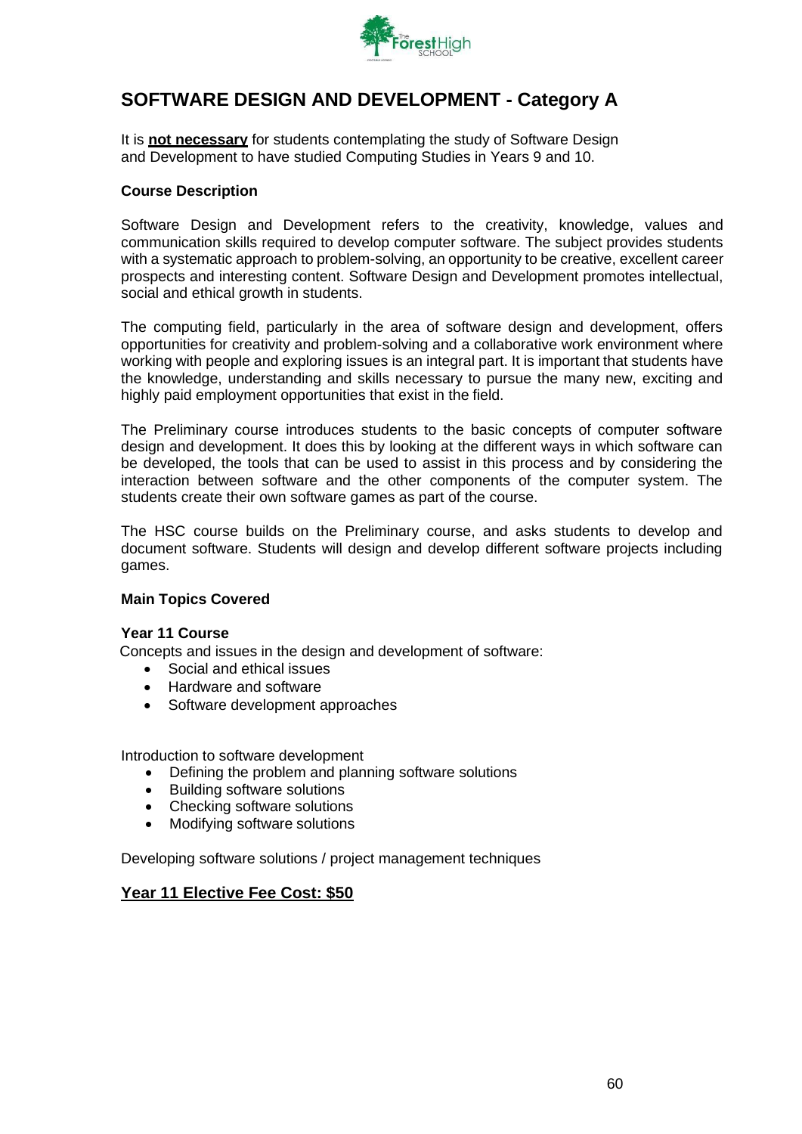

### **SOFTWARE DESIGN AND DEVELOPMENT - Category A**

It is **not necessary** for students contemplating the study of Software Design and Development to have studied Computing Studies in Years 9 and 10.

### **Course Description**

Software Design and Development refers to the creativity, knowledge, values and communication skills required to develop computer software. The subject provides students with a systematic approach to problem-solving, an opportunity to be creative, excellent career prospects and interesting content. Software Design and Development promotes intellectual, social and ethical growth in students.

The computing field, particularly in the area of software design and development, offers opportunities for creativity and problem-solving and a collaborative work environment where working with people and exploring issues is an integral part. It is important that students have the knowledge, understanding and skills necessary to pursue the many new, exciting and highly paid employment opportunities that exist in the field.

The Preliminary course introduces students to the basic concepts of computer software design and development. It does this by looking at the different ways in which software can be developed, the tools that can be used to assist in this process and by considering the interaction between software and the other components of the computer system. The students create their own software games as part of the course.

The HSC course builds on the Preliminary course, and asks students to develop and document software. Students will design and develop different software projects including games.

#### **Main Topics Covered**

#### **Year 11 Course**

Concepts and issues in the design and development of software:

- Social and ethical issues
- Hardware and software
- Software development approaches

Introduction to software development

- Defining the problem and planning software solutions
- Building software solutions
- Checking software solutions
- Modifying software solutions

Developing software solutions / project management techniques

### **Year 11 Elective Fee Cost: \$50**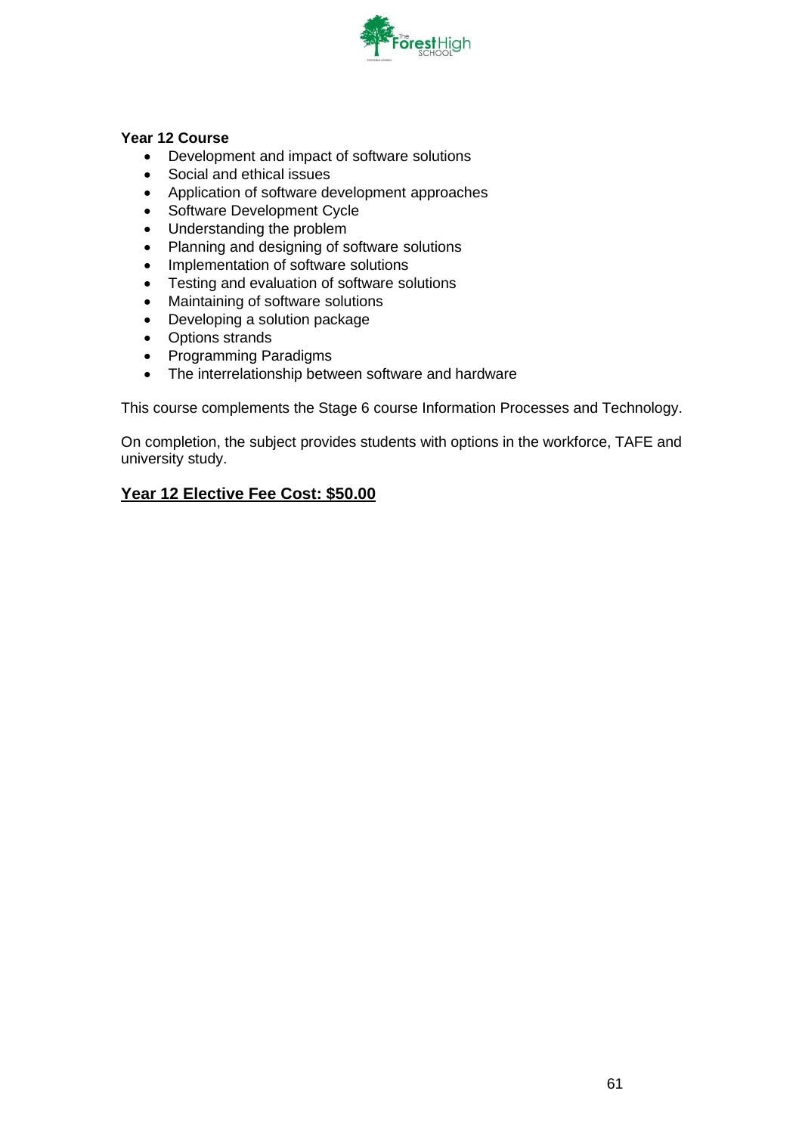

### **Year 12 Course**

- Development and impact of software solutions
- Social and ethical issues
- Application of software development approaches
- Software Development Cycle
- Understanding the problem
- Planning and designing of software solutions
- Implementation of software solutions
- Testing and evaluation of software solutions
- Maintaining of software solutions
- Developing a solution package
- Options strands
- Programming Paradigms
- The interrelationship between software and hardware

This course complements the Stage 6 course Information Processes and Technology.

On completion, the subject provides students with options in the workforce, TAFE and university study.

### **Year 12 Elective Fee Cost: \$50.00**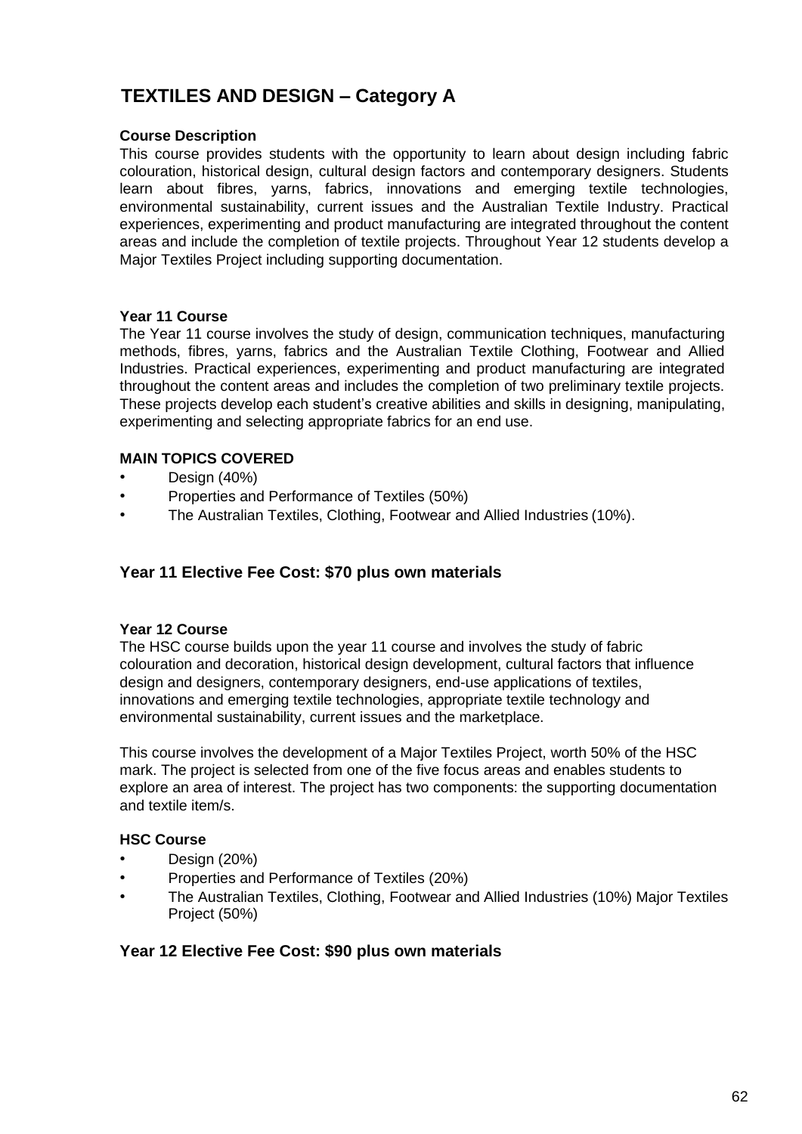# **TEXTILES AND DESIGN – Category A**

### **Course Description**

This course provides students with the opportunity to learn about design including fabric colouration, historical design, cultural design factors and contemporary designers. Students learn about fibres, yarns, fabrics, innovations and emerging textile technologies, environmental sustainability, current issues and the Australian Textile Industry. Practical experiences, experimenting and product manufacturing are integrated throughout the content areas and include the completion of textile projects. Throughout Year 12 students develop a Major Textiles Project including supporting documentation.

### **Year 11 Course**

The Year 11 course involves the study of design, communication techniques, manufacturing methods, fibres, yarns, fabrics and the Australian Textile Clothing, Footwear and Allied Industries. Practical experiences, experimenting and product manufacturing are integrated throughout the content areas and includes the completion of two preliminary textile projects. These projects develop each student's creative abilities and skills in designing, manipulating, experimenting and selecting appropriate fabrics for an end use.

### **MAIN TOPICS COVERED**

- Design (40%)
- Properties and Performance of Textiles (50%)
- The Australian Textiles, Clothing, Footwear and Allied Industries (10%).

### **Year 11 Elective Fee Cost: \$70 plus own materials**

### **Year 12 Course**

The HSC course builds upon the year 11 course and involves the study of fabric colouration and decoration, historical design development, cultural factors that influence design and designers, contemporary designers, end-use applications of textiles, innovations and emerging textile technologies, appropriate textile technology and environmental sustainability, current issues and the marketplace.

This course involves the development of a Major Textiles Project, worth 50% of the HSC mark. The project is selected from one of the five focus areas and enables students to explore an area of interest. The project has two components: the supporting documentation and textile item/s.

### **HSC Course**

- Design (20%)
- Properties and Performance of Textiles (20%)
- The Australian Textiles, Clothing, Footwear and Allied Industries (10%) Major Textiles Project (50%)

### **Year 12 Elective Fee Cost: \$90 plus own materials**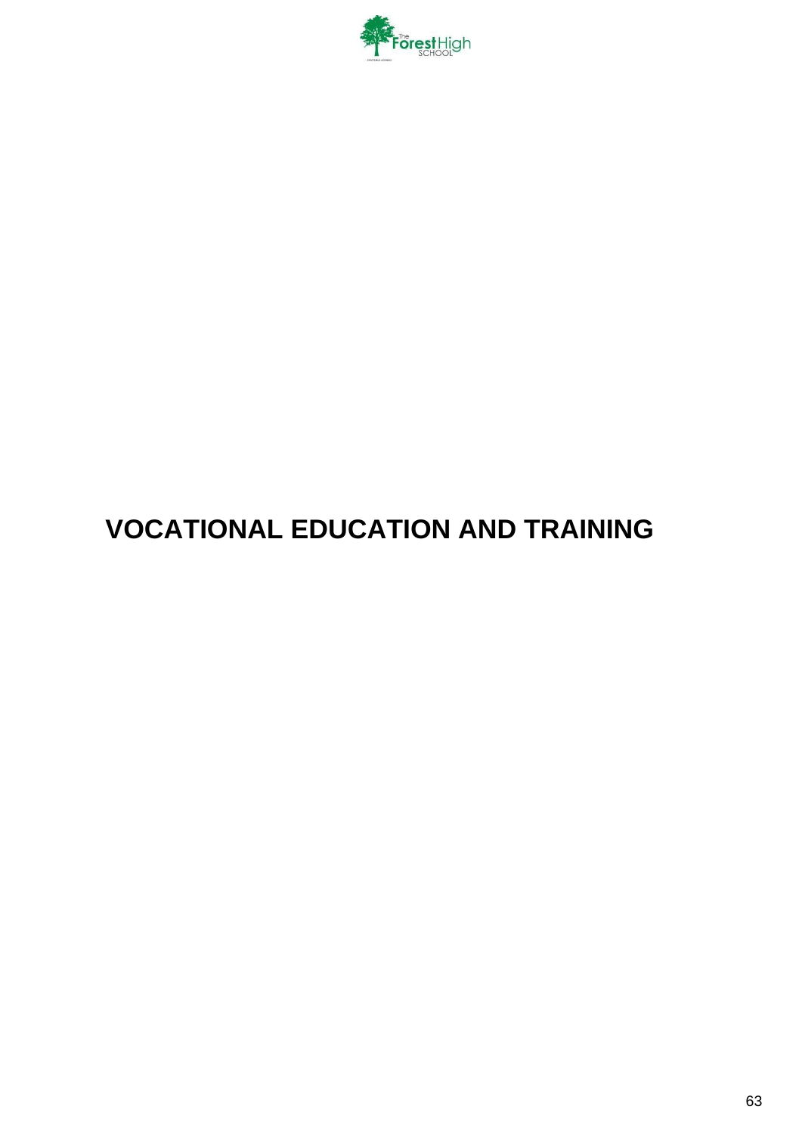

# **VOCATIONAL EDUCATION AND TRAINING**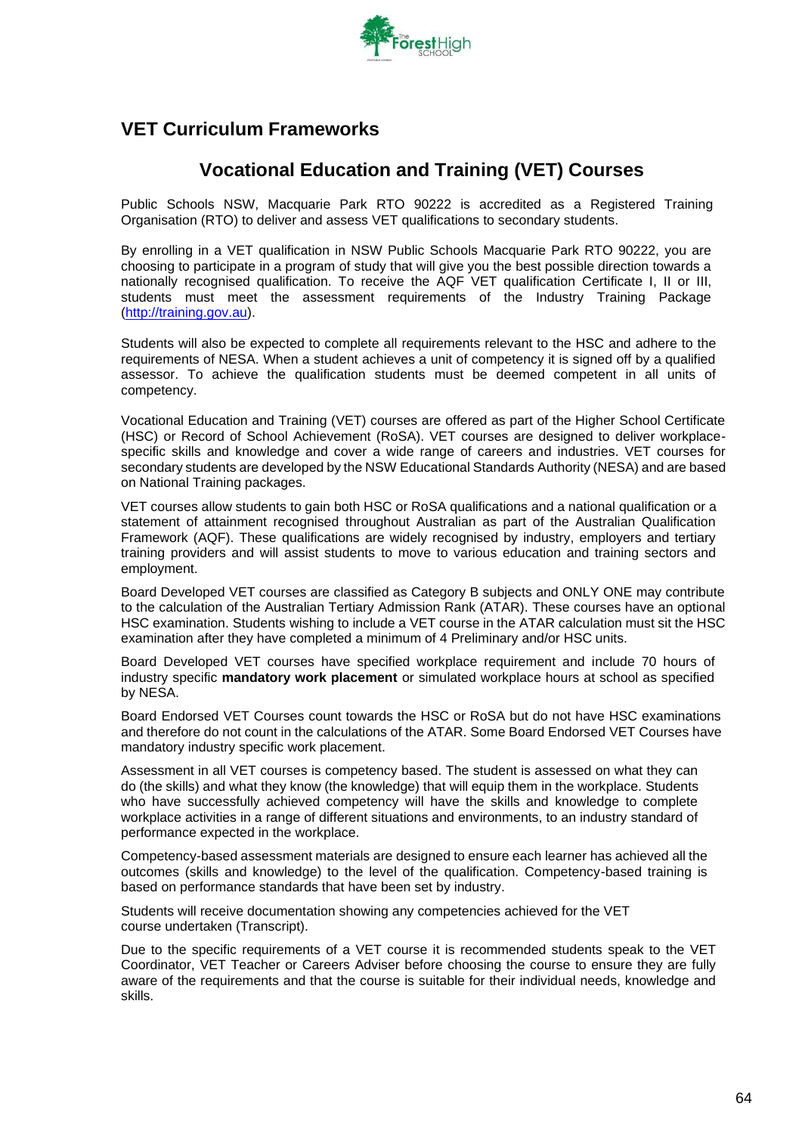

### **VET Curriculum Frameworks**

### **Vocational Education and Training (VET) Courses**

Public Schools NSW, Macquarie Park RTO 90222 is accredited as a Registered Training Organisation (RTO) to deliver and assess VET qualifications to secondary students.

By enrolling in a VET qualification in NSW Public Schools Macquarie Park RTO 90222, you are choosing to participate in a program of study that will give you the best possible direction towards a nationally recognised qualification. To receive the AQF VET qualification Certificate I, II or III, students must meet the assessment requirements of the Industry Training Package [\(http://training.gov.au\)](http://training.gov.au/).

Students will also be expected to complete all requirements relevant to the HSC and adhere to the requirements of NESA. When a student achieves a unit of competency it is signed off by a qualified assessor. To achieve the qualification students must be deemed competent in all units of competency.

Vocational Education and Training (VET) courses are offered as part of the Higher School Certificate (HSC) or Record of School Achievement (RoSA). VET courses are designed to deliver workplacespecific skills and knowledge and cover a wide range of careers and industries. VET courses for secondary students are developed by the NSW Educational Standards Authority (NESA) and are based on National Training packages.

VET courses allow students to gain both HSC or RoSA qualifications and a national qualification or a statement of attainment recognised throughout Australian as part of the Australian Qualification Framework (AQF). These qualifications are widely recognised by industry, employers and tertiary training providers and will assist students to move to various education and training sectors and employment.

Board Developed VET courses are classified as Category B subjects and ONLY ONE may contribute to the calculation of the Australian Tertiary Admission Rank (ATAR). These courses have an optional HSC examination. Students wishing to include a VET course in the ATAR calculation must sit the HSC examination after they have completed a minimum of 4 Preliminary and/or HSC units.

Board Developed VET courses have specified workplace requirement and include 70 hours of industry specific **mandatory work placement** or simulated workplace hours at school as specified by NESA.

Board Endorsed VET Courses count towards the HSC or RoSA but do not have HSC examinations and therefore do not count in the calculations of the ATAR. Some Board Endorsed VET Courses have mandatory industry specific work placement.

Assessment in all VET courses is competency based. The student is assessed on what they can do (the skills) and what they know (the knowledge) that will equip them in the workplace. Students who have successfully achieved competency will have the skills and knowledge to complete workplace activities in a range of different situations and environments, to an industry standard of performance expected in the workplace.

Competency-based assessment materials are designed to ensure each learner has achieved all the outcomes (skills and knowledge) to the level of the qualification. Competency-based training is based on performance standards that have been set by industry.

Students will receive documentation showing any competencies achieved for the VET course undertaken (Transcript).

Due to the specific requirements of a VET course it is recommended students speak to the VET Coordinator, VET Teacher or Careers Adviser before choosing the course to ensure they are fully aware of the requirements and that the course is suitable for their individual needs, knowledge and skills.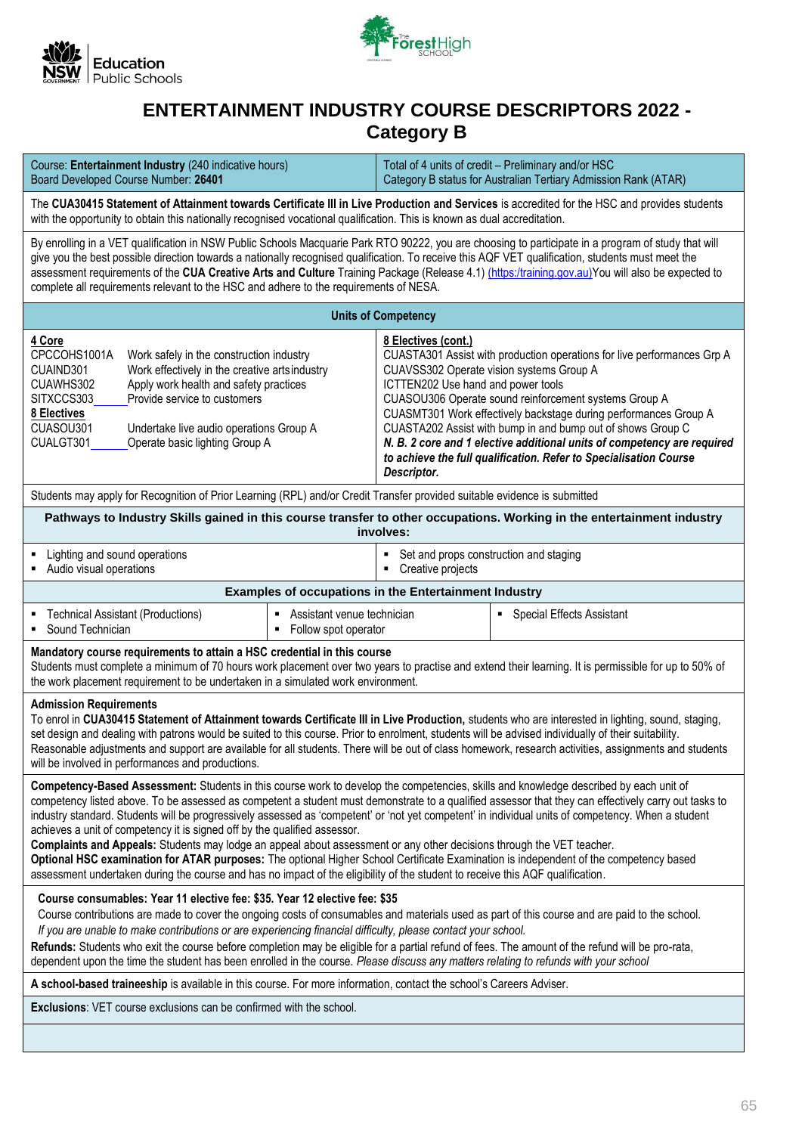



### **[ENTERTAINMENT I](http://www.boardofstudies.nsw.edu.au/syllabus_hsc/business-services.html)NDUSTRY COURSE DESCRIPTORS 2022 - Category B**

| Course: Entertainment Industry (240 indicative hours)<br>Board Developed Course Number: 26401                                                                                                                                                                                                                                                                                                                                                                                                                                                                                                                                                                                                                                                                                                                                                                                                                                        |                                                                                                                                                                                                                                                                          |                                                       | Total of 4 units of credit - Preliminary and/or HSC<br>Category B status for Australian Tertiary Admission Rank (ATAR)                                |  |  |  |
|--------------------------------------------------------------------------------------------------------------------------------------------------------------------------------------------------------------------------------------------------------------------------------------------------------------------------------------------------------------------------------------------------------------------------------------------------------------------------------------------------------------------------------------------------------------------------------------------------------------------------------------------------------------------------------------------------------------------------------------------------------------------------------------------------------------------------------------------------------------------------------------------------------------------------------------|--------------------------------------------------------------------------------------------------------------------------------------------------------------------------------------------------------------------------------------------------------------------------|-------------------------------------------------------|-------------------------------------------------------------------------------------------------------------------------------------------------------|--|--|--|
|                                                                                                                                                                                                                                                                                                                                                                                                                                                                                                                                                                                                                                                                                                                                                                                                                                                                                                                                      | The CUA30415 Statement of Attainment towards Certificate III in Live Production and Services is accredited for the HSC and provides students<br>with the opportunity to obtain this nationally recognised vocational qualification. This is known as dual accreditation. |                                                       |                                                                                                                                                       |  |  |  |
| By enrolling in a VET qualification in NSW Public Schools Macquarie Park RTO 90222, you are choosing to participate in a program of study that will<br>give you the best possible direction towards a nationally recognised qualification. To receive this AQF VET qualification, students must meet the<br>assessment requirements of the CUA Creative Arts and Culture Training Package (Release 4.1) (https:/training.gov.au)You will also be expected to<br>complete all requirements relevant to the HSC and adhere to the requirements of NESA.                                                                                                                                                                                                                                                                                                                                                                                |                                                                                                                                                                                                                                                                          |                                                       |                                                                                                                                                       |  |  |  |
|                                                                                                                                                                                                                                                                                                                                                                                                                                                                                                                                                                                                                                                                                                                                                                                                                                                                                                                                      |                                                                                                                                                                                                                                                                          | <b>Units of Competency</b>                            |                                                                                                                                                       |  |  |  |
| 4 Core<br>8 Electives (cont.)<br>CPCCOHS1001A<br>CUASTA301 Assist with production operations for live performances Grp A<br>Work safely in the construction industry<br>Work effectively in the creative arts industry<br>CUAVSS302 Operate vision systems Group A<br>CUAIND301<br>Apply work health and safety practices<br>ICTTEN202 Use hand and power tools<br>CUAWHS302<br>SITXCCS303<br>Provide service to customers<br>CUASOU306 Operate sound reinforcement systems Group A<br>CUASMT301 Work effectively backstage during performances Group A<br>8 Electives<br>CUASOU301<br>CUASTA202 Assist with bump in and bump out of shows Group C<br>Undertake live audio operations Group A<br>CUALGT301<br>Operate basic lighting Group A<br>N. B. 2 core and 1 elective additional units of competency are required<br>to achieve the full qualification. Refer to Specialisation Course<br>Descriptor.                          |                                                                                                                                                                                                                                                                          |                                                       |                                                                                                                                                       |  |  |  |
| Students may apply for Recognition of Prior Learning (RPL) and/or Credit Transfer provided suitable evidence is submitted                                                                                                                                                                                                                                                                                                                                                                                                                                                                                                                                                                                                                                                                                                                                                                                                            |                                                                                                                                                                                                                                                                          |                                                       |                                                                                                                                                       |  |  |  |
|                                                                                                                                                                                                                                                                                                                                                                                                                                                                                                                                                                                                                                                                                                                                                                                                                                                                                                                                      |                                                                                                                                                                                                                                                                          | involves:                                             | Pathways to Industry Skills gained in this course transfer to other occupations. Working in the entertainment industry                                |  |  |  |
| Lighting and sound operations<br>Set and props construction and staging<br>Audio visual operations<br>Creative projects<br>٠                                                                                                                                                                                                                                                                                                                                                                                                                                                                                                                                                                                                                                                                                                                                                                                                         |                                                                                                                                                                                                                                                                          |                                                       |                                                                                                                                                       |  |  |  |
|                                                                                                                                                                                                                                                                                                                                                                                                                                                                                                                                                                                                                                                                                                                                                                                                                                                                                                                                      |                                                                                                                                                                                                                                                                          | Examples of occupations in the Entertainment Industry |                                                                                                                                                       |  |  |  |
| <b>Technical Assistant (Productions)</b><br>Sound Technician                                                                                                                                                                                                                                                                                                                                                                                                                                                                                                                                                                                                                                                                                                                                                                                                                                                                         | Assistant venue technician<br>٠<br>• Follow spot operator                                                                                                                                                                                                                |                                                       | <b>Special Effects Assistant</b><br>٠                                                                                                                 |  |  |  |
| Mandatory course requirements to attain a HSC credential in this course<br>the work placement requirement to be undertaken in a simulated work environment.                                                                                                                                                                                                                                                                                                                                                                                                                                                                                                                                                                                                                                                                                                                                                                          |                                                                                                                                                                                                                                                                          |                                                       | Students must complete a minimum of 70 hours work placement over two years to practise and extend their learning. It is permissible for up to 50% of  |  |  |  |
| <b>Admission Requirements</b><br>To enrol in CUA30415 Statement of Attainment towards Certificate III in Live Production, students who are interested in lighting, sound, staging,<br>set design and dealing with patrons would be suited to this course. Prior to enrolment, students will be advised individually of their suitability.<br>will be involved in performances and productions.                                                                                                                                                                                                                                                                                                                                                                                                                                                                                                                                       |                                                                                                                                                                                                                                                                          |                                                       | Reasonable adjustments and support are available for all students. There will be out of class homework, research activities, assignments and students |  |  |  |
| Competency-Based Assessment: Students in this course work to develop the competencies, skills and knowledge described by each unit of<br>competency listed above. To be assessed as competent a student must demonstrate to a qualified assessor that they can effectively carry out tasks to<br>industry standard. Students will be progressively assessed as 'competent' or 'not yet competent' in individual units of competency. When a student<br>achieves a unit of competency it is signed off by the qualified assessor.<br>Complaints and Appeals: Students may lodge an appeal about assessment or any other decisions through the VET teacher.<br>Optional HSC examination for ATAR purposes: The optional Higher School Certificate Examination is independent of the competency based<br>assessment undertaken during the course and has no impact of the eligibility of the student to receive this AQF qualification. |                                                                                                                                                                                                                                                                          |                                                       |                                                                                                                                                       |  |  |  |
| Course consumables: Year 11 elective fee: \$35. Year 12 elective fee: \$35<br>Course contributions are made to cover the ongoing costs of consumables and materials used as part of this course and are paid to the school.<br>If you are unable to make contributions or are experiencing financial difficulty, please contact your school.<br>Refunds: Students who exit the course before completion may be eligible for a partial refund of fees. The amount of the refund will be pro-rata,<br>dependent upon the time the student has been enrolled in the course. Please discuss any matters relating to refunds with your school                                                                                                                                                                                                                                                                                             |                                                                                                                                                                                                                                                                          |                                                       |                                                                                                                                                       |  |  |  |
| A school-based traineeship is available in this course. For more information, contact the school's Careers Adviser.                                                                                                                                                                                                                                                                                                                                                                                                                                                                                                                                                                                                                                                                                                                                                                                                                  |                                                                                                                                                                                                                                                                          |                                                       |                                                                                                                                                       |  |  |  |
| <b>Exclusions:</b> VET course exclusions can be confirmed with the school.                                                                                                                                                                                                                                                                                                                                                                                                                                                                                                                                                                                                                                                                                                                                                                                                                                                           |                                                                                                                                                                                                                                                                          |                                                       |                                                                                                                                                       |  |  |  |
|                                                                                                                                                                                                                                                                                                                                                                                                                                                                                                                                                                                                                                                                                                                                                                                                                                                                                                                                      |                                                                                                                                                                                                                                                                          |                                                       |                                                                                                                                                       |  |  |  |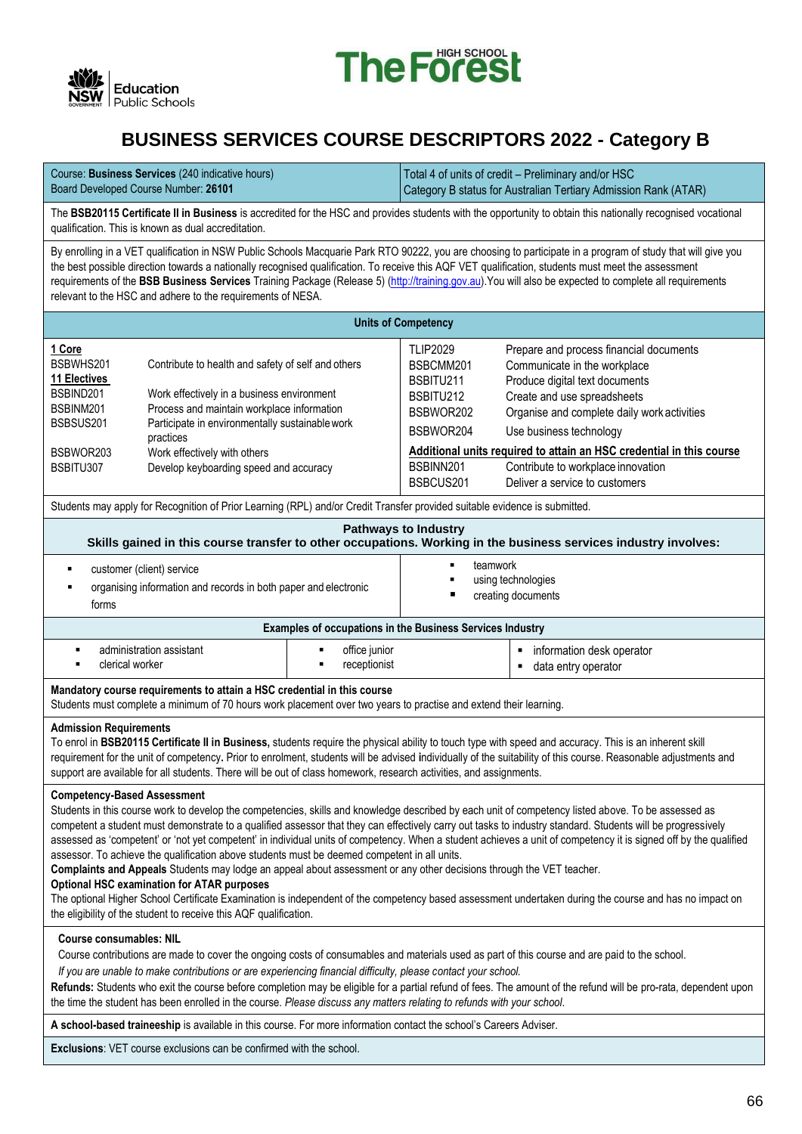



## **[BUSINESS SERVICES C](http://www.boardofstudies.nsw.edu.au/syllabus_hsc/business-services.html)OURSE DESCRIPTORS 2022 - Category B**

| Course: <b>Business Services</b> (240 indicative hours) | Total 4 of units of credit - Preliminary and/or HSC             |
|---------------------------------------------------------|-----------------------------------------------------------------|
| Board Developed Course Number: 26101                    | Category B status for Australian Tertiary Admission Rank (ATAR) |

The **BSB20115 Certificate II in Business** is accredited for the HSC and provides students with the opportunity to obtain this nationally recognised vocational qualification. This is known as dual accreditation.

By enrolling in a VET qualification in NSW Public Schools Macquarie Park RTO 90222, you are choosing to participate in a program of study that will give you the best possible direction towards a nationally recognised qualification. To receive this AQF VET qualification, students must meet the assessment requirements of the **BSB Business Services** Training Package (Release 5[\) \(http://training.gov.au\)](http://training.gov.au/).You will also be expected to complete all requirements relevant to the HSC and adhere to the requirements of NESA.

| <b>Units of Competency</b>                                                        |                                                                                                                                                                                                                                                |                                                                     |                                                                                                                                                                                         |  |  |  |
|-----------------------------------------------------------------------------------|------------------------------------------------------------------------------------------------------------------------------------------------------------------------------------------------------------------------------------------------|---------------------------------------------------------------------|-----------------------------------------------------------------------------------------------------------------------------------------------------------------------------------------|--|--|--|
| 1 Core<br>BSBWHS201<br><b>11 Electives</b><br>BSBIND201<br>BSBINM201<br>BSBSUS201 | Contribute to health and safety of self and others<br>Work effectively in a business environment<br>Process and maintain workplace information<br>Participate in environmentally sustainable work<br>practices<br>Work effectively with others | <b>TLIP2029</b><br>BSBCMM201<br>BSBITU211<br>BSBITU212<br>BSBWOR202 | Prepare and process financial documents<br>Communicate in the workplace<br>Produce digital text documents<br>Create and use spreadsheets<br>Organise and complete daily work activities |  |  |  |
| BSBWOR203                                                                         |                                                                                                                                                                                                                                                | BSBWOR204                                                           | Use business technology<br>Additional units required to attain an HSC credential in this course                                                                                         |  |  |  |
| BSBITU307                                                                         | Develop keyboarding speed and accuracy                                                                                                                                                                                                         | BSBINN201<br>BSBCUS201                                              | Contribute to workplace innovation<br>Deliver a service to customers                                                                                                                    |  |  |  |

| Students may apply for Recognition of Prior Learning (RPL) and/or Credit Transfer provided suitable evidence is submitted.                                                                   |                                                                  |  |  |  |  |
|----------------------------------------------------------------------------------------------------------------------------------------------------------------------------------------------|------------------------------------------------------------------|--|--|--|--|
| <b>Pathways to Industry</b><br>Skills gained in this course transfer to other occupations. Working in the business services industry involves:                                               |                                                                  |  |  |  |  |
| teamwork<br>п<br>customer (client) service<br>using technologies<br>organising information and records in both paper and electronic<br>creating documents<br>forms                           |                                                                  |  |  |  |  |
|                                                                                                                                                                                              | <b>Examples of occupations in the Business Services Industry</b> |  |  |  |  |
| office junior<br>administration assistant<br>information desk operator<br>clerical worker<br>receptionist<br>data entry operator                                                             |                                                                  |  |  |  |  |
| Mandatory course requirements to attain a HSC credential in this course<br>Students must complete a minimum of 70 hours work placement over two years to practise and extend their learning. |                                                                  |  |  |  |  |

#### **Admission Requirements**

To enrol in **BSB20115 Certificate II in Business,** students require the physical ability to touch type with speed and accuracy. This is an inherent skill requirement for the unit of competency**.** Prior to enrolment, students will be advised **i**ndividually of the suitability of this course. Reasonable adjustments and support are available for all students. There will be out of class homework, research activities, and assignments.

#### **Competency-Based Assessment**

Students in this course work to develop the competencies, skills and knowledge described by each unit of competency listed above. To be assessed as competent a student must demonstrate to a qualified assessor that they can effectively carry out tasks to industry standard. Students will be progressively assessed as 'competent' or 'not yet competent' in individual units of competency. When a student achieves a unit of competency it is signed off by the qualified assessor. To achieve the qualification above students must be deemed competent in all units.

**Complaints and Appeals** Students may lodge an appeal about assessment or any other decisions through the VET teacher.

#### **Optional HSC examination for ATAR purposes**

The optional Higher School Certificate Examination is independent of the competency based assessment undertaken during the course and has no impact on the eligibility of the student to receive this AQF qualification.

#### **Course consumables: NIL**

Course contributions are made to cover the ongoing costs of consumables and materials used as part of this course and are paid to the school.

*If you are unable to make contributions or are experiencing financial difficulty, please contact your school.*

**Refunds:** Students who exit the course before completion may be eligible for a partial refund of fees. The amount of the refund will be pro-rata, dependent upon the time the student has been enrolled in the course. *Please discuss any matters relating to refunds with your school*.

#### **A school-based traineeship** is available in this course. For more information contact the school's Careers Adviser.

**Exclusions**: VET course exclusions can be confirmed with the school.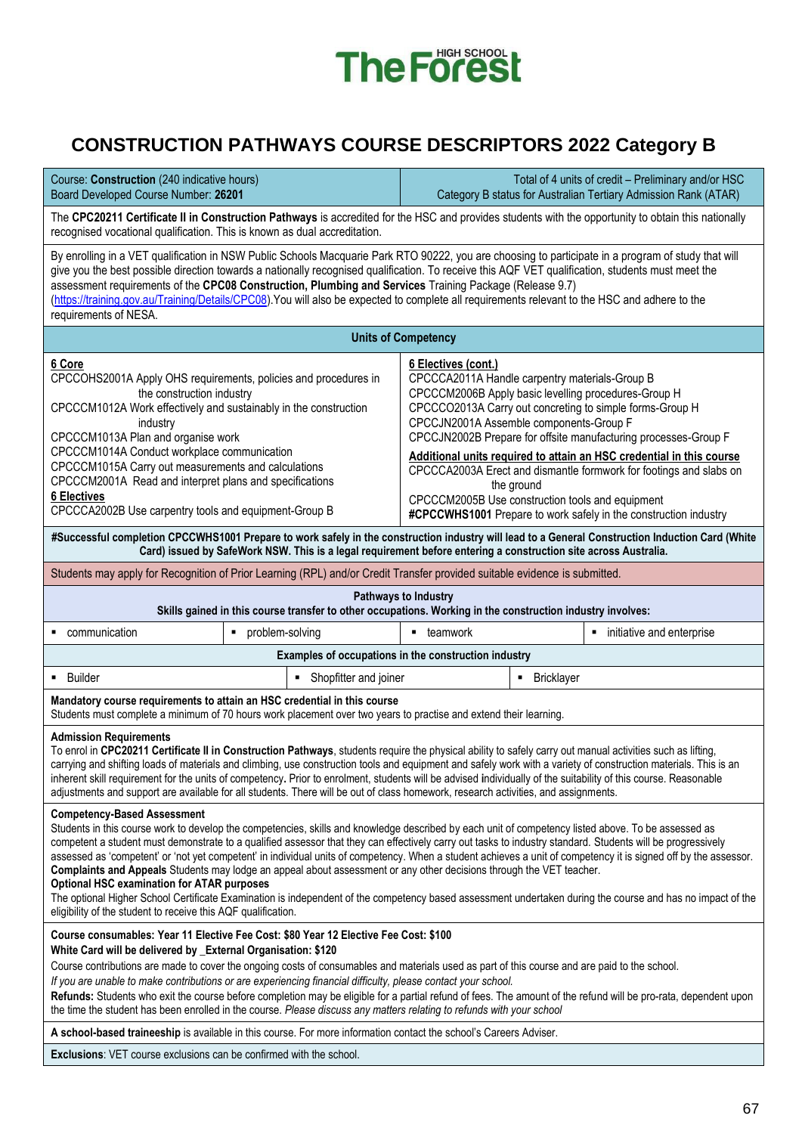

# **CONSTRUCTION PATHWAYS COURSE DESCRIPTORS 2022 Category B**

| Course: Construction (240 indicative hours)<br>Total of 4 units of credit - Preliminary and/or HSC<br>Board Developed Course Number: 26201<br>Category B status for Australian Tertiary Admission Rank (ATAR)                                                                                                                                                                                                                                                                                                                                                                                                                                                                                                                                                                                                                                                                                                                                                                                           |                                                                                                                                                                                                                                                                                                                                                                                                                                                                                                                                                                                                                                         |                            |                 |                                                                  |  |
|---------------------------------------------------------------------------------------------------------------------------------------------------------------------------------------------------------------------------------------------------------------------------------------------------------------------------------------------------------------------------------------------------------------------------------------------------------------------------------------------------------------------------------------------------------------------------------------------------------------------------------------------------------------------------------------------------------------------------------------------------------------------------------------------------------------------------------------------------------------------------------------------------------------------------------------------------------------------------------------------------------|-----------------------------------------------------------------------------------------------------------------------------------------------------------------------------------------------------------------------------------------------------------------------------------------------------------------------------------------------------------------------------------------------------------------------------------------------------------------------------------------------------------------------------------------------------------------------------------------------------------------------------------------|----------------------------|-----------------|------------------------------------------------------------------|--|
| The CPC20211 Certificate II in Construction Pathways is accredited for the HSC and provides students with the opportunity to obtain this nationally<br>recognised vocational qualification. This is known as dual accreditation.                                                                                                                                                                                                                                                                                                                                                                                                                                                                                                                                                                                                                                                                                                                                                                        |                                                                                                                                                                                                                                                                                                                                                                                                                                                                                                                                                                                                                                         |                            |                 |                                                                  |  |
| By enrolling in a VET qualification in NSW Public Schools Macquarie Park RTO 90222, you are choosing to participate in a program of study that will<br>give you the best possible direction towards a nationally recognised qualification. To receive this AQF VET qualification, students must meet the<br>assessment requirements of the CPC08 Construction, Plumbing and Services Training Package (Release 9.7)<br>(https://training.gov.au/Training/Details/CPC08). You will also be expected to complete all requirements relevant to the HSC and adhere to the<br>requirements of NESA.                                                                                                                                                                                                                                                                                                                                                                                                          |                                                                                                                                                                                                                                                                                                                                                                                                                                                                                                                                                                                                                                         |                            |                 |                                                                  |  |
|                                                                                                                                                                                                                                                                                                                                                                                                                                                                                                                                                                                                                                                                                                                                                                                                                                                                                                                                                                                                         |                                                                                                                                                                                                                                                                                                                                                                                                                                                                                                                                                                                                                                         | <b>Units of Competency</b> |                 |                                                                  |  |
| 6 Core<br>6 Electives (cont.)<br>CPCCOHS2001A Apply OHS requirements, policies and procedures in<br>CPCCCA2011A Handle carpentry materials-Group B<br>CPCCCM2006B Apply basic levelling procedures-Group H<br>the construction industry<br>CPCCCM1012A Work effectively and sustainably in the construction<br>CPCCCO2013A Carry out concreting to simple forms-Group H<br>CPCCJN2001A Assemble components-Group F<br>industry<br>CPCCCM1013A Plan and organise work<br>CPCCJN2002B Prepare for offsite manufacturing processes-Group F<br>CPCCCM1014A Conduct workplace communication<br>Additional units required to attain an HSC credential in this course<br>CPCCCM1015A Carry out measurements and calculations<br>CPCCCA2003A Erect and dismantle formwork for footings and slabs on<br>CPCCCM2001A Read and interpret plans and specifications<br>the ground<br><b>6 Electives</b><br>CPCCCM2005B Use construction tools and equipment<br>CPCCCA2002B Use carpentry tools and equipment-Group B |                                                                                                                                                                                                                                                                                                                                                                                                                                                                                                                                                                                                                                         |                            |                 | #CPCCWHS1001 Prepare to work safely in the construction industry |  |
|                                                                                                                                                                                                                                                                                                                                                                                                                                                                                                                                                                                                                                                                                                                                                                                                                                                                                                                                                                                                         | #Successful completion CPCCWHS1001 Prepare to work safely in the construction industry will lead to a General Construction Induction Card (White<br>Card) issued by SafeWork NSW. This is a legal requirement before entering a construction site across Australia.                                                                                                                                                                                                                                                                                                                                                                     |                            |                 |                                                                  |  |
|                                                                                                                                                                                                                                                                                                                                                                                                                                                                                                                                                                                                                                                                                                                                                                                                                                                                                                                                                                                                         | Students may apply for Recognition of Prior Learning (RPL) and/or Credit Transfer provided suitable evidence is submitted.                                                                                                                                                                                                                                                                                                                                                                                                                                                                                                              |                            |                 |                                                                  |  |
|                                                                                                                                                                                                                                                                                                                                                                                                                                                                                                                                                                                                                                                                                                                                                                                                                                                                                                                                                                                                         | Skills gained in this course transfer to other occupations. Working in the construction industry involves:                                                                                                                                                                                                                                                                                                                                                                                                                                                                                                                              | Pathways to Industry       |                 |                                                                  |  |
| communication                                                                                                                                                                                                                                                                                                                                                                                                                                                                                                                                                                                                                                                                                                                                                                                                                                                                                                                                                                                           | problem-solving<br>$\blacksquare$                                                                                                                                                                                                                                                                                                                                                                                                                                                                                                                                                                                                       | <b>u</b> teamwork          |                 | • initiative and enterprise                                      |  |
|                                                                                                                                                                                                                                                                                                                                                                                                                                                                                                                                                                                                                                                                                                                                                                                                                                                                                                                                                                                                         | Examples of occupations in the construction industry                                                                                                                                                                                                                                                                                                                                                                                                                                                                                                                                                                                    |                            |                 |                                                                  |  |
| <b>Builder</b>                                                                                                                                                                                                                                                                                                                                                                                                                                                                                                                                                                                                                                                                                                                                                                                                                                                                                                                                                                                          | Shopfitter and joiner<br>٠                                                                                                                                                                                                                                                                                                                                                                                                                                                                                                                                                                                                              |                            | Bricklayer<br>٠ |                                                                  |  |
|                                                                                                                                                                                                                                                                                                                                                                                                                                                                                                                                                                                                                                                                                                                                                                                                                                                                                                                                                                                                         | Mandatory course requirements to attain an HSC credential in this course<br>Students must complete a minimum of 70 hours work placement over two years to practise and extend their learning.                                                                                                                                                                                                                                                                                                                                                                                                                                           |                            |                 |                                                                  |  |
| <b>Admission Requirements</b>                                                                                                                                                                                                                                                                                                                                                                                                                                                                                                                                                                                                                                                                                                                                                                                                                                                                                                                                                                           | To enrol in CPC20211 Certificate II in Construction Pathways, students require the physical ability to safely carry out manual activities such as lifting,<br>carrying and shifting loads of materials and climbing, use construction tools and equipment and safely work with a variety of construction materials. This is an<br>inherent skill requirement for the units of competency. Prior to enrolment, students will be advised individually of the suitability of this course. Reasonable<br>adjustments and support are available for all students. There will be out of class homework, research activities, and assignments. |                            |                 |                                                                  |  |
| <b>Competency-Based Assessment</b><br>Students in this course work to develop the competencies, skills and knowledge described by each unit of competency listed above. To be assessed as<br>competent a student must demonstrate to a qualified assessor that they can effectively carry out tasks to industry standard. Students will be progressively<br>assessed as 'competent' or 'not yet competent' in individual units of competency. When a student achieves a unit of competency it is signed off by the assessor.<br>Complaints and Appeals Students may lodge an appeal about assessment or any other decisions through the VET teacher.<br><b>Optional HSC examination for ATAR purposes</b><br>The optional Higher School Certificate Examination is independent of the competency based assessment undertaken during the course and has no impact of the<br>eligibility of the student to receive this AQF qualification.                                                                |                                                                                                                                                                                                                                                                                                                                                                                                                                                                                                                                                                                                                                         |                            |                 |                                                                  |  |
|                                                                                                                                                                                                                                                                                                                                                                                                                                                                                                                                                                                                                                                                                                                                                                                                                                                                                                                                                                                                         | Course consumables: Year 11 Elective Fee Cost: \$80 Year 12 Elective Fee Cost: \$100                                                                                                                                                                                                                                                                                                                                                                                                                                                                                                                                                    |                            |                 |                                                                  |  |
| White Card will be delivered by _External Organisation: \$120<br>Course contributions are made to cover the ongoing costs of consumables and materials used as part of this course and are paid to the school.<br>If you are unable to make contributions or are experiencing financial difficulty, please contact your school.<br>Refunds: Students who exit the course before completion may be eligible for a partial refund of fees. The amount of the refund will be pro-rata, dependent upon<br>the time the student has been enrolled in the course. Please discuss any matters relating to refunds with your school                                                                                                                                                                                                                                                                                                                                                                             |                                                                                                                                                                                                                                                                                                                                                                                                                                                                                                                                                                                                                                         |                            |                 |                                                                  |  |
| A school-based traineeship is available in this course. For more information contact the school's Careers Adviser.                                                                                                                                                                                                                                                                                                                                                                                                                                                                                                                                                                                                                                                                                                                                                                                                                                                                                      |                                                                                                                                                                                                                                                                                                                                                                                                                                                                                                                                                                                                                                         |                            |                 |                                                                  |  |
| <b>Exclusions:</b> VET course exclusions can be confirmed with the school.                                                                                                                                                                                                                                                                                                                                                                                                                                                                                                                                                                                                                                                                                                                                                                                                                                                                                                                              |                                                                                                                                                                                                                                                                                                                                                                                                                                                                                                                                                                                                                                         |                            |                 |                                                                  |  |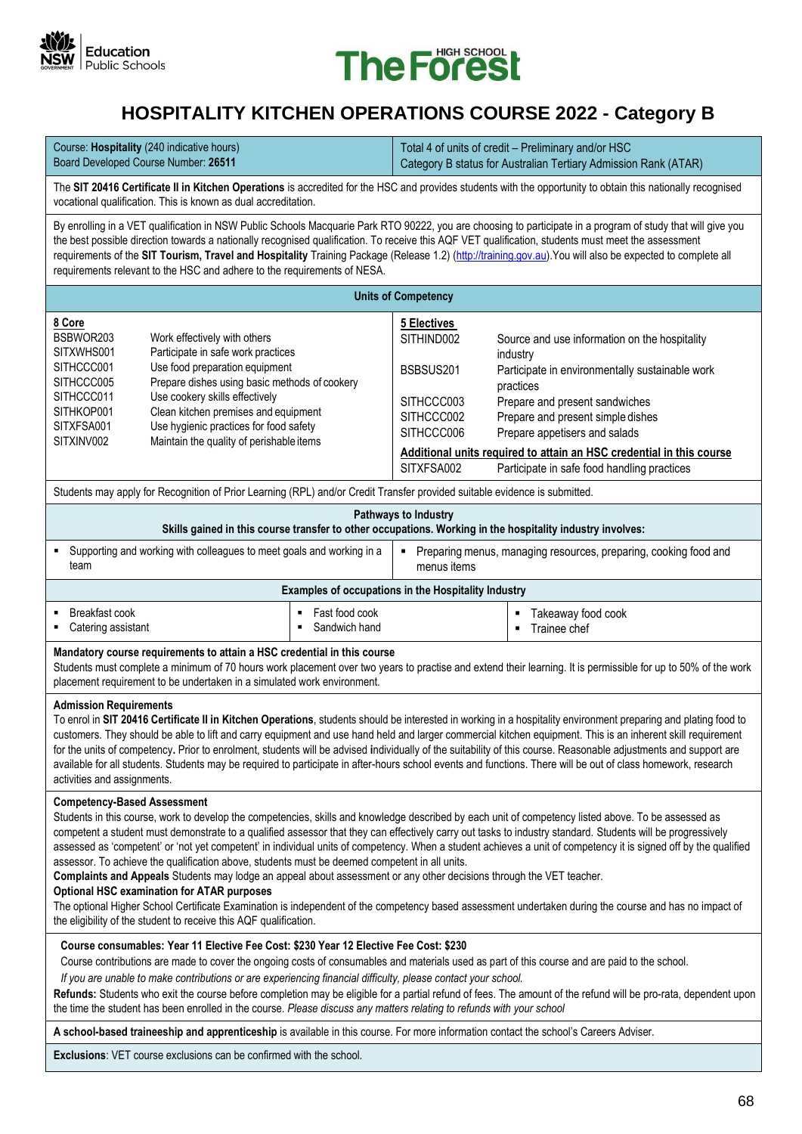



## **HOSPITALITY KITCHEN OPERATIONS COURSE 2022 - Category B**

| Course: <b>Hospitality</b> (240 indicative hours) | Total 4 of units of credit – Preliminary and/or HSC             |
|---------------------------------------------------|-----------------------------------------------------------------|
| Board Developed Course Number: 26511              | Category B status for Australian Tertiary Admission Rank (ATAR) |

The **SIT 20416 Certificate II in Kitchen Operations** is accredited for the HSC and provides students with the opportunity to obtain this nationally recognised vocational qualification. This is known as dual accreditation.

By enrolling in a VET qualification in NSW Public Schools Macquarie Park RTO 90222, you are choosing to participate in a program of study that will give you the best possible direction towards a nationally recognised qualification. To receive this AQF VET qualification, students must meet the assessment requirements of the **SIT Tourism, Travel and Hospitality** Training Package (Release 1.2) [\(http://training.gov.au\)](http://training.gov.au/).You will also be expected to complete all requirements relevant to the HSC and adhere to the requirements of NESA.

| <b>Units of Competency</b>                                                                                            |                                                                                                                                                                                                                                                                                                                       |                                                                                                |                                                                                                                                                                                                                                                                                                                                                          |  |  |  |  |
|-----------------------------------------------------------------------------------------------------------------------|-----------------------------------------------------------------------------------------------------------------------------------------------------------------------------------------------------------------------------------------------------------------------------------------------------------------------|------------------------------------------------------------------------------------------------|----------------------------------------------------------------------------------------------------------------------------------------------------------------------------------------------------------------------------------------------------------------------------------------------------------------------------------------------------------|--|--|--|--|
| 8 Core<br>BSBWOR203<br>SITXWHS001<br>SITHCCC001<br>SITHCCC005<br>SITHCCC011<br>SITHKOP001<br>SITXFSA001<br>SITXINV002 | Work effectively with others<br>Participate in safe work practices<br>Use food preparation equipment<br>Prepare dishes using basic methods of cookery<br>Use cookery skills effectively<br>Clean kitchen premises and equipment<br>Use hygienic practices for food safety<br>Maintain the quality of perishable items | 5 Electives<br>SITHIND002<br>BSBSUS201<br>SITHCCC003<br>SITHCCC002<br>SITHCCC006<br>SITXFSA002 | Source and use information on the hospitality<br>industry<br>Participate in environmentally sustainable work<br>practices<br>Prepare and present sandwiches<br>Prepare and present simple dishes<br>Prepare appetisers and salads<br>Additional units required to attain an HSC credential in this course<br>Participate in safe food handling practices |  |  |  |  |
|                                                                                                                       |                                                                                                                                                                                                                                                                                                                       |                                                                                                |                                                                                                                                                                                                                                                                                                                                                          |  |  |  |  |

Students may apply for Recognition of Prior Learning (RPL) and/or Credit Transfer provided suitable evidence is submitted.

|                                                                                 | Pathways to Industry<br>Skills gained in this course transfer to other occupations. Working in the hospitality industry involves: |                                                                                 |  |  |   |                    |
|---------------------------------------------------------------------------------|-----------------------------------------------------------------------------------------------------------------------------------|---------------------------------------------------------------------------------|--|--|---|--------------------|
| " Supporting and working with colleagues to meet goals and working in a<br>team |                                                                                                                                   | Preparing menus, managing resources, preparing, cooking food and<br>menus items |  |  |   |                    |
| Examples of occupations in the Hospitality Industry                             |                                                                                                                                   |                                                                                 |  |  |   |                    |
|                                                                                 | Breakfast cook                                                                                                                    | Fast food cook                                                                  |  |  | п | Takeaway food cook |

■ Catering assistant Sandwich hand ▪ Trainee chef

#### **Mandatory course requirements to attain a HSC credential in this course**

Students must complete a minimum of 70 hours work placement over two years to practise and extend their learning. It is permissible for up to 50% of the work placement requirement to be undertaken in a simulated work environment.

#### **Admission Requirements**

To enrol in **SIT 20416 Certificate II in Kitchen Operations**, students should be interested in working in a hospitality environment preparing and plating food to customers. They should be able to lift and carry equipment and use hand held and larger commercial kitchen equipment. This is an inherent skill requirement for the units of competency**.** Prior to enrolment, students will be advised **i**ndividually of the suitability of this course. Reasonable adjustments and support are available for all students. Students may be required to participate in after-hours school events and functions. There will be out of class homework, research activities and assignments.

#### **Competency-Based Assessment**

Students in this course, work to develop the competencies, skills and knowledge described by each unit of competency listed above. To be assessed as competent a student must demonstrate to a qualified assessor that they can effectively carry out tasks to industry standard. Students will be progressively assessed as 'competent' or 'not yet competent' in individual units of competency. When a student achieves a unit of competency it is signed off by the qualified assessor. To achieve the qualification above, students must be deemed competent in all units.

**Complaints and Appeals** Students may lodge an appeal about assessment or any other decisions through the VET teacher.

#### **Optional HSC examination for ATAR purposes**

The optional Higher School Certificate Examination is independent of the competency based assessment undertaken during the course and has no impact of the eligibility of the student to receive this AQF qualification.

#### **Course consumables: Year 11 Elective Fee Cost: \$230 Year 12 Elective Fee Cost: \$230**

Course contributions are made to cover the ongoing costs of consumables and materials used as part of this course and are paid to the school.

*If you are unable to make contributions or are experiencing financial difficulty, please contact your school.*

**Refunds:** Students who exit the course before completion may be eligible for a partial refund of fees. The amount of the refund will be pro-rata, dependent upon the time the student has been enrolled in the course. *Please discuss any matters relating to refunds with your school*

**A school-based traineeship and apprenticeship** is available in this course. For more information contact the school's Careers Adviser.

**Exclusions**: VET course exclusions can be confirmed with the school.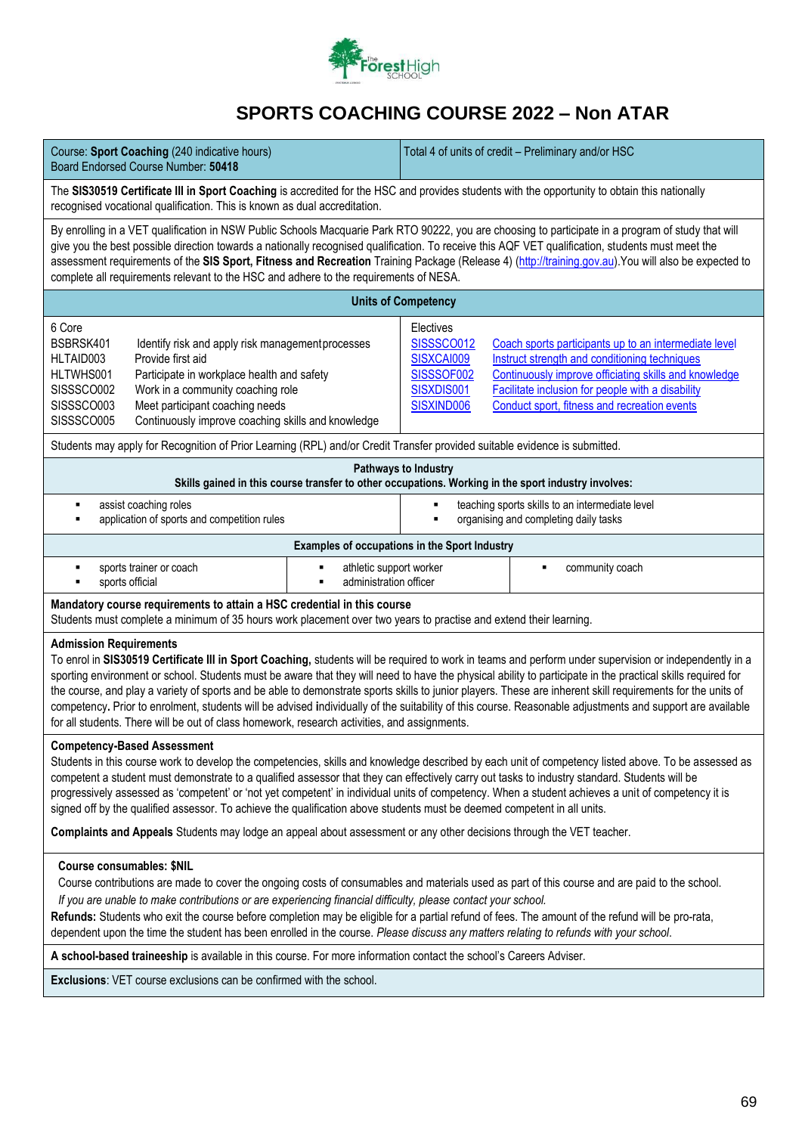

# **SPORTS COACHING COURSE 2022 – Non ATAR**

| Course: Sport Coaching (240 indicative hours)<br>Board Endorsed Course Number: 50418                                                                                                                                                                                                                                                                                                                                                                                                                                                                                                                                                                                                                                                                                               | Total 4 of units of credit - Preliminary and/or HSC                                                                                                                                                                                                                                                                                                            |  |  |  |  |
|------------------------------------------------------------------------------------------------------------------------------------------------------------------------------------------------------------------------------------------------------------------------------------------------------------------------------------------------------------------------------------------------------------------------------------------------------------------------------------------------------------------------------------------------------------------------------------------------------------------------------------------------------------------------------------------------------------------------------------------------------------------------------------|----------------------------------------------------------------------------------------------------------------------------------------------------------------------------------------------------------------------------------------------------------------------------------------------------------------------------------------------------------------|--|--|--|--|
| The SIS30519 Certificate III in Sport Coaching is accredited for the HSC and provides students with the opportunity to obtain this nationally<br>recognised vocational qualification. This is known as dual accreditation.                                                                                                                                                                                                                                                                                                                                                                                                                                                                                                                                                         |                                                                                                                                                                                                                                                                                                                                                                |  |  |  |  |
| By enrolling in a VET qualification in NSW Public Schools Macquarie Park RTO 90222, you are choosing to participate in a program of study that will<br>give you the best possible direction towards a nationally recognised qualification. To receive this AQF VET qualification, students must meet the<br>assessment requirements of the SIS Sport, Fitness and Recreation Training Package (Release 4) (http://training.gov.au). You will also be expected to<br>complete all requirements relevant to the HSC and adhere to the requirements of NESA.                                                                                                                                                                                                                          |                                                                                                                                                                                                                                                                                                                                                                |  |  |  |  |
|                                                                                                                                                                                                                                                                                                                                                                                                                                                                                                                                                                                                                                                                                                                                                                                    | <b>Units of Competency</b>                                                                                                                                                                                                                                                                                                                                     |  |  |  |  |
| 6 Core<br>BSBRSK401<br>Identify risk and apply risk management processes<br>Provide first aid<br>HLTAID003<br>Participate in workplace health and safety<br>HLTWHS001<br>SISSSCO002<br>Work in a community coaching role<br>SISSSCO003<br>Meet participant coaching needs<br>SISSSCO005<br>Continuously improve coaching skills and knowledge                                                                                                                                                                                                                                                                                                                                                                                                                                      | Electives<br><b>SISSSCO012</b><br>Coach sports participants up to an intermediate level<br>Instruct strength and conditioning techniques<br>SISXCAI009<br>SISSSOF002<br>Continuously improve officiating skills and knowledge<br>SISXDIS001<br>Facilitate inclusion for people with a disability<br>SISXIND006<br>Conduct sport, fitness and recreation events |  |  |  |  |
| Students may apply for Recognition of Prior Learning (RPL) and/or Credit Transfer provided suitable evidence is submitted.                                                                                                                                                                                                                                                                                                                                                                                                                                                                                                                                                                                                                                                         |                                                                                                                                                                                                                                                                                                                                                                |  |  |  |  |
|                                                                                                                                                                                                                                                                                                                                                                                                                                                                                                                                                                                                                                                                                                                                                                                    | Pathways to Industry<br>Skills gained in this course transfer to other occupations. Working in the sport industry involves:                                                                                                                                                                                                                                    |  |  |  |  |
| assist coaching roles<br>٠<br>application of sports and competition rules<br>٠                                                                                                                                                                                                                                                                                                                                                                                                                                                                                                                                                                                                                                                                                                     | teaching sports skills to an intermediate level<br>organising and completing daily tasks                                                                                                                                                                                                                                                                       |  |  |  |  |
|                                                                                                                                                                                                                                                                                                                                                                                                                                                                                                                                                                                                                                                                                                                                                                                    | Examples of occupations in the Sport Industry                                                                                                                                                                                                                                                                                                                  |  |  |  |  |
| athletic support worker<br>sports trainer or coach<br>٠<br>administration officer<br>sports official                                                                                                                                                                                                                                                                                                                                                                                                                                                                                                                                                                                                                                                                               | community coach                                                                                                                                                                                                                                                                                                                                                |  |  |  |  |
| Mandatory course requirements to attain a HSC credential in this course<br>Students must complete a minimum of 35 hours work placement over two years to practise and extend their learning.                                                                                                                                                                                                                                                                                                                                                                                                                                                                                                                                                                                       |                                                                                                                                                                                                                                                                                                                                                                |  |  |  |  |
| <b>Admission Requirements</b><br>To enrol in SIS30519 Certificate III in Sport Coaching, students will be required to work in teams and perform under supervision or independently in a<br>sporting environment or school. Students must be aware that they will need to have the physical ability to participate in the practical skills required for<br>the course, and play a variety of sports and be able to demonstrate sports skills to junior players. These are inherent skill requirements for the units of<br>competency. Prior to enrolment, students will be advised individually of the suitability of this course. Reasonable adjustments and support are available<br>for all students. There will be out of class homework, research activities, and assignments. |                                                                                                                                                                                                                                                                                                                                                                |  |  |  |  |
| <b>Competency-Based Assessment</b><br>Students in this course work to develop the competencies, skills and knowledge described by each unit of competency listed above. To be assessed as<br>competent a student must demonstrate to a qualified assessor that they can effectively carry out tasks to industry standard. Students will be<br>progressively assessed as 'competent' or 'not yet competent' in individual units of competency. When a student achieves a unit of competency it is<br>signed off by the qualified assessor. To achieve the qualification above students must be deemed competent in all units.                                                                                                                                                       |                                                                                                                                                                                                                                                                                                                                                                |  |  |  |  |
| Complaints and Appeals Students may lodge an appeal about assessment or any other decisions through the VET teacher.                                                                                                                                                                                                                                                                                                                                                                                                                                                                                                                                                                                                                                                               |                                                                                                                                                                                                                                                                                                                                                                |  |  |  |  |
| <b>Course consumables: \$NIL</b><br>Course contributions are made to cover the ongoing costs of consumables and materials used as part of this course and are paid to the school.<br>If you are unable to make contributions or are experiencing financial difficulty, please contact your school.<br>Refunds: Students who exit the course before completion may be eligible for a partial refund of fees. The amount of the refund will be pro-rata,<br>dependent upon the time the student has been enrolled in the course. Please discuss any matters relating to refunds with your school.                                                                                                                                                                                    |                                                                                                                                                                                                                                                                                                                                                                |  |  |  |  |
| A school-based traineeship is available in this course. For more information contact the school's Careers Adviser.                                                                                                                                                                                                                                                                                                                                                                                                                                                                                                                                                                                                                                                                 |                                                                                                                                                                                                                                                                                                                                                                |  |  |  |  |
| <b>Exclusions:</b> VET course exclusions can be confirmed with the school.                                                                                                                                                                                                                                                                                                                                                                                                                                                                                                                                                                                                                                                                                                         |                                                                                                                                                                                                                                                                                                                                                                |  |  |  |  |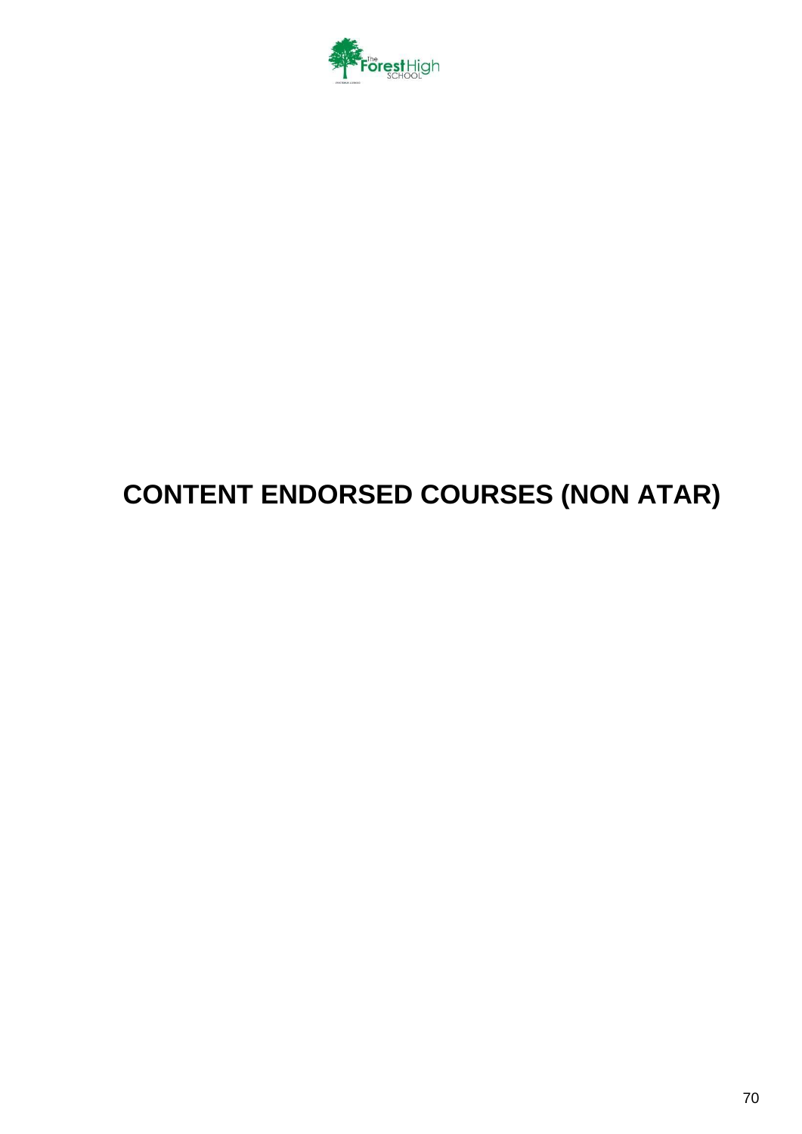

# **CONTENT ENDORSED COURSES (NON ATAR)**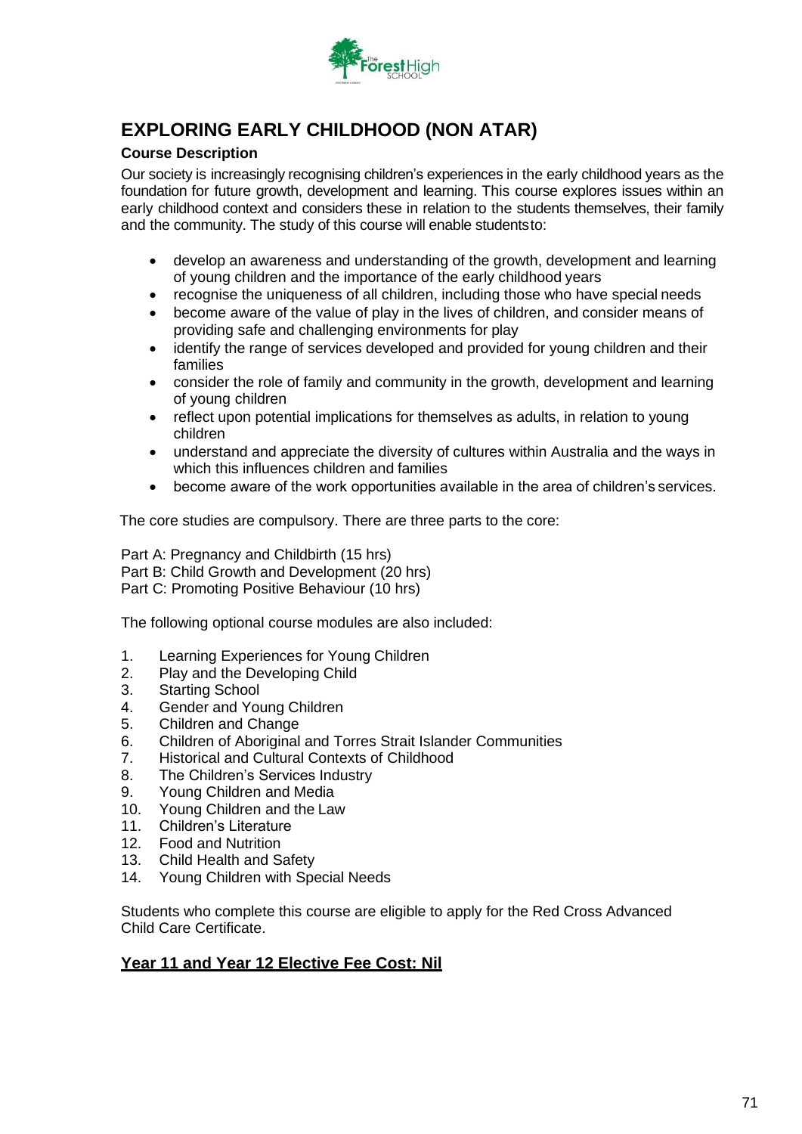

# **EXPLORING EARLY CHILDHOOD (NON ATAR)**

### **Course Description**

Our society is increasingly recognising children's experiences in the early childhood years as the foundation for future growth, development and learning. This course explores issues within an early childhood context and considers these in relation to the students themselves, their family and the community. The study of this course will enable studentsto:

- develop an awareness and understanding of the growth, development and learning of young children and the importance of the early childhood years
- recognise the uniqueness of all children, including those who have special needs
- become aware of the value of play in the lives of children, and consider means of providing safe and challenging environments for play
- identify the range of services developed and provided for young children and their families
- consider the role of family and community in the growth, development and learning of young children
- reflect upon potential implications for themselves as adults, in relation to young children
- understand and appreciate the diversity of cultures within Australia and the ways in which this influences children and families
- become aware of the work opportunities available in the area of children's services.

The core studies are compulsory. There are three parts to the core:

Part A: Pregnancy and Childbirth (15 hrs) Part B: Child Growth and Development (20 hrs) Part C: Promoting Positive Behaviour (10 hrs)

The following optional course modules are also included:

- 1. Learning Experiences for Young Children
- 2. Play and the Developing Child
- 3. Starting School
- 4. Gender and Young Children
- 5. Children and Change
- 6. Children of Aboriginal and Torres Strait Islander Communities
- 7. Historical and Cultural Contexts of Childhood
- 8. The Children's Services Industry
- 9. Young Children and Media
- 10. Young Children and the Law
- 11. Children's Literature
- 12. Food and Nutrition
- 13. Child Health and Safety
- 14. Young Children with Special Needs

Students who complete this course are eligible to apply for the Red Cross Advanced Child Care Certificate.

### **Year 11 and Year 12 Elective Fee Cost: Nil**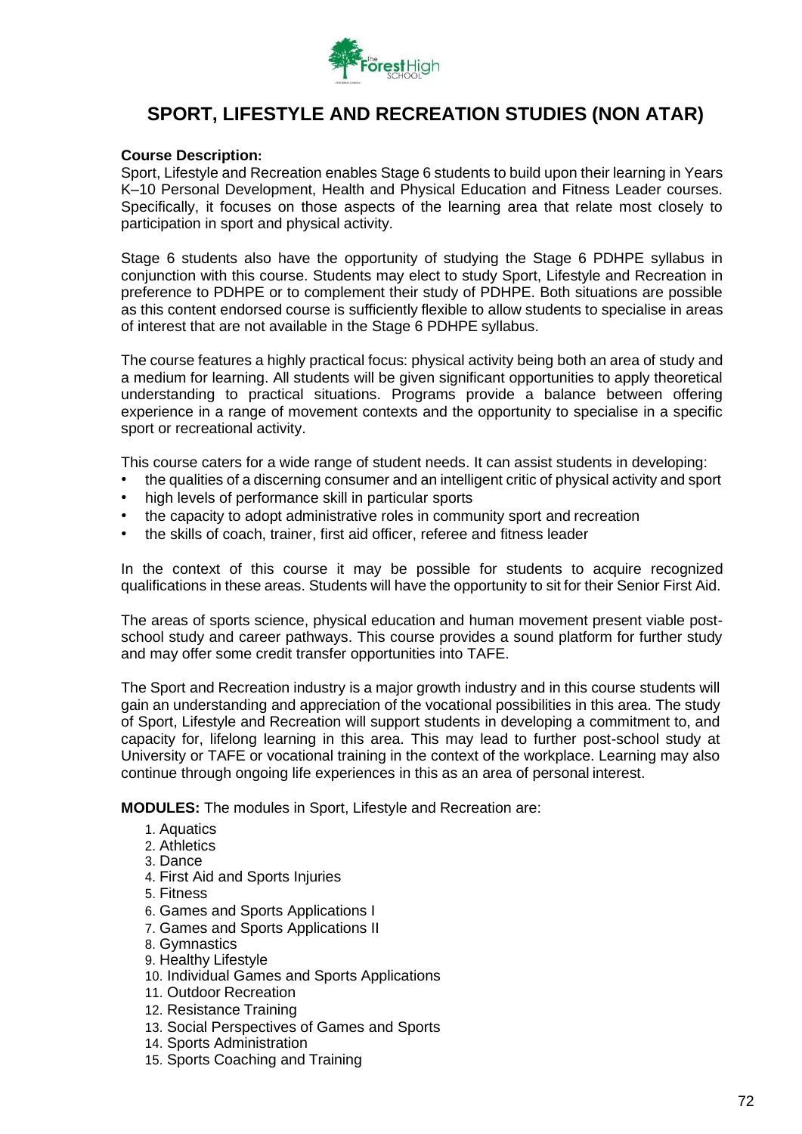

## **SPORT, LIFESTYLE AND RECREATION STUDIES (NON ATAR)**

### **Course Description:**

Sport, Lifestyle and Recreation enables Stage 6 students to build upon their learning in Years K–10 Personal Development, Health and Physical Education and Fitness Leader courses. Specifically, it focuses on those aspects of the learning area that relate most closely to participation in sport and physical activity.

Stage 6 students also have the opportunity of studying the Stage 6 PDHPE syllabus in conjunction with this course. Students may elect to study Sport, Lifestyle and Recreation in preference to PDHPE or to complement their study of PDHPE. Both situations are possible as this content endorsed course is sufficiently flexible to allow students to specialise in areas of interest that are not available in the Stage 6 PDHPE syllabus.

The course features a highly practical focus: physical activity being both an area of study and a medium for learning. All students will be given significant opportunities to apply theoretical understanding to practical situations. Programs provide a balance between offering experience in a range of movement contexts and the opportunity to specialise in a specific sport or recreational activity.

This course caters for a wide range of student needs. It can assist students in developing:

- the qualities of a discerning consumer and an intelligent critic of physical activity and sport
- high levels of performance skill in particular sports
- the capacity to adopt administrative roles in community sport and recreation
- the skills of coach, trainer, first aid officer, referee and fitness leader

In the context of this course it may be possible for students to acquire recognized qualifications in these areas. Students will have the opportunity to sit for their Senior First Aid.

The areas of sports science, physical education and human movement present viable postschool study and career pathways. This course provides a sound platform for further study and may offer some credit transfer opportunities into TAFE.

The Sport and Recreation industry is a major growth industry and in this course students will gain an understanding and appreciation of the vocational possibilities in this area. The study of Sport, Lifestyle and Recreation will support students in developing a commitment to, and capacity for, lifelong learning in this area. This may lead to further post-school study at University or TAFE or vocational training in the context of the workplace. Learning may also continue through ongoing life experiences in this as an area of personal interest.

**MODULES:** The modules in Sport, Lifestyle and Recreation are:

- 1. Aquatics
- 2. Athletics
- 3. Dance
- 4. First Aid and Sports Injuries
- 5. Fitness
- 6. Games and Sports Applications I
- 7. Games and Sports Applications II
- 8. Gymnastics
- 9. Healthy Lifestyle
- 10. Individual Games and Sports Applications
- 11. Outdoor Recreation
- 12. Resistance Training
- 13. Social Perspectives of Games and Sports
- 14. Sports Administration
- 15. Sports Coaching and Training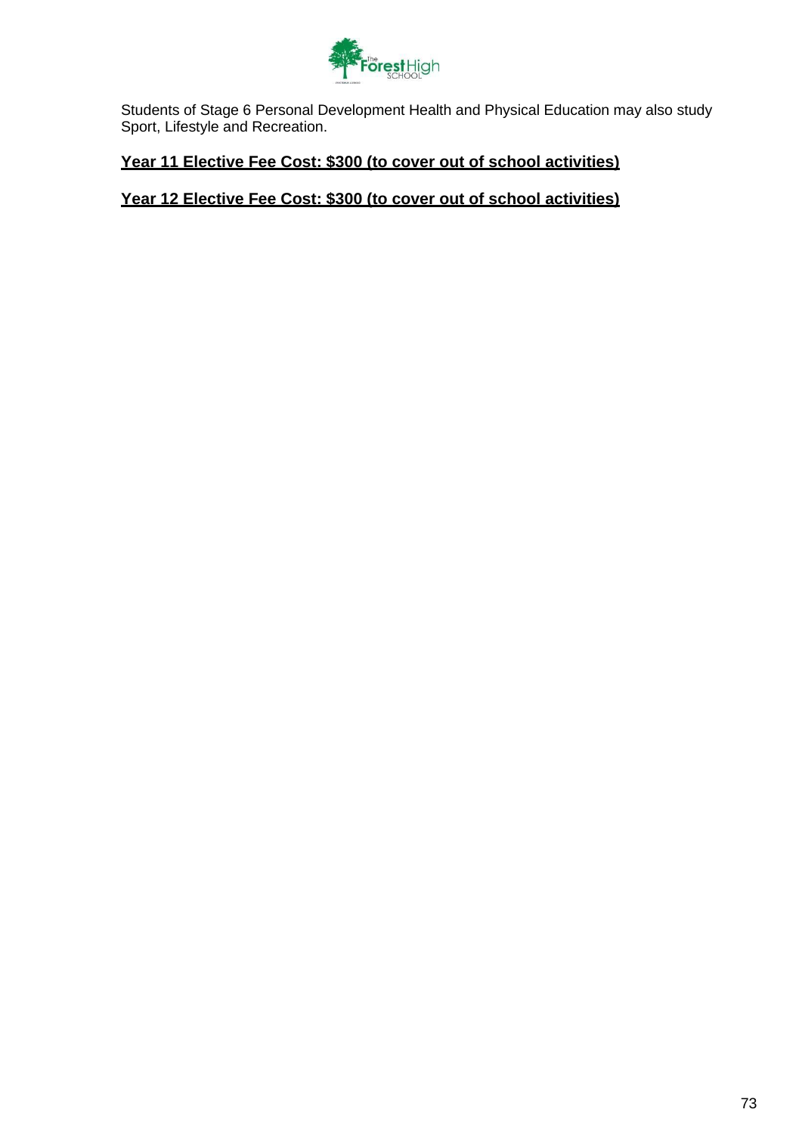

Students of Stage 6 Personal Development Health and Physical Education may also study Sport, Lifestyle and Recreation.

### **Year 11 Elective Fee Cost: \$300 (to cover out of school activities)**

### **Year 12 Elective Fee Cost: \$300 (to cover out of school activities)**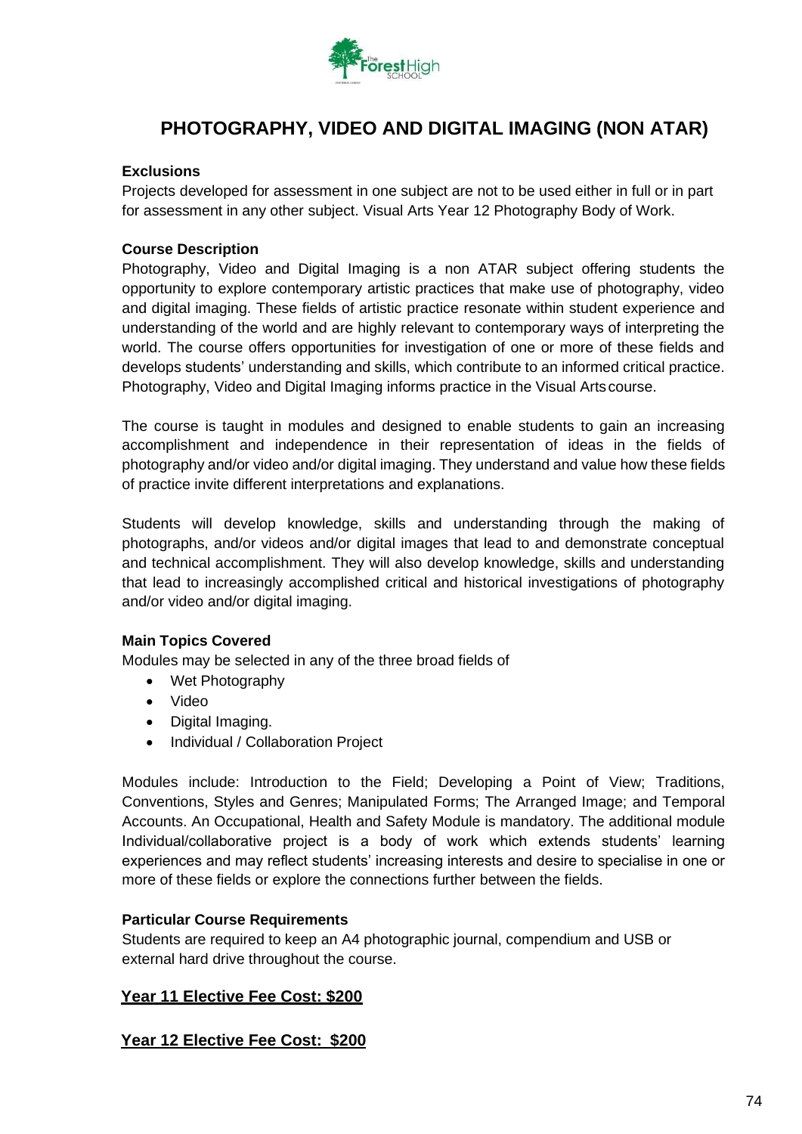

# **PHOTOGRAPHY, VIDEO AND DIGITAL IMAGING (NON ATAR)**

#### **Exclusions**

Projects developed for assessment in one subject are not to be used either in full or in part for assessment in any other subject. Visual Arts Year 12 Photography Body of Work.

### **Course Description**

Photography, Video and Digital Imaging is a non ATAR subject offering students the opportunity to explore contemporary artistic practices that make use of photography, video and digital imaging. These fields of artistic practice resonate within student experience and understanding of the world and are highly relevant to contemporary ways of interpreting the world. The course offers opportunities for investigation of one or more of these fields and develops students' understanding and skills, which contribute to an informed critical practice. Photography, Video and Digital Imaging informs practice in the Visual Artscourse.

The course is taught in modules and designed to enable students to gain an increasing accomplishment and independence in their representation of ideas in the fields of photography and/or video and/or digital imaging. They understand and value how these fields of practice invite different interpretations and explanations.

Students will develop knowledge, skills and understanding through the making of photographs, and/or videos and/or digital images that lead to and demonstrate conceptual and technical accomplishment. They will also develop knowledge, skills and understanding that lead to increasingly accomplished critical and historical investigations of photography and/or video and/or digital imaging.

### **Main Topics Covered**

Modules may be selected in any of the three broad fields of

- Wet Photography
- Video
- Digital Imaging.
- Individual / Collaboration Project

Modules include: Introduction to the Field; Developing a Point of View; Traditions, Conventions, Styles and Genres; Manipulated Forms; The Arranged Image; and Temporal Accounts. An Occupational, Health and Safety Module is mandatory. The additional module Individual/collaborative project is a body of work which extends students' learning experiences and may reflect students' increasing interests and desire to specialise in one or more of these fields or explore the connections further between the fields.

### **Particular Course Requirements**

Students are required to keep an A4 photographic journal, compendium and USB or external hard drive throughout the course.

### **Year 11 Elective Fee Cost: \$200**

**Year 12 Elective Fee Cost: \$200**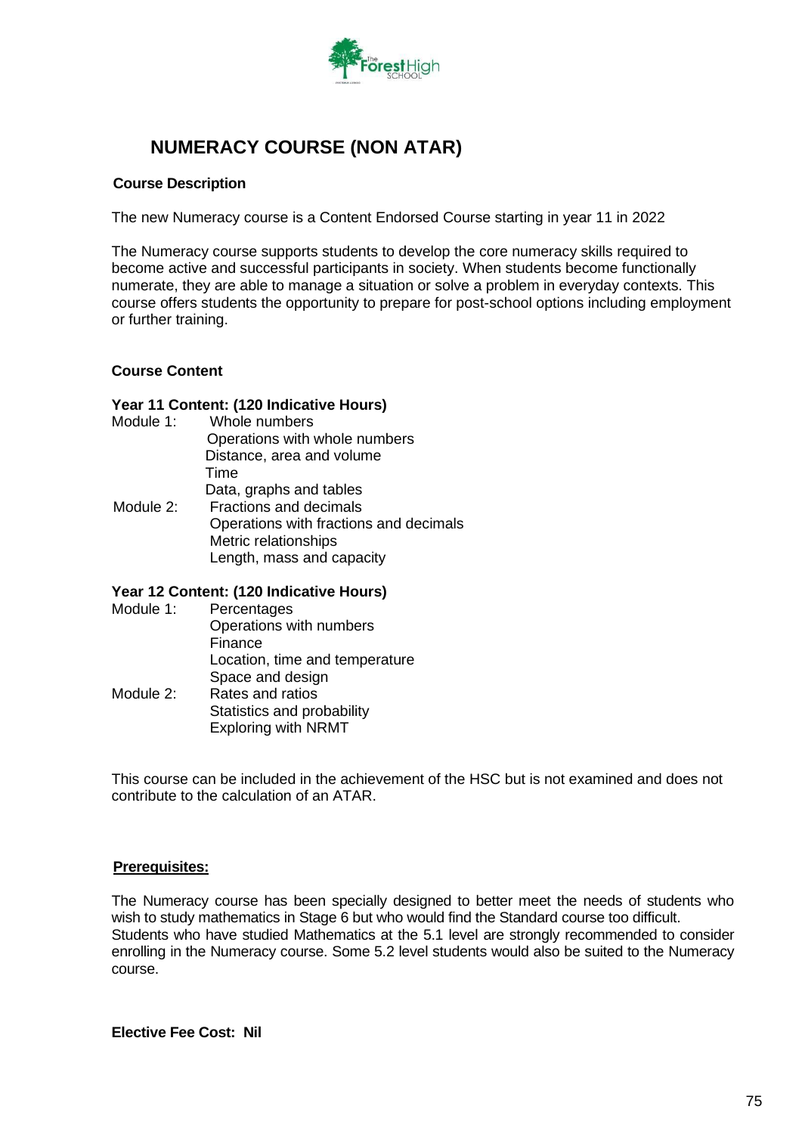

# **NUMERACY COURSE (NON ATAR)**

### **Course Description**

The new Numeracy course is a Content Endorsed Course starting in year 11 in 2022

The Numeracy course supports students to develop the core numeracy skills required to become active and successful participants in society. When students become functionally numerate, they are able to manage a situation or solve a problem in everyday contexts. This course offers students the opportunity to prepare for post-school options including employment or further training.

### **Course Content**

#### **Year 11 Content: (120 Indicative Hours)**

- Module 1: Whole numbers
- Operations with whole numbers Distance, area and volume Time Data, graphs and tables Module 2: Fractions and decimals Operations with fractions and decimals Metric relationships
	- Length, mass and capacity

### **Year 12 Content: (120 Indicative Hours)**

Module 1: Percentages Operations with numbers Finance Location, time and temperature Space and design Module 2: Rates and ratios Statistics and probability Exploring with NRMT

This course can be included in the achievement of the HSC but is not examined and does not contribute to the calculation of an ATAR.

### **Prerequisites:**

The Numeracy course has been specially designed to better meet the needs of students who wish to study mathematics in Stage 6 but who would find the Standard course too difficult. Students who have studied Mathematics at the 5.1 level are strongly recommended to consider enrolling in the Numeracy course. Some 5.2 level students would also be suited to the Numeracy course.

**Elective Fee Cost: Nil**